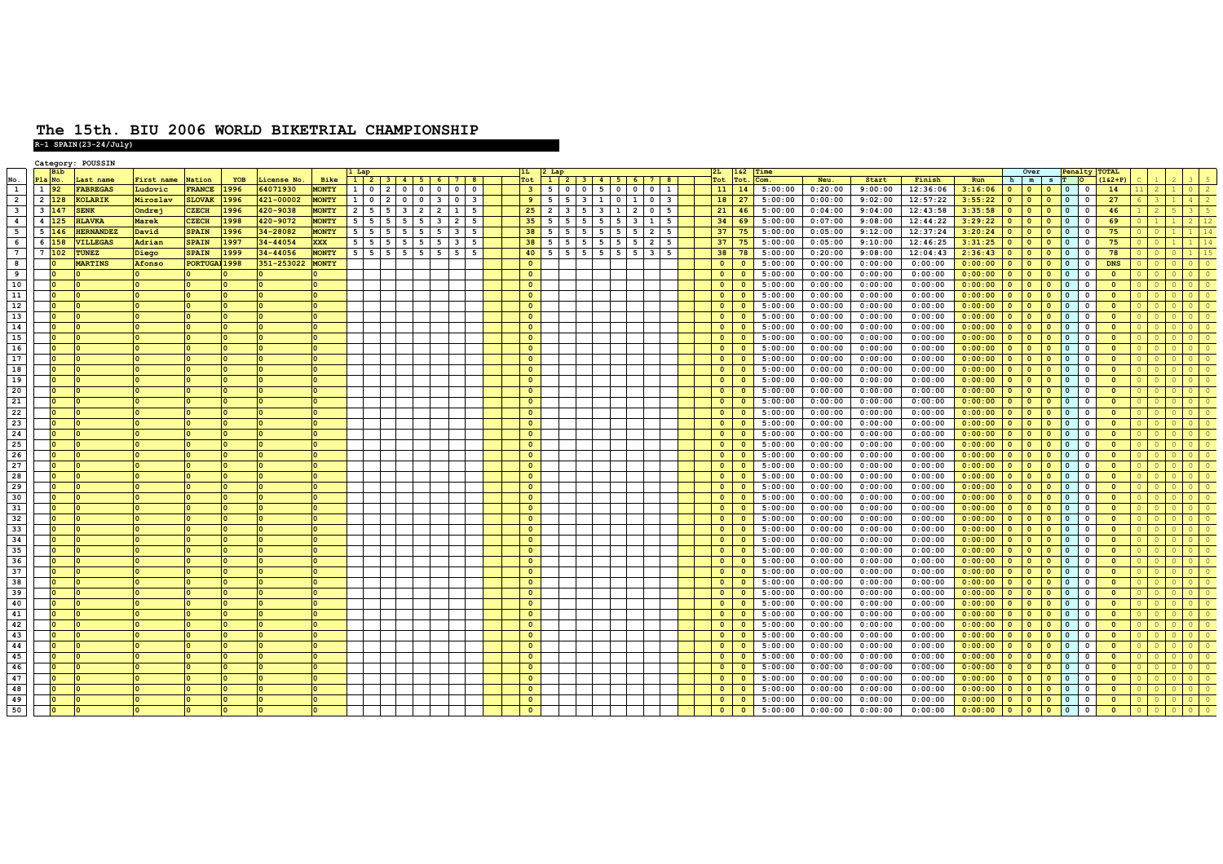|                         |                         | Category:    | <b>POUSSIN</b>   |           |               |            |             |              |                   |                |                                           |                          |                         |                            |  |                |                                |   |            |                 |                         |                                    |  |                |                         |         |         |         |          |         |                |                             |                          |             |                      |  |  |
|-------------------------|-------------------------|--------------|------------------|-----------|---------------|------------|-------------|--------------|-------------------|----------------|-------------------------------------------|--------------------------|-------------------------|----------------------------|--|----------------|--------------------------------|---|------------|-----------------|-------------------------|------------------------------------|--|----------------|-------------------------|---------|---------|---------|----------|---------|----------------|-----------------------------|--------------------------|-------------|----------------------|--|--|
|                         |                         | <b>Bib</b>   |                  |           |               |            |             |              |                   |                |                                           |                          |                         |                            |  |                |                                |   |            |                 |                         |                                    |  | 162            |                         | Time    |         |         |          |         |                | Over                        |                          |             | <b>Penalty TOTAL</b> |  |  |
| $\frac{\text{No}}{1}$   | P1a                     | $N_{\Omega}$ | Last name        | irst name | Nation        | <b>YOB</b> | License No. | Bike         | $1$ 2             |                | $3 \mid 4 \mid 5$                         |                          | -61                     | 7 <sup>1</sup><br><b>8</b> |  | Tot            | 1 2 3 4 5 6 7 8                |   |            |                 |                         |                                    |  | Tot<br>Tot     | Com.                    |         | Neu.    | Start   | Finish   | Run     |                | h m                         | $S$ T O                  |             | $(162+P)$            |  |  |
|                         | $\mathbf{1}$            | 92           | <b>FABREGAS</b>  | Ludovic   | <b>FRANCE</b> | 1996       | 64071930    | <b>MONTY</b> | 1 <sup>1</sup>    | $\circ$        | $\overline{2}$<br>$\overline{\mathbf{0}}$ | $\overline{\mathbf{0}}$  | $\Omega$                | $^{\circ}$                 |  | 3 <sup>2</sup> | 5<br>ΙO                        |   | $0 \mid 5$ | $0$   0         |                         | $\circ$<br>$\vert$ 1               |  | 11             | 14                      | 5:00:00 | 0:20:00 | 9:00:00 | 12:36:06 | 3:16:06 | $\circ$        | $\bullet$<br>$\mathbf{0}$   | l O                      | $\Omega$    | 14                   |  |  |
| $\overline{2}$          | $\overline{2}$          | 128          | KOLARIK          | Miroslav  | <b>SLOVAK</b> | 1996       | 421-00002   | <b>MONTY</b> | $1 \vert 0 \vert$ |                | $\overline{\mathbf{0}}$<br>$\overline{2}$ | $\overline{\phantom{a}}$ | $\overline{\mathbf{3}}$ | $\overline{\mathbf{3}}$    |  | 9              | 5<br>5                         |   | $3 \mid 1$ | $0 \mid 1$      |                         | $\circ$<br>$\overline{\mathbf{3}}$ |  | 18             | 27                      | 5:00:00 | 0:00:00 | 9:02:00 | 12:57:22 | 3:55:22 | $\Omega$       | $\bullet$                   |                          |             | 27                   |  |  |
| $\overline{\mathbf{3}}$ | $\overline{\mathbf{3}}$ | 147          | <b>ENK</b>       | Ondrej    | <b>CZECH</b>  | 1996       | 420-9038    | <b>MONTY</b> | 2 <sup>1</sup>    | 5              | -5<br>$\mathbf{3}$                        | $\overline{2}$           | $\overline{2}$          | 5<br>$\mathbf{1}$          |  | 25             | $\overline{2}$<br>$\mathbf{3}$ |   |            | $1 \mid 2 \mid$ |                         | $\circ$<br>5                       |  | 21             | 46                      | 5:00:00 | 0:04:00 | 9:04:00 | 12:43:58 | 3:35:58 |                | $\Omega$                    | l o                      |             | 46                   |  |  |
| $\overline{4}$          | $\overline{4}$          | 125          | <b>ILAVKA</b>    | Marek     | <b>CZECH</b>  | 1998       | 420-9072    | <b>MONTY</b> | 5 <sub>1</sub>    | 5 <sup>1</sup> | 5<br>- 5                                  | 5                        | $\overline{\mathbf{3}}$ | - 5<br>$\overline{2}$      |  | 35             | 5<br>5                         | 5 | 5          | 5               | $\overline{\mathbf{3}}$ | 1<br>5                             |  | 34             | 69                      | 5:00:00 | 0:07:00 | 9:08:00 | 12:44:22 | 3:29:22 | $\Omega$       | $\Omega$                    | n                        | $\Omega$    | 69                   |  |  |
| $-5$                    | 5                       | 146          | <b>HERNANDEZ</b> | David     | <b>SPAIN</b>  | 1996       | 34-28082    | <b>MONTY</b> | 5                 | 5              |                                           | - 5                      | 5                       | 5                          |  | 38             | -5                             |   |            |                 | 5                       | $\overline{2}$<br>-5               |  | 37             | 75                      | 5:00:00 | 0:05:00 | 9:12:00 | 12:37:24 | 3:20:24 | $\Omega$       | $\bullet$<br>$\circ$        | <b>0</b>                 | $\Omega$    | 75                   |  |  |
| 6                       | 6                       |              | <b>VILLEGAS</b>  | Adrian    | <b>SPAIN</b>  | 1997       | 34-44054    | <b>XXX</b>   | $5\overline{5}$   | 5              |                                           | 5                        |                         | 5                          |  | 38             |                                |   |            |                 | 5                       | $\overline{2}$<br>5                |  | 37             | 75                      | 5:00:00 | 0:05:00 | 9:10:00 | 12:46:25 | 3:31:25 | $\Omega$       | $\Omega$                    |                          |             | 75                   |  |  |
| $\overline{7}$          | 7                       | 102          | <b>UNEZ</b>      | Diego     | <b>SPAIN</b>  | 1999       | 34-44056    | <b>MONTY</b> | 5 <sub>1</sub>    | 5              | - 5                                       | - 5                      |                         | 5                          |  | 40             |                                |   |            |                 | 3                       | 5                                  |  | 38             | 78                      | 5:00:00 | 0:20:00 | 9:08:00 | 12:04:43 | 2:36:43 |                | $\Omega$<br>$\Omega$        |                          |             | 78                   |  |  |
| $\overline{\mathbf{8}}$ |                         |              |                  |           |               |            |             |              |                   |                |                                           |                          |                         |                            |  | $\Omega$       |                                |   |            |                 |                         |                                    |  |                | $\Omega$                |         |         |         |          |         | $\Omega$       | $\Omega$                    |                          |             |                      |  |  |
|                         |                         |              | <b>MARTINS</b>   | Afonso    | PORTUGAJ 1998 |            | 351-253022  | <b>MONTY</b> |                   |                |                                           |                          |                         |                            |  |                |                                |   |            |                 |                         |                                    |  | $\bullet$      |                         | 5:00:00 | 0:00:00 | 0:00:00 | 0:00:00  | 0:00:00 |                | $\mathbf{0}$                | $\overline{0}$           | $\Omega$    | <b>DNS</b>           |  |  |
| $\overline{9}$          |                         |              |                  |           |               |            |             |              |                   |                |                                           |                          |                         |                            |  | $\bullet$      |                                |   |            |                 |                         |                                    |  | $\bullet$      | $\mathbf{o}$            | 5:00:00 | 0:00:00 | 0:00:00 | 0:00:00  | 0:00:00 | $\Omega$       | $\Omega$                    | l O                      | $\Omega$    |                      |  |  |
| 10                      |                         |              |                  |           |               |            |             |              |                   |                |                                           |                          |                         |                            |  | $\Omega$       |                                |   |            |                 |                         |                                    |  | $\circ$        | $\Omega$                | 5:00:00 | 0:00:00 | 0:00:00 | 0:00:00  | 0:00:00 | $\Omega$       | $\Omega$                    | l o                      |             |                      |  |  |
| 11                      |                         |              |                  |           |               |            |             |              |                   |                |                                           |                          |                         |                            |  | $\Omega$       |                                |   |            |                 |                         |                                    |  | $\bullet$      |                         | 5:00:00 | 0:00:00 | 0:00:00 | 0:00:00  | 0:00:00 | $\Omega$       | $\bullet$                   |                          |             |                      |  |  |
| 12                      |                         |              |                  |           |               |            |             |              |                   |                |                                           |                          |                         |                            |  | $\Omega$       |                                |   |            |                 |                         |                                    |  |                | $\Omega$                | 5:00:00 | 0:00:00 | 0:00:00 | 0:00:00  | 0:00:00 |                | $\bullet$                   |                          |             |                      |  |  |
| 13                      |                         |              |                  |           |               |            |             |              |                   |                |                                           |                          |                         |                            |  | $\bullet$      |                                |   |            |                 |                         |                                    |  | $\circ$        | $\Omega$                | 5:00:00 | 0:00:00 | 0:00:00 | 0:00:00  | 0:00:00 | $\Omega$       | $\mathbf{0}$                |                          |             |                      |  |  |
| $14$                    |                         |              |                  |           |               |            |             |              |                   |                |                                           |                          |                         |                            |  | $\bullet$      |                                |   |            |                 |                         |                                    |  | $\Omega$       | $\Omega$                | 5:00:00 | 0:00:00 | 0:00:00 | 0:00:00  | 0:00:00 |                | $\Omega$                    |                          |             |                      |  |  |
| 15                      |                         |              |                  |           |               |            |             |              |                   |                |                                           |                          |                         |                            |  | $\circ$        |                                |   |            |                 |                         |                                    |  | $\circ$        | $\Omega$                | 5:00:00 | 0:00:00 | 0:00:00 | 0:00:00  | 0:00:00 | $\Omega$       | $\mathbf{0}$<br>$\Omega$    | l O                      | $\Omega$    |                      |  |  |
| 16                      |                         |              |                  |           |               |            |             |              |                   |                |                                           |                          |                         |                            |  | $\mathbf{0}$   |                                |   |            |                 |                         |                                    |  | $\bullet$      | $\mathbf{0}$            | 5:00:00 | 0:00:00 | 0:00:00 | 0:00:00  | 0:00:00 | $\overline{0}$ | $\Omega$                    |                          | $\Omega$    |                      |  |  |
| 17                      |                         |              |                  |           |               |            |             |              |                   |                |                                           |                          |                         |                            |  | $\mathbf{0}$   |                                |   |            |                 |                         |                                    |  | $\Omega$       | $\Omega$                |         | 0:00:00 |         | 0:00:00  | 0:00:00 | $\overline{0}$ | $\bullet$<br>$\Omega$       | l O                      | $\Omega$    |                      |  |  |
|                         |                         |              |                  |           |               |            |             |              |                   |                |                                           |                          |                         |                            |  |                |                                |   |            |                 |                         |                                    |  |                |                         | 5:00:00 |         | 0:00:00 |          |         |                |                             |                          |             |                      |  |  |
| 18                      |                         |              |                  |           |               |            |             |              |                   |                |                                           |                          |                         |                            |  | $\Omega$       |                                |   |            |                 |                         |                                    |  | $\bullet$      |                         | 5:00:00 | 0:00:00 | 0:00:00 | 0:00:00  | 0:00:00 | $\overline{0}$ | $\bullet$                   |                          |             |                      |  |  |
| 19                      |                         |              |                  |           |               |            |             |              |                   |                |                                           |                          |                         |                            |  | $\Omega$       |                                |   |            |                 |                         |                                    |  |                | $\Omega$                | 5:00:00 | 0:00:00 | 0:00:00 | 0:00:00  | 0:00:00 |                | $\bullet$<br>$\Omega$       |                          |             |                      |  |  |
| 20                      |                         |              |                  |           |               |            |             |              |                   |                |                                           |                          |                         |                            |  | $\bullet$      |                                |   |            |                 |                         |                                    |  | $\circ$        | $\Omega$                | 5:00:00 | 0:00:00 | 0:00:00 | 0:00:00  | 0:00:00 | $\Omega$       | $\mathbf{0}$                |                          | $\mathbf 0$ |                      |  |  |
| 21                      |                         |              |                  |           |               |            |             |              |                   |                |                                           |                          |                         |                            |  | $\bullet$      |                                |   |            |                 |                         |                                    |  | $\Omega$       | $\Omega$                | 5:00:00 | 0:00:00 | 0:00:00 | 0:00:00  | 0:00:00 |                | $\Omega$                    |                          |             |                      |  |  |
| 22                      |                         |              |                  |           |               |            |             |              |                   |                |                                           |                          |                         |                            |  | $\circ$        |                                |   |            |                 |                         |                                    |  | $\bullet$      | $\Omega$                | 5:00:00 | 0:00:00 | 0:00:00 | 0:00:00  | 0:00:00 | $\mathbf{0}$   | $\mathbf{0}$<br>$\Omega$    | l O                      | $^{\circ}$  |                      |  |  |
| 23                      |                         |              |                  |           |               |            |             |              |                   |                |                                           |                          |                         |                            |  | $\mathbf{0}$   |                                |   |            |                 |                         |                                    |  | $\circ$        | $\mathbf{0}$            | 5:00:00 | 0:00:00 | 0:00:00 | 0:00:00  | 0:00:00 | $\overline{0}$ | $\mathbf{0}$                |                          | $\Omega$    |                      |  |  |
| 24                      |                         |              |                  |           |               |            |             |              |                   |                |                                           |                          |                         |                            |  | $\Omega$       |                                |   |            |                 |                         |                                    |  | $\Omega$       | $\Omega$                | 5:00:00 | 0:00:00 | 0:00:00 | 0:00:00  | 0:00:00 | $\Omega$       | $\Omega$<br>$\Omega$        | l o                      | $\Omega$    |                      |  |  |
| 25                      |                         |              |                  |           |               |            |             |              |                   |                |                                           |                          |                         |                            |  | $\Omega$       |                                |   |            |                 |                         |                                    |  | $\bullet$      |                         | 5:00:00 | 0:00:00 | 0:00:00 | 0:00:00  | 0:00:00 | $\overline{0}$ | $\bullet$                   |                          |             |                      |  |  |
| 26                      |                         |              |                  |           |               |            |             |              |                   |                |                                           |                          |                         |                            |  |                |                                |   |            |                 |                         |                                    |  |                |                         |         |         |         |          |         | $\Omega$       | $\Omega$                    | $\Omega$                 |             |                      |  |  |
|                         |                         |              |                  |           |               |            |             |              |                   |                |                                           |                          |                         |                            |  | $\bullet$      |                                |   |            |                 |                         |                                    |  | $\circ$        | $\overline{\mathbf{0}}$ | 5:00:00 | 0:00:00 | 0:00:00 | 0:00:00  | 0:00:00 |                | $\bullet$                   |                          | $\mathbf 0$ | $\Omega$             |  |  |
| 27                      |                         |              |                  |           |               |            |             |              |                   |                |                                           |                          |                         |                            |  | $\bullet$      |                                |   |            |                 |                         |                                    |  | $\circ$        | $\Omega$                | 5:00:00 | 0:00:00 | 0:00:00 | 0:00:00  | 0:00:00 | $\Omega$       | $\bullet$<br>$\Omega$       |                          | $\Omega$    |                      |  |  |
| 28                      |                         |              |                  |           |               |            |             |              |                   |                |                                           |                          |                         |                            |  | $\bullet$      |                                |   |            |                 |                         |                                    |  | $\Omega$       | $\Omega$                | 5:00:00 | 0:00:00 | 0:00:00 | 0:00:00  | 0:00:00 | $\Omega$       | $\bullet$<br>$\Omega$       | l n                      | $\Omega$    |                      |  |  |
| 29                      |                         |              |                  |           |               |            |             |              |                   |                |                                           |                          |                         |                            |  | $\Omega$       |                                |   |            |                 |                         |                                    |  | $\overline{0}$ | $\Omega$                | 5:00:00 | 0:00:00 | 0:00:00 | 0:00:00  | 0:00:00 | $\Omega$       | $\bullet$<br>$\Omega$       | l o                      | $\Omega$    |                      |  |  |
| 30                      |                         |              |                  |           |               |            |             |              |                   |                |                                           |                          |                         |                            |  | $\bullet$      |                                |   |            |                 |                         |                                    |  | $\bullet$      | $\Omega$                | 5:00:00 | 0:00:00 | 0:00:00 | 0:00:00  | 0:00:00 | $\bullet$      | $\bullet$<br>$\circ$        | $\overline{\phantom{a}}$ | $\Omega$    | $\Omega$             |  |  |
| 31                      |                         |              |                  |           |               |            |             |              |                   |                |                                           |                          |                         |                            |  | $\Omega$       |                                |   |            |                 |                         |                                    |  | $\Omega$       | $\Omega$                | 5:00:00 | 0:00:00 | 0:00:00 | 0:00:00  | 0:00:00 | $\Omega$       | $\Omega$                    | l O                      |             |                      |  |  |
| 32                      |                         |              |                  |           |               |            |             |              |                   |                |                                           |                          |                         |                            |  | $\mathbf{0}$   |                                |   |            |                 |                         |                                    |  | $\circ$        | $\Omega$                | 5:00:00 | 0:00:00 | 0:00:00 | 0:00:00  | 0:00:00 | $\overline{0}$ | $\circ$<br>$\Omega$         | l O                      | $\Omega$    |                      |  |  |
| 33                      |                         |              |                  |           |               |            |             |              |                   |                |                                           |                          |                         |                            |  | $\bullet$      |                                |   |            |                 |                         |                                    |  | $\circ$        | $\Omega$                | 5:00:00 | 0:00:00 | 0:00:00 | 0:00:00  | 0:00:00 |                | $\bullet$                   |                          |             |                      |  |  |
| 34                      |                         |              |                  |           |               |            |             |              |                   |                |                                           |                          |                         |                            |  | $\mathbf{0}$   |                                |   |            |                 |                         |                                    |  | $\overline{0}$ |                         | 5:00:00 | 0:00:00 | 0:00:00 | 0:00:00  | 0:00:00 | $\Omega$       | $\Omega$                    |                          | 0           |                      |  |  |
| 35                      |                         |              |                  |           |               |            |             |              |                   |                |                                           |                          |                         |                            |  |                |                                |   |            |                 |                         |                                    |  | $\Omega$       | $\Omega$                |         |         |         |          |         |                | $\Omega$                    |                          |             |                      |  |  |
|                         |                         |              |                  |           |               |            |             |              |                   |                |                                           |                          |                         |                            |  | $\bullet$      |                                |   |            |                 |                         |                                    |  |                |                         | 5:00:00 | 0:00:00 | 0:00:00 | 0:00:00  | 0:00:00 |                |                             |                          |             |                      |  |  |
| 36                      |                         |              |                  |           |               |            |             |              |                   |                |                                           |                          |                         |                            |  | $\Omega$       |                                |   |            |                 |                         |                                    |  | $\mathbf{0}$   | $\Omega$                | 5:00:00 | 0:00:00 | 0:00:00 | 0:00:00  | 0:00:00 |                | $\Omega$                    | l O                      | $\Omega$    |                      |  |  |
| 37                      |                         |              |                  |           |               |            |             |              |                   |                |                                           |                          |                         |                            |  | $\mathbf{0}$   |                                |   |            |                 |                         |                                    |  | $\circ$        | $\Omega$                | 5:00:00 | 0:00:00 | 0:00:00 | 0:00:00  | 0:00:00 | $\overline{0}$ | $\bullet$                   | l O                      | $\Omega$    | $\Omega$             |  |  |
| 38                      |                         |              |                  |           |               |            |             |              |                   |                |                                           |                          |                         |                            |  | $\Omega$       |                                |   |            |                 |                         |                                    |  |                |                         | 5:00:00 | 0:00:00 | 0:00:00 | 0:00:00  | 0:00:00 |                | $\Omega$                    |                          |             |                      |  |  |
| 39                      |                         |              |                  |           |               |            |             |              |                   |                |                                           |                          |                         |                            |  | $\mathbf{0}$   |                                |   |            |                 |                         |                                    |  | $\circ$        | $\Omega$                | 5:00:00 | 0:00:00 | 0:00:00 | 0:00:00  | 0:00:00 | $\Omega$       | $\circ$                     | l O                      |             |                      |  |  |
| 40                      |                         |              |                  |           |               |            |             |              |                   |                |                                           |                          |                         |                            |  | $\bullet$      |                                |   |            |                 |                         |                                    |  | $\circ$        | $\Omega$                | 5:00:00 | 0:00:00 | 0:00:00 | 0:00:00  | 0:00:00 |                | $\bullet$                   |                          |             |                      |  |  |
| 41                      |                         |              |                  |           |               |            |             |              |                   |                |                                           |                          |                         |                            |  | $\mathbf{0}$   |                                |   |            |                 |                         |                                    |  | $\circ$        |                         | 5:00:00 | 0:00:00 | 0:00:00 | 0:00:00  | 0:00:00 | $\Omega$       | $\Omega$                    |                          |             |                      |  |  |
| 42                      |                         |              |                  |           |               |            |             |              |                   |                |                                           |                          |                         |                            |  | $\bullet$      |                                |   |            |                 |                         |                                    |  | $\Omega$       | $\Omega$                | 5:00:00 | 0:00:00 | 0:00:00 | 0:00:00  | 0:00:00 |                | $\Omega$                    |                          |             |                      |  |  |
| 43                      |                         |              |                  |           |               |            |             |              |                   |                |                                           |                          |                         |                            |  | $\mathbf{0}$   |                                |   |            |                 |                         |                                    |  | $\mathbf{0}$   | $\Omega$                | 5:00:00 | 0:00:00 | 0:00:00 | 0:00:00  | 0:00:00 |                |                             | $^{\circ}$ 0             | 0           |                      |  |  |
| 44                      |                         |              |                  |           |               |            |             |              |                   |                |                                           |                          |                         |                            |  | $\mathbf{0}$   |                                |   |            |                 |                         |                                    |  |                |                         | 5:00:00 |         |         | 0:00:00  | 0:00:00 | $\overline{0}$ | $\Omega$                    |                          |             |                      |  |  |
|                         |                         |              |                  |           |               |            |             |              |                   |                |                                           |                          |                         |                            |  |                |                                |   |            |                 |                         |                                    |  | $\circ$        | $\Omega$                |         | 0:00:00 | 0:00:00 |          |         |                |                             |                          | $\Omega$    |                      |  |  |
| 45                      |                         |              |                  |           |               |            |             |              |                   |                |                                           |                          |                         |                            |  | $\Omega$       |                                |   |            |                 |                         |                                    |  |                |                         | 5:00:00 | 0:00:00 | 0:00:00 | 0:00:00  | 0:00:00 |                | $\Omega$                    |                          |             |                      |  |  |
| 46                      |                         |              |                  |           |               |            |             |              |                   |                |                                           |                          |                         |                            |  | $\Omega$       |                                |   |            |                 |                         |                                    |  | $\circ$        |                         | 5:00:00 | 0:00:00 | 0:00:00 | 0:00:00  | 0:00:00 |                | $\Omega$                    |                          |             |                      |  |  |
| 47                      |                         |              |                  |           |               |            |             |              |                   |                |                                           |                          |                         |                            |  | $\circ$        |                                |   |            |                 |                         |                                    |  | $\circ$        |                         | 5:00:00 | 0:00:00 | 0:00:00 | 0:00:00  | 0:00:00 |                | $\Omega$                    |                          |             |                      |  |  |
| 48                      |                         |              |                  |           |               |            |             |              |                   |                |                                           |                          |                         |                            |  | $\Omega$       |                                |   |            |                 |                         |                                    |  | $\Omega$       |                         | 5:00:00 | 0:00:00 | 0:00:00 | 0:00:00  | 0:00:00 | $\Omega$       |                             |                          |             |                      |  |  |
| 49                      |                         |              |                  |           |               |            |             |              |                   |                |                                           |                          |                         |                            |  | $\bullet$      |                                |   |            |                 |                         |                                    |  | $\circ$        | $\Omega$                | 5:00:00 | 0:00:00 | 0:00:00 | 0:00:00  | 0:00:00 | $\overline{0}$ | $\bullet$<br>$\mathbf{0}$   | $\overline{\phantom{a}}$ | $\Omega$    | $\Omega$             |  |  |
| 50                      |                         |              |                  |           |               |            |             |              |                   |                |                                           |                          |                         |                            |  |                |                                |   |            |                 |                         |                                    |  | $\Omega$       | $\Omega$                | 5:00:00 | 0:00:00 | 0:00:00 | 0:00:00  | 0:00:00 | $\bullet$      | $\bullet$<br>$\overline{0}$ | l o                      | $\Omega$    |                      |  |  |
|                         |                         |              |                  |           |               |            |             |              |                   |                |                                           |                          |                         |                            |  |                |                                |   |            |                 |                         |                                    |  |                |                         |         |         |         |          |         |                |                             |                          |             |                      |  |  |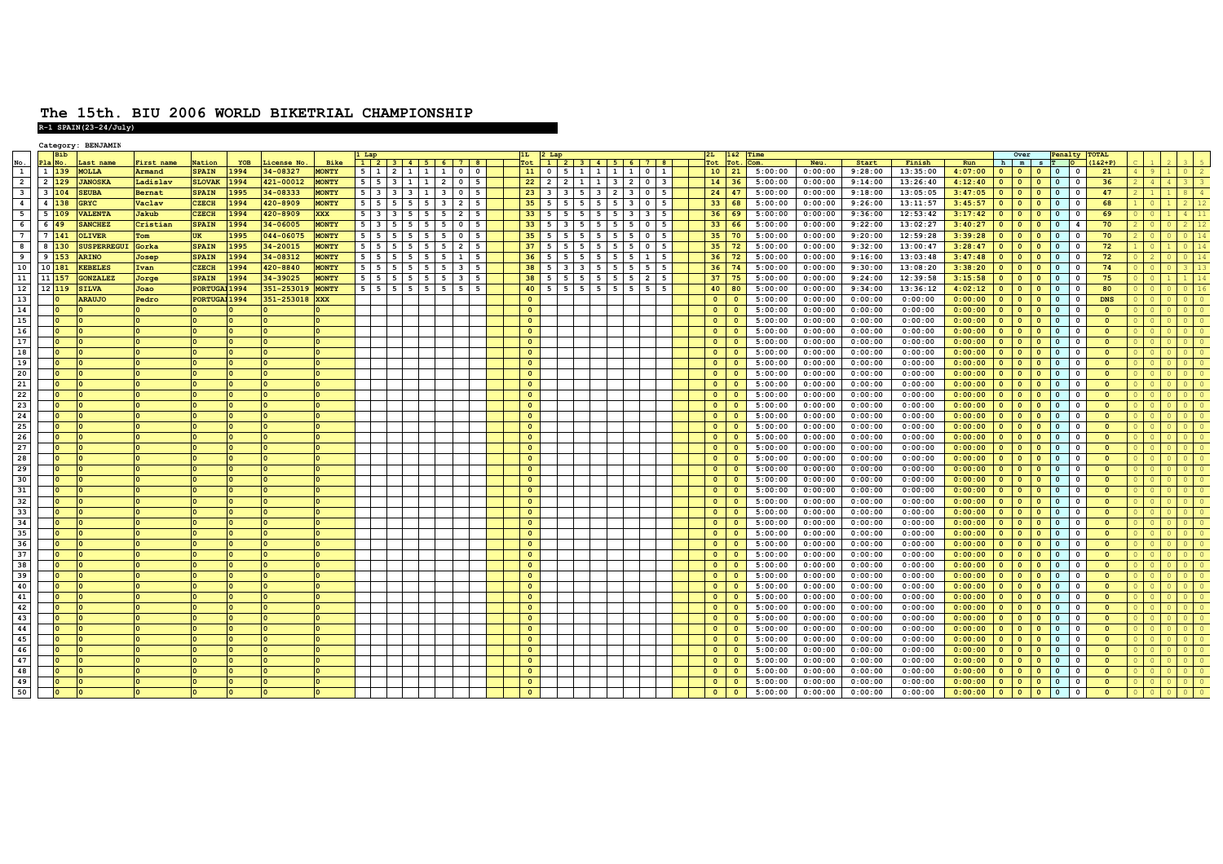## **The 15th. BIU 2006 WORLD BIKETRIAL CHAMPIONSHIPR-1 SPAIN(23-24/July)**

|                         |                         | Category: BENJAMIN      |               |                      |      |                |              |                |                         |                   |             |                                                    |                         |                         |                                                    |              |                          |                                |                |  |           |      |         |                    |                    |          |         |                         |                         |                          |                         |                         |                         |  |    |
|-------------------------|-------------------------|-------------------------|---------------|----------------------|------|----------------|--------------|----------------|-------------------------|-------------------|-------------|----------------------------------------------------|-------------------------|-------------------------|----------------------------------------------------|--------------|--------------------------|--------------------------------|----------------|--|-----------|------|---------|--------------------|--------------------|----------|---------|-------------------------|-------------------------|--------------------------|-------------------------|-------------------------|-------------------------|--|----|
|                         |                         |                         |               |                      |      |                |              | . Lap          |                         |                   |             |                                                    |                         | 1L                      | 2 Lap                                              |              |                          |                                |                |  | 2I.       | 162  | Time    |                    |                    |          |         |                         | Over                    |                          | Penalty TOTAL           |                         |                         |  |    |
| $\frac{\text{No}}{1}$   |                         | Last name               | First name    | Nation               | YOB  | License No.    | Bike         |                |                         |                   |             | $1 \ 2 \ 3 \ 4 \ 5 \ 6 \ 7$                        | <b>8</b>                | Tot                     |                                                    |              | 1 2 3 4 5 6 7 8          |                                |                |  | Pot.      | Tot. | Com.    | Neu.               | Start              | Finish   | Run     |                         |                         | h m s T                  |                         |                         | $(162 + P)$             |  |    |
|                         | $1\overline{139}$       | <b>MOLLA</b>            | Armand        | <b>SPAIN</b>         | 1994 | 34-08327       | <b>MONTY</b> | $5 \mid 1$     | $\overline{2}$          | $\mathbf{1}$      | $\sqrt{1}$  | <b>1</b><br>$\overline{\mathbf{0}}$                | $\overline{\mathbf{0}}$ | 11                      | $\circ$<br>- 5                                     |              | 11                       | 1 <sup>1</sup><br>$\mathbf{1}$ | $0 \mid 1$     |  | 10        | 21   | 5:00:00 | 0:00:00            | 9:28:00            | 13:35:00 | 4:07:00 | $\overline{0}$          | $\mathbf{0}$            |                          | $\mathbf{0}$            | $\Omega$                | 21                      |  |    |
| $\overline{2}$          | 2 129                   | <b>JANOSKA</b>          | Ladislav      | <b>SLOVAK</b>        | 1994 | 421-00012      | <b>MONTY</b> | $5 \mid 5$     | $\overline{\mathbf{3}}$ | $\overline{1}$    | 1           | $\overline{2}$<br>$\overline{\mathbf{0}}$          | -5                      | 22                      | $\overline{2}$<br>$\overline{2}$                   |              | 1 1                      | $3 \mid 2$                     | $01$ 3         |  | 14        | 36   | 5:00:00 | 0:00:00            | 9:14:00            | 13:26:40 | 4:12:40 | $\overline{0}$          | $\mathbf{0}$            | $\overline{\mathbf{0}}$  | $\circ$                 | $\Omega$                | 36                      |  |    |
| $\overline{\mathbf{3}}$ | $\overline{\mathbf{3}}$ | <b>SEUBA</b><br>04      | <b>Bernat</b> | <b>SPAIN</b>         | 1995 | 34-08333       | <b>MONTY</b> |                | $5 \quad 3$             | $3 \mid 3 \mid 1$ |             | $\overline{\mathbf{3}}$<br>$\overline{\mathbf{0}}$ | $5^{\circ}$             | 23                      | $\overline{\mathbf{3}}$<br>$\overline{\mathbf{3}}$ |              | $5 \mid 3 \mid 2 \mid 3$ |                                | $0 \mid 5$     |  | 24        | 47   | 5:00:00 | 0:00:00            | 9:18:00            | 13:05:05 | 3:47:05 | $\mathbf{0}$            | $\bullet$               | $\overline{\phantom{0}}$ | $\bullet$               | $\Omega$                | 47                      |  |    |
| $\overline{4}$          | 4 <sup>1</sup>          | 38<br><b>GRYC</b>       | Vaclav        | <b>CZECH</b>         | 1994 | 420-8909       | <b>MONTY</b> | $5 \mid 5$     | -5                      | 5                 | 5           | $\overline{\mathbf{3}}$<br>$\overline{2}$          | 5                       | 35                      | -5                                                 |              | 5                        | 5<br>$\overline{\mathbf{3}}$   | $0$ 5          |  | 33        | 68   | 5:00:00 | 0:00:00            | 9:26:00            | 13:11:57 | 3:45:57 | $\overline{0}$          | $\mathbf{0}$            | $\overline{0}$           | $\overline{0}$          | $\Omega$                | 68                      |  |    |
| $-5$                    | 5                       | <b>VALENTA</b><br>09    | Jakub         | <b>CZECH</b>         | 1994 | 420-8909       | <b>XXX</b>   | $5 \mid 3$     | $\overline{\mathbf{3}}$ | 5                 | $5^{\circ}$ | 5<br>$\overline{2}$                                | 5                       | 33                      | 5                                                  | 5            | $-5$                     | $5 \mid 3 \mid$                | 3              |  | 36        | 69   | 5:00:00 | 0:00:00            | 9:36:00            | 12:53:42 | 3:17:42 | $\mathbf{0}$            | $\circ$                 | $\Omega$                 | $\circ$                 | $\Omega$                | 69                      |  |    |
| 6                       | 6                       | <b>SANCHEZ</b>          | Cristian      | <b>SPAIN</b>         | 1994 | 34-06005       | <b>MONTY</b> | $5 \quad 3$    | 5                       | 5                 | 5           | 5<br>$\overline{\mathbf{0}}$                       | 5                       | 33                      | -5                                                 | -5           | 5                        | 5<br>5                         | $\mathbf{0}$   |  | 33        | 66   | 5:00:00 | 0:00:00            | 9:22:00            | 13:02:27 | 3:40:27 | $\mathbf{0}$            | $\mathbf{0}$            | $\overline{0}$           | $\circ$                 | $\mathbf{A}$            | 70                      |  |    |
| $7^{\circ}$             | $7 \overline{)141}$     | <b>OLIVER</b>           | Tom           | <b>UK</b>            | 1995 | 044-06075      | <b>MONTY</b> | $5 \mid 5$     | - 5                     | 5                 | 5           | 5<br>$\overline{\mathbf{0}}$                       | - 5                     | 35                      | -5<br>- 5                                          | - 5          | - 5                      | 5<br>-5                        | $0$   5        |  | 35        | - 70 | 5:00:00 | 0:00:00            | 9:20:00            | 12:59:28 | 3:39:28 | $\bullet$               | $\circ$                 | <b>0</b>                 | $\circ$                 | $\Omega$                | 70                      |  |    |
| $\overline{\mathbf{8}}$ | 8                       | 30<br><b>SUSPERREGU</b> | Gorka         | <b>SPAIN</b>         | 1995 | 34-20015       | <b>MONTY</b> | $5 \mid 5$     | 5                       | 5                 | 5           | 5<br>$\overline{2}$                                | 5                       | 37                      | 5                                                  | 5            | 5                        | 5<br>5                         | $0 \mid 5$     |  | 35        | 72   | 5:00:00 | 0:00:00            | 9:32:00            | 13:00:47 | 3:28:47 | $\overline{0}$          | $\circ$                 | l o                      | $\overline{0}$          | $\Omega$                | 72                      |  | 14 |
| ہ<br>ف                  | 9                       | <b>ARINO</b><br>53      | Josep         | <b>SPAIN</b>         | 1994 | 34-08312       | <b>MONTY</b> | $5 \mid 5$     | 5                       | 5                 | 5           | 5<br>1                                             | 5                       | 36                      | 5                                                  | 5            | 5                        | 5<br>5                         | 1 <sup>1</sup> |  | 36        | 72   | 5:00:00 | 0:00:00            | 9:16:00            | 13:03:48 | 3:47:48 | $\bullet$               | $\overline{0}$          | $\overline{\mathbf{0}}$  | $\overline{0}$          |                         | 72                      |  |    |
| 10                      | 10                      | <b>KEBELES</b><br>81    | Ivan          | CZECH                | 1994 | 420-8840       | <b>MONTY</b> | 5              | 5                       | 5                 | 5           | 5<br>$\overline{\mathbf{3}}$                       | 5                       | 38                      |                                                    | $\mathbf{3}$ | -5                       | 5                              | 5              |  | 36        | 74   | 5:00:00 | 0:00:00            | 9:30:00            | 13:08:20 | 3:38:20 | $\Omega$                | $\Omega$                | $\Omega$                 | $\circ$                 |                         | 74                      |  |    |
| 11                      | 11                      | <b>GONZALEZ</b>         | Jorge         | <b>SPAIN</b>         | 1994 | 34-39025       | <b>MONTY</b> | $5 \mid 5$     | -5                      | 5                 | 5           | $\overline{\mathbf{3}}$<br>-5                      | -5                      | 38                      | -5                                                 |              |                          |                                | $\overline{2}$ |  | 37        |      | 5:00:00 | 0:00:00            | 9:24:00            | 12:39:58 | 3:15:58 | $\overline{0}$          | $\circ$                 | $\Omega$                 | $\circ$                 | $\Omega$                | 75                      |  |    |
| 12                      | 12                      | 119<br><b>SILVA</b>     | Joao          | PORTUGAL 1994        |      | 351-253019     | <b>MONTY</b> | 5 <sub>1</sub> | 5<br>- 5                | 5                 | 5           | 5<br>5                                             |                         | 40                      | -5                                                 | - 5          | - 5                      | -5                             | - 5 I          |  | 40        | 80   | 5:00:00 | 0:00:00            | 9:34:00            | 13:36:12 | 4:02:12 | $\overline{0}$          | $\overline{0}$          | $\overline{\mathbf{0}}$  | $\mathbf{0}$            | $\Omega$                | 80                      |  |    |
| 13                      |                         | <b>ARAUJO</b>           | Pedro         | <b>PORTUGAJ 1994</b> |      | 351-253018 XXX |              |                |                         |                   |             |                                                    |                         | $\overline{0}$          |                                                    |              |                          |                                |                |  | $\circ$   |      | 5:00:00 | 0:00:00            | 0:00:00            | 0:00:00  | 0:00:00 | $\bullet$               | $\circ$                 | $\overline{\mathbf{0}}$  | $\overline{0}$          | $\Omega$                | <b>DNS</b>              |  |    |
| 14                      |                         |                         |               |                      |      |                |              |                |                         |                   |             |                                                    |                         | $\mathbf{0}$            |                                                    |              |                          |                                |                |  | $\Omega$  |      | 5:00:00 | 0:00:00            | 0:00:00            | 0:00:00  | 0:00:00 | $\overline{0}$          | $\circ$                 | $\overline{0}$           | $\bullet$               | $\Omega$                | $\Omega$                |  |    |
| 15                      |                         |                         |               |                      |      |                |              |                |                         |                   |             |                                                    |                         | $\mathbf{o}$            |                                                    |              |                          |                                |                |  | $\circ$   |      | 5:00:00 | 0:00:00            | 0:00:00            | 0:00:00  | 0:00:00 | $\bullet$               | $\circ$                 | $\Omega$                 | $\overline{0}$          | $\Omega$                | $\Omega$                |  |    |
| 16                      |                         |                         |               |                      |      |                |              |                |                         |                   |             |                                                    |                         |                         |                                                    |              |                          |                                |                |  | $\circ$   |      |         |                    |                    |          |         | $\bullet$               | $\bullet$               | $\overline{\mathbf{0}}$  |                         | $\Omega$                | $\Omega$                |  |    |
| 17                      |                         | ۱о                      |               |                      |      |                |              |                |                         |                   |             |                                                    |                         | $\bullet$               |                                                    |              |                          |                                |                |  |           |      | 5:00:00 | 0:00:00<br>0:00:00 | 0:00:00<br>0:00:00 | 0:00:00  | 0:00:00 | $0-1$                   |                         |                          | $\overline{0}$          | $\Omega$                | $\Omega$                |  |    |
| 18                      |                         |                         |               |                      |      |                |              |                |                         |                   |             |                                                    |                         | $\bullet$               |                                                    |              |                          |                                |                |  | $\circ$   |      | 5:00:00 |                    |                    | 0:00:00  | 0:00:00 |                         | $\overline{\mathbf{0}}$ | l O                      | $\overline{0}$          |                         |                         |  |    |
|                         |                         |                         |               |                      |      |                |              |                |                         |                   |             |                                                    |                         | $\mathbf{0}$            |                                                    |              |                          |                                |                |  | $\circ$   |      | 5:00:00 | 0:00:00            | 0:00:00            | 0:00:00  | 0:00:00 | $\mathbf{0}$            | $\bullet$               | $\overline{\phantom{0}}$ | $\mathbf{0}$            | $\Omega$                | $\mathbf{0}$            |  |    |
| 19                      |                         |                         |               |                      |      |                |              |                |                         |                   |             |                                                    |                         | $\mathbf{o}$            |                                                    |              |                          |                                |                |  | $\Omega$  |      | 5:00:00 | 0:00:00            | 0:00:00            | 0:00:00  | 0:00:00 | $\overline{0}$          | $\circ$                 | $\overline{\phantom{0}}$ | $\overline{0}$          | $\Omega$                | $\Omega$                |  |    |
| 20                      |                         |                         |               |                      |      |                |              |                |                         |                   |             |                                                    |                         | $\Omega$                |                                                    |              |                          |                                |                |  | $\Omega$  |      | 5:00:00 | 0:00:00            | 0:00:00            | 0:00:00  | 0:00:00 | $\mathbf{0}$            | $\circ$                 | <b>0</b>                 | $\bullet$               | $\Omega$                | $\Omega$                |  |    |
| 21                      |                         |                         |               |                      |      |                |              |                |                         |                   |             |                                                    |                         | $\overline{0}$          |                                                    |              |                          |                                |                |  | $\bullet$ |      | 5:00:00 | 0:00:00            | 0:00:00            | 0:00:00  | 0:00:00 | $\mathbf{0}$            | $\mathbf{0}$            | $\overline{0}$           | $\overline{0}$          | $\Omega$                | $\overline{\mathbf{0}}$ |  |    |
| 22                      |                         | ۱о                      |               |                      |      |                |              |                |                         |                   |             |                                                    |                         | $\overline{0}$          |                                                    |              |                          |                                |                |  | $\circ$   |      | 5:00:00 | 0:00:00            | 0:00:00            | 0:00:00  | 0:00:00 | $\circ$                 | $\bullet$               | $\overline{\mathbf{0}}$  | $\circ$                 | $\Omega$                | $\mathbf{o}$            |  |    |
| 23                      |                         |                         |               |                      |      |                |              |                |                         |                   |             |                                                    |                         | $\mathbf{0}$            |                                                    |              |                          |                                |                |  | $\circ$   |      | 5:00:00 | 0:00:00            | 0:00:00            | 0:00:00  | 0:00:00 | $\overline{0}$          | $\mathbf{0}$            | $\overline{\mathbf{0}}$  | $\circ$                 | $\Omega$                | $\overline{\mathbf{0}}$ |  |    |
| 24                      |                         |                         |               |                      |      |                |              |                |                         |                   |             |                                                    |                         | $\mathbf{o}$            |                                                    |              |                          |                                |                |  | $\circ$   |      | 5:00:00 | 0:00:00            | 0:00:00            | 0:00:00  | 0:00:00 | $\overline{0}$          | $\mathbf{0}$            | $\overline{0}$           | $\bullet$               | $\Omega$                | $\Omega$                |  |    |
| 25                      |                         |                         |               |                      |      |                |              |                |                         |                   |             |                                                    |                         | $\mathbf{0}$            |                                                    |              |                          |                                |                |  | $\Omega$  |      | 5:00:00 | 0:00:00            | 0:00:00            | 0:00:00  | 0:00:00 | $\overline{0}$          | $\Omega$                | $\Omega$                 | $\overline{0}$          |                         | $\Omega$                |  |    |
| 26                      |                         |                         |               |                      |      |                |              |                |                         |                   |             |                                                    |                         | $\mathbf{0}$            |                                                    |              |                          |                                |                |  | $\circ$   |      | 5:00:00 | 0:00:00            | 0:00:00            | 0:00:00  | 0:00:00 | $\bullet$               | $\mathbf{0}$            | $\Omega$                 | $\circ$                 | $\Omega$                | $\Omega$                |  |    |
| 27                      |                         | Ι٥                      |               |                      |      |                |              |                |                         |                   |             |                                                    |                         | $\overline{0}$          |                                                    |              |                          |                                |                |  | $\Omega$  |      | 5:00:00 | 0:00:00            | 0:00:00            | 0:00:00  | 0:00:00 | $\overline{0}$          | $\overline{0}$          | $\Omega$                 | $\circ$                 | $\Omega$                | $\Omega$                |  |    |
| 28                      |                         |                         |               |                      |      |                |              |                |                         |                   |             |                                                    |                         | $\mathbf{o}$            |                                                    |              |                          |                                |                |  | $\circ$   |      | 5:00:00 | 0:00:00            | 0:00:00            | 0:00:00  | 0:00:00 | $\bullet$               | $\bullet$               | $\overline{\mathbf{0}}$  | $\overline{0}$          | $\overline{\mathbf{0}}$ | $\mathbf{0}$            |  |    |
| 29                      |                         |                         |               |                      |      |                |              |                |                         |                   |             |                                                    |                         | $\mathbf{o}$            |                                                    |              |                          |                                |                |  | $\Omega$  |      | 5:00:00 | 0:00:00            | 0:00:00            | 0:00:00  | 0:00:00 | $\mathbf{0}$            | $\mathbf{0}$            | $\overline{\phantom{0}}$ | $\overline{0}$          | $\Omega$                | $\Omega$                |  |    |
| 30                      |                         |                         |               |                      |      |                |              |                |                         |                   |             |                                                    |                         | $\Omega$                |                                                    |              |                          |                                |                |  | $\Omega$  |      | 5:00:00 | 0:00:00            | 0:00:00            | 0:00:00  | 0:00:00 | $\mathbf{0}$            | $\mathbf{0}$            | <b>0</b>                 | $\bullet$               | $\Omega$                | $\Omega$                |  |    |
| 31                      |                         |                         |               |                      |      |                |              |                |                         |                   |             |                                                    |                         | $\bullet$               |                                                    |              |                          |                                |                |  | $\bullet$ |      | 5:00:00 | 0:00:00            | 0:00:00            | 0:00:00  | 0:00:00 | $\mathbf{0}$            | $\mathbf{0}$            | $\overline{\mathbf{0}}$  | $\overline{0}$          | $^{\circ}$              | $\Omega$                |  |    |
| 32                      |                         | ۱о                      |               |                      |      |                |              |                |                         |                   |             |                                                    |                         | $\bullet$               |                                                    |              |                          |                                |                |  | $\circ$   |      | 5:00:00 | 0:00:00            | 0:00:00            | 0:00:00  | 0:00:00 | 0 <sub>1</sub>          | $\bullet$               | $\overline{\mathbf{0}}$  | $\circ$                 | $\Omega$                | $\Omega$                |  |    |
| 33                      |                         |                         |               |                      |      |                |              |                |                         |                   |             |                                                    |                         | $\mathbf{0}$            |                                                    |              |                          |                                |                |  | $\circ$   |      | 5:00:00 | 0:00:00            | 0:00:00            | 0:00:00  | 0:00:00 | $\mathbf{0}$            | $\mathbf{0}$            | $\overline{\mathbf{0}}$  | $\circ$                 | $\overline{\mathbf{0}}$ | $\overline{\mathbf{0}}$ |  |    |
| 34                      |                         |                         |               |                      |      |                |              |                |                         |                   |             |                                                    |                         | $\circ$                 |                                                    |              |                          |                                |                |  | $\circ$   |      | 5:00:00 | 0:00:00            | 0:00:00            | 0:00:00  | 0:00:00 | $\bullet$               | $\mathbf{0}$            | $\overline{\mathbf{0}}$  | $\overline{0}$          | $\Omega$                | $\Omega$                |  |    |
| 35                      |                         |                         |               |                      |      |                |              |                |                         |                   |             |                                                    |                         | $\mathbf{0}$            |                                                    |              |                          |                                |                |  | $\circ$   |      | 5:00:00 | 0:00:00            | 0:00:00            | 0:00:00  | 0:00:00 | $\overline{\mathbf{0}}$ | $\mathbf{0}$            | $\Omega$                 | $\overline{0}$          |                         | $\Omega$                |  |    |
| 36                      |                         |                         |               |                      |      |                |              |                |                         |                   |             |                                                    |                         | $\mathbf{0}$            |                                                    |              |                          |                                |                |  | $\circ$   |      | 5:00:00 | 0:00:00            | 0:00:00            | 0:00:00  | 0:00:00 | $\bullet$               | $\mathbf{0}$            |                          | $\overline{0}$          |                         | $\Omega$                |  |    |
| 37                      |                         | Ι٥                      |               |                      |      |                |              |                |                         |                   |             |                                                    |                         | $\bullet$               |                                                    |              |                          |                                |                |  | $\circ$   |      | 5:00:00 | 0:00:00            | 0:00:00            | 0:00:00  | 0:00:00 | $\mathbf{0}$            | $\mathbf{0}$            | $\Omega$                 | $\overline{0}$          | $^{\circ}$              | $\Omega$                |  |    |
| 38                      |                         |                         |               |                      |      |                |              |                |                         |                   |             |                                                    |                         | $\bullet$               |                                                    |              |                          |                                |                |  | $\circ$   |      | 5:00:00 | 0:00:00            | 0:00:00            | 0:00:00  | 0:00:00 | $\circ$                 | $\bullet$               | $\overline{\phantom{0}}$ | $\mathbf{0}$            | $^{\circ}$              | $\mathbf{0}$            |  |    |
| 39                      |                         |                         |               |                      |      |                |              |                |                         |                   |             |                                                    |                         | $\overline{\mathbf{0}}$ |                                                    |              |                          |                                |                |  | $\circ$   |      | 5:00:00 | 0:00:00            | 0:00:00            | 0:00:00  | 0:00:00 | $\bullet$               | $\mathbf{0}$            | $\overline{\mathbf{0}}$  | $\overline{0}$          | $^{\circ}$              | $\Omega$                |  |    |
| 40                      |                         |                         |               |                      |      |                |              |                |                         |                   |             |                                                    |                         | $\Omega$                |                                                    |              |                          |                                |                |  | $\Omega$  |      | 5:00:00 | 0:00:00            | 0:00:00            | 0:00:00  | 0:00:00 | $\overline{\mathbf{0}}$ | $\mathbf{0}$            | $\overline{0}$           | $\overline{0}$          | $^{\circ}$              | $\Omega$                |  |    |
| 41                      |                         |                         |               |                      |      |                |              |                |                         |                   |             |                                                    |                         | $\mathbf{o}$            |                                                    |              |                          |                                |                |  | $\circ$   |      | 5:00:00 |                    |                    | 0:00:00  |         |                         |                         | $\Omega$                 |                         |                         |                         |  |    |
| 42                      |                         |                         |               |                      |      |                |              |                |                         |                   |             |                                                    |                         |                         |                                                    |              |                          |                                |                |  |           |      |         | 0:00:00            | 0:00:00            |          | 0:00:00 | $\mathbf{0}$            | $\bullet$               |                          | $\overline{0}$          |                         | $\mathbf{0}$            |  |    |
|                         |                         | ı٥                      |               |                      |      |                |              |                |                         |                   |             |                                                    |                         | $\bullet$               |                                                    |              |                          |                                |                |  | $\Omega$  |      | 5:00:00 | 0:00:00            | 0:00:00            | 0:00:00  | 0:00:00 | $\mathbf{0}$            | $\mathbf{0}$            | $\overline{0}$           | $\overline{0}$          | $\Omega$                | $\Omega$                |  |    |
| 43                      |                         | ۱o                      |               |                      |      |                |              |                |                         |                   |             |                                                    |                         | $\mathbf{0}$            |                                                    |              |                          |                                |                |  | $\Omega$  |      | 5:00:00 | 0:00:00            | 0:00:00            | 0:00:00  | 0:00:00 | 0 <sub>1</sub>          | $\overline{\mathbf{0}}$ | l O                      | $\circ$                 | $\Omega$                | $\Omega$                |  |    |
| 44                      |                         |                         |               |                      |      |                |              |                |                         |                   |             |                                                    |                         | $\bullet$               |                                                    |              |                          |                                |                |  | $\circ$   |      | 5:00:00 | 0:00:00            | 0:00:00            | 0:00:00  | 0:00:00 | $\mathbf{0}$            | $\mathbf{0}$            | $\overline{\mathbf{0}}$  | $\overline{0}$          | $^{\circ}$              | $\overline{0}$          |  |    |
| 45                      |                         |                         |               |                      |      |                |              |                |                         |                   |             |                                                    |                         | $\mathbf{0}$            |                                                    |              |                          |                                |                |  | $\circ$   |      | 5:00:00 | 0:00:00            | 0:00:00            | 0:00:00  | 0:00:00 | $\overline{0}$          | $\bullet$               | $\overline{\phantom{0}}$ | $\overline{\mathbf{0}}$ | $^{\circ}$              | $\Omega$                |  |    |
| 46                      |                         |                         |               |                      |      |                |              |                |                         |                   |             |                                                    |                         | $\mathbf{0}$            |                                                    |              |                          |                                |                |  | $\circ$   |      | 5:00:00 | 0:00:00            | 0:00:00            | 0:00:00  | 0:00:00 | $\mathbf{0}$            | $\mathbf{0}$            | $\overline{\mathbf{0}}$  | $\circ$                 |                         | $\mathbf{0}$            |  |    |
| 47                      |                         | Ι٥                      |               |                      |      |                |              |                |                         |                   |             |                                                    |                         | $\bullet$               |                                                    |              |                          |                                |                |  | $\circ$   |      | 5:00:00 | 0:00:00            | 0:00:00            | 0:00:00  | 0:00:00 | $\overline{0}$          | $\mathbf{0}$            | $\overline{\mathbf{0}}$  | $\overline{0}$          | $^{\circ}$              | $\Omega$                |  |    |
| 48                      |                         |                         |               |                      |      |                |              |                |                         |                   |             |                                                    |                         | $\bullet$               |                                                    |              |                          |                                |                |  | $\bullet$ |      | 5:00:00 | 0:00:00            | 0:00:00            | 0:00:00  | 0:00:00 | $0$ 0                   |                         | $\overline{\mathbf{0}}$  | $\overline{0}$          | $^{\circ}$              | $\Omega$                |  |    |
| 49                      |                         |                         |               |                      |      |                |              |                |                         |                   |             |                                                    |                         | $\circ$                 |                                                    |              |                          |                                |                |  | $\circ$   |      | 5:00:00 | 0:00:00            | 0:00:00            | 0:00:00  | 0:00:00 | $\bullet$               | $\bullet$               | $\overline{\phantom{a}}$ | $\circ$                 | $^{\circ}$              | $\overline{\mathbf{0}}$ |  |    |
| 50                      |                         |                         |               |                      |      |                |              |                |                         |                   |             |                                                    |                         | $\Omega$                |                                                    |              |                          |                                |                |  |           |      | 5:00:00 | 0:00:00            | 0:00:00            | 0:00:00  | 0:00:00 | $\overline{0}$          | $\circ$                 | $\overline{\mathbf{0}}$  | $\Omega$                |                         | $\Omega$                |  |    |
|                         |                         |                         |               |                      |      |                |              |                |                         |                   |             |                                                    |                         |                         |                                                    |              |                          |                                |                |  |           |      |         |                    |                    |          |         |                         |                         |                          |                         |                         |                         |  |    |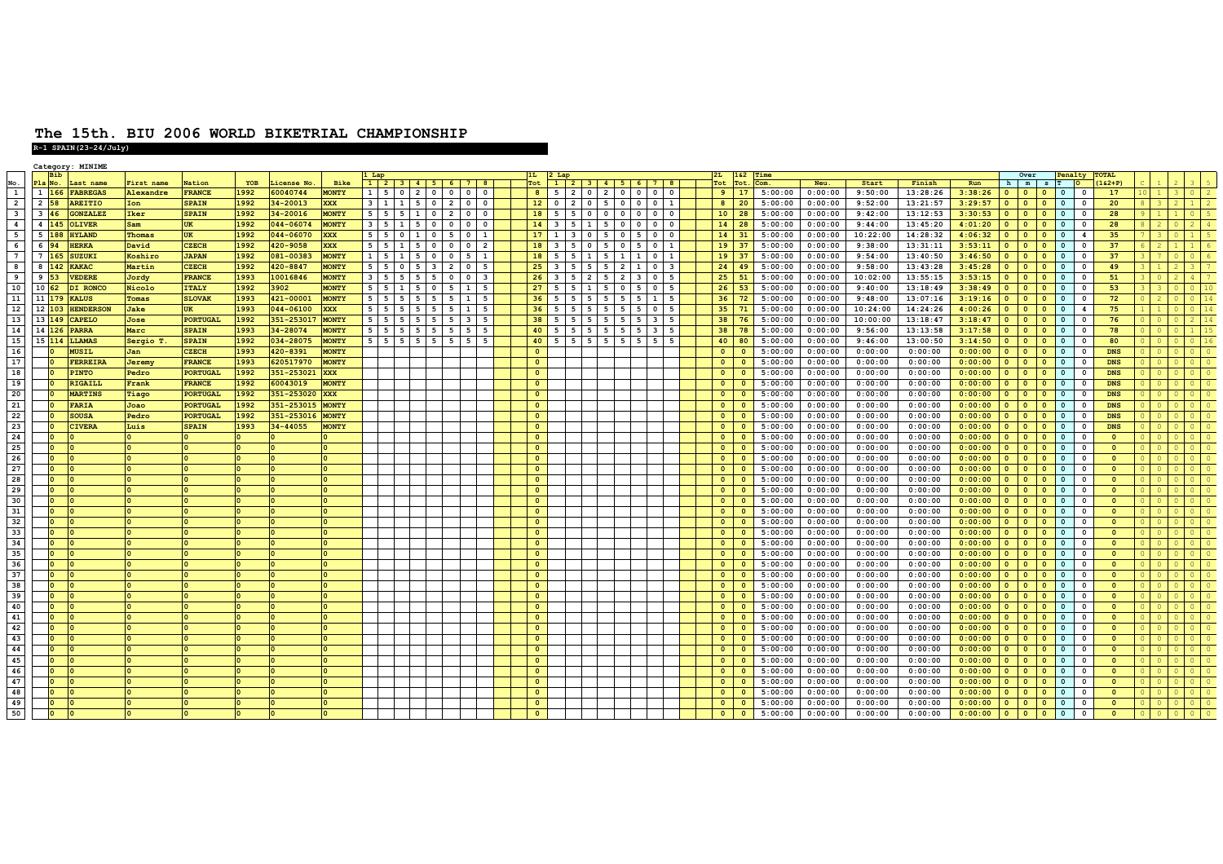|                         |                     | Category: MINIME |                   |                 |      |              |              | L Lap         |                          |                                  |                                 |                                |                         | $2$ Lat                  |                      |                             |                                           |                             |                         |               | 52       |         |         |          |          |         |            | Over                    |                         | Penaltv                    |                         | <b>TOTAL</b>                        |  |  |
|-------------------------|---------------------|------------------|-------------------|-----------------|------|--------------|--------------|---------------|--------------------------|----------------------------------|---------------------------------|--------------------------------|-------------------------|--------------------------|----------------------|-----------------------------|-------------------------------------------|-----------------------------|-------------------------|---------------|----------|---------|---------|----------|----------|---------|------------|-------------------------|-------------------------|----------------------------|-------------------------|-------------------------------------|--|--|
|                         |                     | ast name         | <b>First</b> name | <b>lation</b>   | YOB  | icense No    | Bike         |               |                          |                                  | $1$   2   3   4   5   6   7   8 |                                |                         | $\overline{1}$           |                      |                             |                                           | 2 3 4 5 6 7 8               |                         |               | tot:     |         | Neu.    | Start    | Finish   | Run     | h          | m                       |                         |                            |                         | $162 + P$                           |  |  |
| $\frac{\text{No}}{1}$   | $1 \quad 166$       | <b>FABREGAS</b>  | Alexandre         | <b>FRANCE</b>   | 1992 | 60040744     | <b>MONTY</b> | 5<br>$1 \mid$ | $\overline{\phantom{0}}$ | 2 <sup>1</sup><br>$\circ$        | $\mathbf 0$                     | $0$ 0                          | 8 <sup>1</sup>          | 5                        | $\overline{2}$       | $0 \quad 2 \quad 0 \quad 0$ |                                           | $\mathbf{0}$                | $\mathbf{0}$            | -9            | 17       | 5:00:00 | 0:00:00 | 9:50:00  | 13:28:26 | 3:38:26 |            | $\circ$                 | $\bullet$               | $\overline{\phantom{0}}$   | $\mathbf 0$             | 17                                  |  |  |
| $\overline{2}$          | 2 58                | <b>AREITIO</b>   | Ion               | <b>SPAIN</b>    | 1992 | 34-20013     | <b>XXX</b>   | $\mathbf{1}$  | 1                        | 5                                | $0\quad 2$                      | $0$ 0                          | 12                      | $\overline{\phantom{0}}$ | $\overline{2}$       |                             |                                           |                             |                         | $8 \mid 20$   |          | 5:00:00 | 0:00:00 | 9:52:00  | 13:21:57 | 3:29:57 | $\bullet$  | $\bullet$               | $\bullet$               | $\overline{\phantom{a}}$   | $\mathbf 0$             | 20                                  |  |  |
| $\overline{\mathbf{3}}$ | $3 \overline{46}$   | <b>GONZALE</b> 2 | Iker              | <b>SPAIN</b>    | 1992 | $34 - 20016$ | <b>MONTY</b> | 5             | 5                        | $1 \quad 0 \quad 2$              |                                 | $01$ 0                         | 18                      | 5                        | 5<br>$\overline{0}$  |                             |                                           | $0 \quad 0 \quad 0 \quad 0$ |                         | $10$ 28       |          | 5:00:00 | 0:00:00 | 9:42:00  | 13:12:53 | 3:30:53 |            | $\bullet$               | $\overline{0}$          | $\overline{\phantom{a}}$   | $\overline{\mathbf{0}}$ | 28                                  |  |  |
| $\overline{4}$          | $4\overline{145}$   | <b>OLIVER</b>    | Sam               |                 | 1992 | 044-06074    | <b>MONTY</b> |               |                          | 5<br>$\circ$                     | $\mathbf 0$                     | $\circ$<br>$\Omega$            | 14                      | $\overline{\mathbf{3}}$  | $\mathbf{1}$         | 5                           | $\circ$<br>$\overline{\mathbf{0}}$        | $\overline{0}$              |                         | $14 \quad 28$ |          | 5:00:00 | 0:00:00 | 9:44:00  | 13:45:20 | 4:01:20 |            | $\circ$                 | $\Omega$                | $\circ$                    | - 0                     | 28                                  |  |  |
| $5\overline{5}$         | $5\overline{188}$   | <b>HYLAND</b>    | Thomas            | UK              | 1992 | 044-06070    | <b>XXX</b>   |               |                          | $\mathbf{0}$                     | 5                               | $\circ$<br>- 1                 | 17 <sup>7</sup>         | 1                        | 3<br>$\mathbf 0$     | 5                           | $\mathbf 0$<br>5                          | $\overline{\mathbf{0}}$     |                         | 14 31         |          | 5:00:00 | 0:00:00 | 10:22:00 | 14:28:32 | 4:06:32 |            | $\circ$                 |                         | $\circ$                    | -4                      | 35                                  |  |  |
| 6                       | 6                   | <b>HERKA</b>     | David             | CZECH           | 1992 | 420-9058     | <b>XXX</b>   |               | $\mathbf{1}$             | 5 <sub>1</sub><br>$\circ$        | $\mathbf 0$                     | $\mathbf{0}$<br>$\overline{2}$ | 18                      | $\mathbf{3}$             | -5<br>$\mathbf 0$    | 5                           | $\mathbf 0$                               | $\overline{0}$              |                         | 19 37         |          | 5:00:00 | 0:00:00 | 9:38:00  | 13:31:11 | 3:53:11 |            | $\bullet$               | $\Omega$                | $\overline{\mathbf{0}}$    | $\mathbf 0$             | 37                                  |  |  |
| $\overline{7}$          | $7 \vert 165$       | <b>SUZUKI</b>    | Koshiro           | <b>JAPAN</b>    | 1992 | 081-00383    | <b>MONTY</b> |               | $\mathbf{1}$             | 5<br>$\overline{0}$              | $\mathbf 0$                     | $5 \mid 1$                     | 18                      | -5                       | 5<br>1               | 5                           | $\mathbf{1}$                              | $^{\circ}$                  |                         | 19 37         |          | 5:00:00 | 0:00:00 | 9:54:00  | 13:40:50 | 3:46:50 | $\Omega$   | $\overline{0}$          | $\Omega$                | $\overline{\mathbf{0}}$    | $\mathbf 0$             | 37                                  |  |  |
|                         |                     |                  |                   |                 |      |              |              |               |                          |                                  |                                 |                                |                         |                          |                      |                             |                                           |                             |                         |               |          |         |         |          |          |         |            |                         |                         |                            |                         |                                     |  |  |
| $\bullet$               | 8                   | 142 KAKAC        | Martin            | CZECH           | 1992 | 420-8847     | <b>MONTY</b> |               | $\mathbf{0}$             | 5 <sub>1</sub><br>3 <sup>1</sup> | $\overline{2}$                  | $0$ 5                          | 25                      | $\mathbf{3}$             | -5                   | 5                           | $2 \mid 1$                                | $\mathbf{0}$                | $\overline{\mathbf{3}}$ | 24 49         |          | 5:00:00 | 0:00:00 | 9:58:00  | 13:43:28 | 3:45:28 |            | $\Omega$                | $\overline{0}$          | $\overline{\phantom{a}}$   | $\mathbf 0$             | 49                                  |  |  |
| 9                       | 9 53                | <b>VEDERE</b>    | Jordy             | FRANCE          | 1993 | 10016846     | <b>MONTY</b> |               | 5                        | 5 <sub>1</sub><br>5 <sub>1</sub> | $\mathbf 0$                     | $0 \mid 3$                     | 26                      | 3                        | -5<br>$\overline{2}$ | 5                           | 2 <sup>1</sup><br>$\overline{\mathbf{3}}$ | $\overline{\mathbf{0}}$     |                         | $25 \mid 51$  |          | 5:00:00 | 0:00:00 | 10:02:00 | 13:55:15 | 3:53:15 |            | $\bullet$               | $\Omega$                | $\overline{\mathbf{0}}$    | $\mathbf 0$             | 51                                  |  |  |
| 10                      | 10 62               | DI RONCO         | Nicolo            | <b>ITALY</b>    | 1992 | 3902         | <b>MONTY</b> |               |                          | 5<br>$\circ$                     | 5<br>$\mathbf{1}$               |                                | 27                      | 5                        | $\mathbf{1}$         | 5                           | $\circ$<br>5                              | $\overline{0}$              |                         | 26            | 53       | 5:00:00 | 0:00:00 | 9:40:00  | 13:18:49 | 3:38:49 |            | $\mathbf{0}$            | $\Omega$                | $\circ$                    | $\mathbf 0$             | 53                                  |  |  |
| 11                      | 11                  | <b>KALUS</b>     | <b>Tomas</b>      | <b>SLOVAK</b>   | 1993 | 421-00001    | <b>MONTY</b> |               |                          | $5\overline{5}$<br>5             | 5                               | $\mathbf{1}$                   | 36                      | -5                       |                      | 5                           |                                           |                             |                         | $36$ 72       |          | 5:00:00 | 0:00:00 | 9:48:00  | 13:07:16 | 3:19:16 |            | $\mathbf{0}$            |                         | $\circ$                    | $\Omega$                | 72                                  |  |  |
| 12                      | 12                  | <b>HENDERSOI</b> | Jake              | UК              | 1993 | 044-06100    | <b>XXX</b>   |               |                          | 5<br>5                           | 5<br>$\mathbf{1}$               | -5                             | 36 <sup>°</sup>         | -5                       | 5<br>5               | 5                           | 5                                         | $\Omega$                    |                         | 35            | 71       | 5:00:00 | 0:00:00 | 10:24:00 | 14:24:26 | 4:00:26 |            | $\Omega$                | $\Omega$                | $\Omega$                   | $\overline{4}$          | 75                                  |  |  |
| 13                      | 13                  | <b>CAPELO</b>    | Jose              | <b>PORTUGAL</b> | 1992 | 351-253017   | <b>MONTY</b> |               |                          | 5 <sub>1</sub><br>5 <sub>1</sub> | 5                               | 3 <sup>1</sup><br>- 5          | 38                      | -5                       | 5                    | 5                           | 5                                         | $\overline{\mathbf{3}}$     |                         | 38            | 76       | 5:00:00 | 0:00:00 | 10:00:00 | 13:18:47 | 3:18:47 |            | $\bullet$               | $\Omega$                | $\overline{\phantom{a}}$   | $\mathbf 0$             | 76                                  |  |  |
| 14                      | $14 \overline{126}$ | <b>PARRA</b>     | Marc              | <b>SPAIN</b>    | 1993 | 34-28074     | <b>MONTY</b> |               | 5                        | 5 <sub>1</sub><br>5 <sub>1</sub> | 5                               | - 5 I<br>- 5                   | 40                      | 5                        | 5<br>5               | 5                           | 5<br>5                                    | $\mathbf{3}$                |                         | 38            | 78       | 5:00:00 | 0:00:00 | 9:56:00  | 13:13:58 | 3:17:58 |            | $\overline{0}$          | $\Omega$                | $\overline{\mathbf{0}}$    | $\mathbf 0$             | 78                                  |  |  |
| 15                      | 15                  | LLAMAS           | Sergio T.         | <b>SPAIN</b>    | 1992 | 034-28075    | <b>MONTY</b> | 5             | 5 <sup>5</sup>           | 5 <sub>5</sub><br>5              | 5                               | $5 \quad 5$                    | 40                      | -5                       | 5<br>5               | 5 <sub>5</sub>              | $5 \mid 5$                                | 5                           | - 5                     | 40            | 80       | 5:00:00 | 0:00:00 | 9:46:00  | 13:00:50 | 3:14:50 |            | $\circ$                 | $\Omega$                | $\overline{\phantom{0}}$   | $\mathbf 0$             | 80                                  |  |  |
| 16                      |                     | <b>MUSIL</b>     | Jan               | <b>CZECH</b>    | 1993 | 420-8391     | <b>MONTY</b> |               |                          |                                  |                                 |                                | $\circ$                 |                          |                      |                             |                                           |                             |                         | $\circ$       | $\Omega$ | 5:00:00 | 0:00:00 | 0:00:00  | 0:00:00  | 0:00:00 |            | $\bullet$               | $\overline{0}$          | $\overline{\phantom{a}}$ 0 | $\mathbf 0$             | <b>DNS</b>                          |  |  |
| 17                      |                     | <b>FERREIRA</b>  | Jeremy            | FRANCE          | 1993 | 620517970    | <b>MONTY</b> |               |                          |                                  |                                 |                                | $\Omega$                |                          |                      |                             |                                           |                             |                         | $\bullet$     | $\Omega$ | 5:00:00 | 0:00:00 | 0:00:00  | 0:00:00  | 0:00:00 |            | $\mathbf{0}$            | $\Omega$                | $\overline{\mathbf{0}}$    | $\mathbf 0$             | <b>DNS</b>                          |  |  |
| 18                      |                     | PINTO            | Pedro             | <b>PORTUGAL</b> | 1992 | 351-253021   | <b>XXX</b>   |               |                          |                                  |                                 |                                | $\overline{0}$          |                          |                      |                             |                                           |                             |                         | $\bullet$     |          | 5:00:00 | 0:00:00 | 0:00:00  | 0:00:00  | 0:00:00 |            | $\circ$                 | $\circ$                 | $\overline{\mathbf{0}}$    | $\mathbf 0$             | <b>DNS</b>                          |  |  |
| 19                      |                     | RIGAILI          | Frank             | <b>FRANCE</b>   | 1992 | 60043019     | <b>MONTY</b> |               |                          |                                  |                                 |                                | $\Omega$                |                          |                      |                             |                                           |                             |                         | $\circ$       |          | 5:00:00 | 0:00:00 | 0:00:00  | 0:00:00  | 0:00:00 |            | $\Omega$                | $\Omega$                | $\overline{0}$             | $\mathbf{0}$            | <b>DNS</b>                          |  |  |
| 20                      |                     | <b>MARTINS</b>   | Tiago             | <b>PORTUGAL</b> | 1992 | 351-253020   | <b>XXX</b>   |               |                          |                                  |                                 |                                | $\circ$                 |                          |                      |                             |                                           |                             |                         | $\bullet$     |          | 5:00:00 | 0:00:00 | 0:00:00  | 0:00:00  | 0:00:00 |            | $\bullet$               | $\overline{\mathbf{0}}$ | $\overline{\phantom{a}}$   | $\overline{\mathbf{0}}$ | <b>DNS</b>                          |  |  |
| 21                      |                     | <b>FARIA</b>     | Joao              | <b>PORTUGAL</b> | 1992 | 351-253015   | <b>MONTY</b> |               |                          |                                  |                                 |                                | $\circ$                 |                          |                      |                             |                                           |                             |                         | $\bullet$     |          | 5:00:00 | 0:00:00 | 0:00:00  | 0:00:00  | 0:00:00 |            | $\bullet$               | $\circ$                 | $\overline{\phantom{a}}$   | $\mathbf 0$             | <b>DNS</b>                          |  |  |
| 22                      |                     | <b>SOUSA</b>     | Pedro             | <b>PORTUGAL</b> | 1992 | 351-253016   | <b>MONTY</b> |               |                          |                                  |                                 |                                | $\Omega$                |                          |                      |                             |                                           |                             |                         | $\Omega$      | $\Omega$ | 5:00:00 | 0:00:00 | 0:00:00  | 0:00:00  | 0:00:00 |            | $\circ$                 | $\Omega$                | $\overline{\phantom{0}}$   | $\circ$                 | <b>DNS</b>                          |  |  |
| 23                      |                     | <b>CIVERA</b>    | Luis              | <b>SPAIN</b>    | 1993 | 34-44055     | <b>MONTY</b> |               |                          |                                  |                                 |                                |                         |                          |                      |                             |                                           |                             |                         | $\bullet$     |          | 5:00:00 | 0:00:00 | 0:00:00  | 0:00:00  | 0:00:00 |            | $\mathbf{0}$            | $\Omega$                | $\overline{\phantom{a}}$   | $\mathbf 0$             | <b>DNS</b>                          |  |  |
| 24                      |                     |                  |                   |                 |      |              |              |               |                          |                                  |                                 |                                | $\overline{0}$          |                          |                      |                             |                                           |                             |                         | $\bullet$     | $\circ$  | 5:00:00 | 0:00:00 | 0:00:00  | 0:00:00  | 0:00:00 |            | $\bullet$               | $\overline{\mathbf{0}}$ | $\overline{\phantom{0}}$   | $\mathbf{0}$            | $\overline{0}$                      |  |  |
| 25                      |                     |                  |                   |                 |      |              |              |               |                          |                                  |                                 |                                | $\overline{0}$          |                          |                      |                             |                                           |                             |                         | $\circ$       | $\Omega$ | 5:00:00 | 0:00:00 | 0:00:00  | 0:00:00  | 0:00:00 |            | $\circ$                 | $\overline{0}$          | $\overline{\phantom{a}}$   | $\mathbf 0$             | $\overline{\mathbf{0}}$             |  |  |
| 26                      |                     |                  |                   |                 |      |              |              |               |                          |                                  |                                 |                                | $\Omega$                |                          |                      |                             |                                           |                             |                         | $\bullet$     |          | 5:00:00 | 0:00:00 | 0:00:00  | 0:00:00  | 0:00:00 |            | $\overline{\mathbf{0}}$ | $\overline{0}$          | $\overline{\phantom{a}}$   | $\Omega$                | $\Omega$                            |  |  |
| 27                      |                     |                  |                   |                 |      |              |              |               |                          |                                  |                                 |                                |                         |                          |                      |                             |                                           |                             |                         | $\circ$       |          | 5:00:00 | 0:00:00 | 0:00:00  | 0:00:00  | 0:00:00 |            |                         | $\overline{0}$          | $\overline{\phantom{a}}$   | $\Omega$                | $\Omega$                            |  |  |
| 28                      |                     |                  |                   |                 |      |              |              |               |                          |                                  |                                 |                                | $\mathbf{0}$<br>$\circ$ |                          |                      |                             |                                           |                             |                         |               |          |         |         |          |          |         | $\circ$    | $\bullet$               |                         |                            | $\mathbf 0$             |                                     |  |  |
| 29                      |                     |                  |                   |                 |      |              |              |               |                          |                                  |                                 |                                |                         |                          |                      |                             |                                           |                             |                         | $\bullet$     |          | 5:00:00 | 0:00:00 | 0:00:00  | 0:00:00  | 0:00:00 |            | $\bullet$               | $\bullet$               | $\overline{\phantom{a}}$   |                         | $\overline{\mathbf{0}}$<br>$\Omega$ |  |  |
|                         |                     |                  |                   |                 |      |              |              |               |                          |                                  |                                 |                                | $\Omega$                |                          |                      |                             |                                           |                             |                         | $\Omega$      | $\Omega$ | 5:00:00 | 0:00:00 | 0:00:00  | 0:00:00  | 0:00:00 |            | $\mathbf{0}$            | $\Omega$                | $\overline{\phantom{a}}$   | $\mathbf 0$             |                                     |  |  |
| 30<br>31                |                     |                  |                   |                 |      |              |              |               |                          |                                  |                                 |                                | $\Omega$                |                          |                      |                             |                                           |                             |                         | $\circ$       |          | 5:00:00 | 0:00:00 | 0:00:00  | 0:00:00  | 0:00:00 |            | $\bullet$               | $\overline{0}$          | $\overline{\phantom{a}}$   | $\mathbf 0$             | $\Omega$                            |  |  |
|                         |                     |                  |                   |                 |      |              |              |               |                          |                                  |                                 |                                | $\circ$                 |                          |                      |                             |                                           |                             |                         | $\circ$       | $\Omega$ | 5:00:00 | 0:00:00 | 0:00:00  | 0:00:00  | 0:00:00 |            | $\bullet$               | $\overline{0}$          | $\overline{\mathbf{0}}$    | $\mathbf 0$             | $\overline{\mathbf{0}}$             |  |  |
| 32                      |                     |                  |                   |                 |      |              |              |               |                          |                                  |                                 |                                | $\overline{0}$          |                          |                      |                             |                                           |                             |                         | $\bullet$     | $\Omega$ | 5:00:00 | 0:00:00 | 0:00:00  | 0:00:00  | 0:00:00 |            | $\bullet$               | $\Omega$                | $\overline{\phantom{0}}$   | $\mathbf 0$             | $\overline{0}$                      |  |  |
| 33                      |                     |                  |                   |                 |      |              |              |               |                          |                                  |                                 |                                | $\overline{0}$          |                          |                      |                             |                                           |                             |                         | $\bullet$     |          | 5:00:00 | 0:00:00 | 0:00:00  | 0:00:00  | 0:00:00 |            | $\circ$                 | $\overline{0}$          | $\overline{\phantom{a}}$   | $\mathbf 0$             | $\overline{0}$                      |  |  |
| 34                      |                     |                  |                   |                 |      |              |              |               |                          |                                  |                                 |                                | $\mathbf{0}$            |                          |                      |                             |                                           |                             |                         | $\circ$       | $\Omega$ | 5:00:00 | 0:00:00 | 0:00:00  | 0:00:00  | 0:00:00 | $^{\circ}$ | $\bullet$               | $\overline{0}$          | $\overline{\phantom{a}}$   | $\mathbf 0$             | $\overline{0}$                      |  |  |
| 35                      |                     |                  |                   |                 |      |              |              |               |                          |                                  |                                 |                                | $\mathbf{0}$            |                          |                      |                             |                                           |                             |                         | $\bullet$     |          | 5:00:00 | 0:00:00 | 0:00:00  | 0:00:00  | 0:00:00 |            | $\bullet$               | $\overline{0}$          | $\overline{\phantom{a}}$   | $\mathbf 0$             | $\overline{\mathbf{0}}$             |  |  |
| 36                      |                     |                  |                   |                 |      |              |              |               |                          |                                  |                                 |                                | $\Omega$                |                          |                      |                             |                                           |                             |                         | $\mathbf{0}$  | $\Omega$ | 5:00:00 | 0:00:00 | 0:00:00  | 0:00:00  | 0:00:00 |            | $\mathbf{0}$            | $\Omega$                | $\overline{\phantom{0}}$   | $\mathbf 0$             | $\Omega$                            |  |  |
| 37                      |                     |                  |                   |                 |      |              |              |               |                          |                                  |                                 |                                | $\circ$                 |                          |                      |                             |                                           |                             |                         | $\bullet$     |          | 5:00:00 | 0:00:00 | 0:00:00  | 0:00:00  | 0:00:00 |            | $\bullet$               | $\bullet$               | $\overline{\phantom{a}}$   | $\mathbf 0$             | $\mathbf{o}$                        |  |  |
| 38                      |                     |                  |                   |                 |      |              |              |               |                          |                                  |                                 |                                | $\circ$                 |                          |                      |                             |                                           |                             |                         | $\circ$       |          | 5:00:00 | 0:00:00 | 0:00:00  | 0:00:00  | 0:00:00 |            | $\circ$                 | $\Omega$                | $\overline{\mathbf{0}}$    | $\mathbf 0$             | $\overline{0}$                      |  |  |
| 39                      |                     |                  |                   |                 |      |              |              |               |                          |                                  |                                 |                                | $\overline{0}$          |                          |                      |                             |                                           |                             |                         | $\bullet$     |          | 5:00:00 | 0:00:00 | 0:00:00  | 0:00:00  | 0:00:00 |            | $\bullet$               | $\Omega$                | $\overline{\phantom{a}}$   | $\mathbf 0$             | $\overline{0}$                      |  |  |
| 40                      |                     |                  |                   |                 |      |              |              |               |                          |                                  |                                 |                                | $\overline{0}$          |                          |                      |                             |                                           |                             |                         | $\circ$       |          | 5:00:00 | 0:00:00 | 0:00:00  | 0:00:00  | 0:00:00 |            | $\overline{\mathbf{0}}$ | $\overline{0}$          | $\overline{\phantom{a}}$   | $\mathbf 0$             | $\overline{0}$                      |  |  |
| 41                      |                     |                  |                   |                 |      |              |              |               |                          |                                  |                                 |                                | $\circ$                 |                          |                      |                             |                                           |                             |                         | $\circ$       |          | 5:00:00 | 0:00:00 | 0:00:00  | 0:00:00  | 0:00:00 |            | $\bullet$               | $\overline{0}$          | $\overline{\phantom{a}}$   | $\mathbf 0$             | $\overline{0}$                      |  |  |
| 42                      |                     |                  |                   |                 |      |              |              |               |                          |                                  |                                 |                                | $\Omega$                |                          |                      |                             |                                           |                             |                         | $\bullet$     |          | 5:00:00 | 0:00:00 | 0:00:00  | 0:00:00  | 0:00:00 | $\Omega$   | $\Omega$                | $\overline{0}$          | $\overline{\phantom{0}}$   | $\mathbf 0$             | $\overline{0}$                      |  |  |
| 43                      |                     |                  |                   |                 |      |              |              |               |                          |                                  |                                 |                                | $\Omega$                |                          |                      |                             |                                           |                             |                         | $\bullet$     |          | 5:00:00 | 0:00:00 | 0:00:00  | 0:00:00  | 0:00:00 |            | $\bullet$               | $\Omega$                | $\overline{\phantom{a}}$   | $\overline{\mathbf{0}}$ | $\mathbf{o}$                        |  |  |
| 44                      |                     |                  |                   |                 |      |              |              |               |                          |                                  |                                 |                                | $\circ$                 |                          |                      |                             |                                           |                             |                         | $\circ$       |          | 5:00:00 | 0:00:00 | 0:00:00  | 0:00:00  | 0:00:00 |            | $\bullet$               | $\overline{0}$          | $\overline{\mathbf{0}}$    | $\overline{\mathbf{0}}$ | $\overline{0}$                      |  |  |
| 45                      |                     |                  |                   |                 |      |              |              |               |                          |                                  |                                 |                                | $\Omega$                |                          |                      |                             |                                           |                             |                         | $\circ$       |          | 5:00:00 | 0:00:00 | 0:00:00  | 0:00:00  | 0:00:00 |            | $\circ$                 | $\Omega$                | $\overline{\mathbf{0}}$    | $\mathbf 0$             | $\overline{0}$                      |  |  |
| 46                      |                     |                  |                   |                 |      |              |              |               |                          |                                  |                                 |                                | $\Omega$                |                          |                      |                             |                                           |                             |                         | $\bullet$     | $\Omega$ | 5:00:00 | 0:00:00 | 0:00:00  | 0:00:00  | 0:00:00 |            | $\bullet$               | $\overline{\mathbf{0}}$ | $\overline{\phantom{a}}$   | $\Omega$                | $\Omega$                            |  |  |
| 47                      |                     |                  |                   |                 |      |              |              |               |                          |                                  |                                 |                                | $\circ$                 |                          |                      |                             |                                           |                             |                         | $\circ$       |          | 5:00:00 | 0:00:00 | 0:00:00  | 0:00:00  | 0:00:00 |            | $\bullet$               | $\bullet$               | $\overline{\phantom{a}}$   | $\mathbf 0$             | $\mathbf{0}$                        |  |  |
| 48                      |                     |                  |                   |                 |      |              |              |               |                          |                                  |                                 |                                | $\Omega$                |                          |                      |                             |                                           |                             |                         | $\circ$       |          | 5:00:00 | 0:00:00 | 0:00:00  | 0:00:00  | 0:00:00 | റ          | $\circ$                 | $\circ$                 | $\overline{\phantom{a}}$   | $\mathbf 0$             | $\Omega$                            |  |  |
| 49                      |                     |                  |                   |                 |      |              |              |               |                          |                                  |                                 |                                |                         |                          |                      |                             |                                           |                             |                         | $\circ$       | $\Omega$ | 5:00:00 | 0:00:00 | 0:00:00  | 0:00:00  | 0:00:00 |            | $\bullet$               | $\overline{0}$          | $\overline{\phantom{a}}$   | $\Omega$                | $\Omega$                            |  |  |
| 50                      |                     |                  |                   |                 |      |              |              |               |                          |                                  |                                 |                                | $\overline{0}$          |                          |                      |                             |                                           |                             |                         | $\bullet$     | $\Omega$ | 5:00:00 | 0:00:00 | 0:00:00  | 0:00:00  | 0:00:00 | $\circ$    | $\bullet$               | $\bullet$               | $\overline{0}$             | $\mathbf 0$             |                                     |  |  |
|                         |                     |                  |                   |                 |      |              |              |               |                          |                                  |                                 |                                |                         |                          |                      |                             |                                           |                             |                         |               |          |         |         |          |          |         |            |                         |                         |                            |                         |                                     |  |  |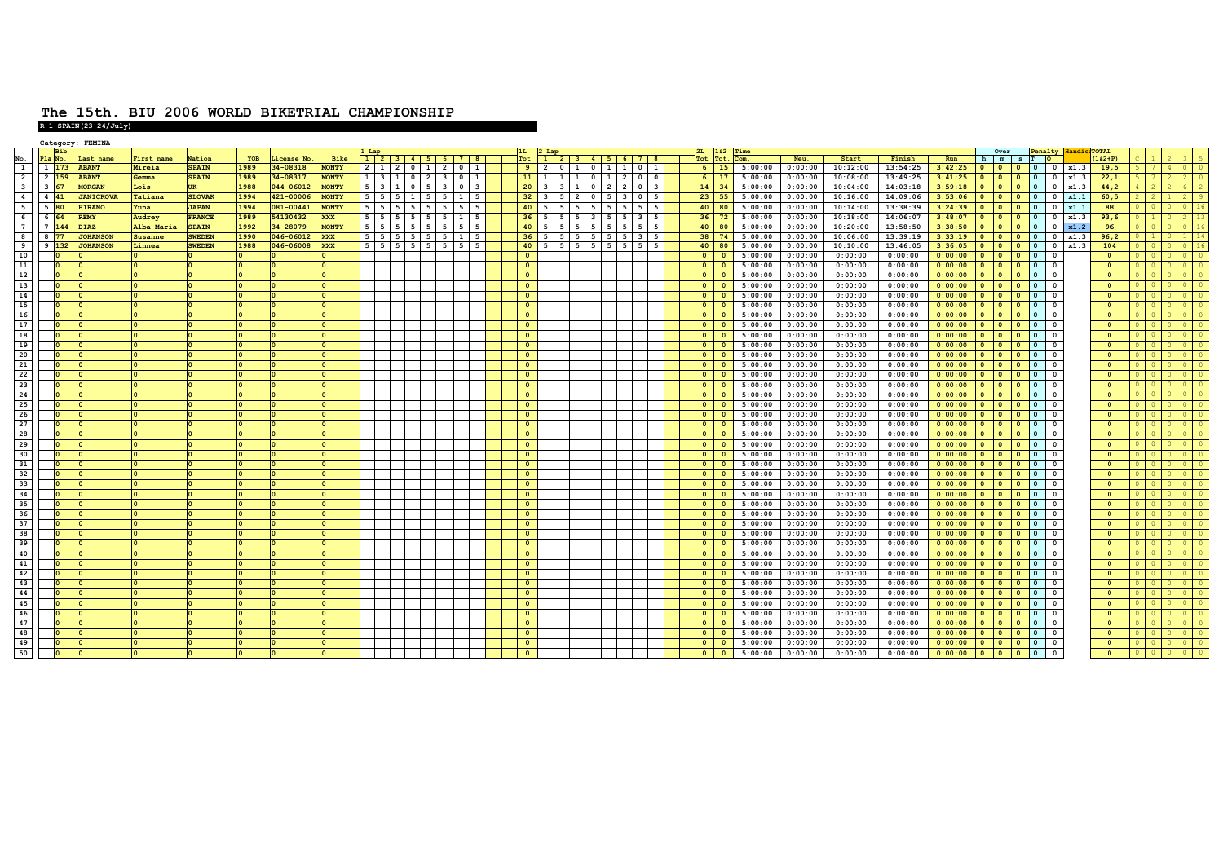## **The 15th. BIU 2006 WORLD BIKETRIAL CHAMPIONSHIP R-1 SPAIN(23-24/July)**

|                         |                     | Category: FEMINA                  |                              |                               |              |                      |                              |                                                                                  |            |                                                      |   |                |                                                              |  |           |  |                                    |                    |                    |                      |                      |                                |                   |         |                                 |                         |  |                                               |
|-------------------------|---------------------|-----------------------------------|------------------------------|-------------------------------|--------------|----------------------|------------------------------|----------------------------------------------------------------------------------|------------|------------------------------------------------------|---|----------------|--------------------------------------------------------------|--|-----------|--|------------------------------------|--------------------|--------------------|----------------------|----------------------|--------------------------------|-------------------|---------|---------------------------------|-------------------------|--|-----------------------------------------------|
|                         | <b>Bib</b>          |                                   |                              |                               |              |                      |                              |                                                                                  |            |                                                      |   |                |                                                              |  |           |  | $2L$ 162                           | Time               |                    |                      |                      |                                | Over              |         | Penalty Handi                   | TOTAL                   |  |                                               |
| No.<br><sup>1</sup>     | Pla No.             | Last name                         | First name                   | Nation                        | YOB<br>1989  | License No.          | Bike                         |                                                                                  |            | 1 2 3 4 5 6 7 8                                      |   | Tot            | 1 2 3 4 5 6 7 8                                              |  |           |  | Tot Tot.                           | Com.               | Neu.               | Start                | Finish               | Run                            | h   m   s   T   O |         |                                 | $(162 + P)$             |  |                                               |
| $\overline{2}$          | 1 173<br>2 159      | <b>ABANT</b><br><b>ABANT</b>      | Mireia<br>Gemma              | <b>SPAIN</b><br><b>SPAIN</b>  | 1989         | 34-08318<br>34-08317 | <b>MONTY</b><br><b>MONTY</b> | 131023                                                                           |            | 2 1 2 0 1 2 0 1                                      |   |                | 9 2 0 1 0 1 1 0 1<br>$11$ 1 1 1 0 1 2 0 0                    |  |           |  | $6 \mid 15$<br>$6 \mid 17$         | 5:00:00<br>5:00:00 | 0:00:00<br>0:00:00 | 10:12:00<br>10:08:00 | 13:54:25<br>13:49:25 | $3:42:25$ 0 0 0 0 0            |                   |         | $0 \mid x1.3$<br>$0 \mid x1.3$  | 19,5                    |  | $\overline{\phantom{0}}$                      |
| $\overline{\mathbf{3}}$ |                     |                                   |                              |                               |              | 044-06012            |                              |                                                                                  |            |                                                      |   |                |                                                              |  |           |  |                                    |                    | 0:00:00            |                      |                      | 3:41:25                        |                   |         |                                 | 22,1                    |  | $\vert$ 2                                     |
| $\overline{4}$          | 3 67<br>$4 \mid 41$ | <b>MORGAN</b>                     | Lois                         | <b>UK</b>                     | 1988         | 421-00006            | <b>MONTY</b>                 | $5 \mid 3 \mid 1 \mid 0 \mid 5 \mid 3$                                           |            | 0 3                                                  | 5 |                | $20 \mid 3 \mid 3 \mid 1 \mid 0 \mid 2 \mid 2 \mid 0 \mid 3$ |  |           |  | $14 \mid 34$                       | 5:00:00            | 0:00:00            | 10:04:00             | 14:03:18             | 3:59:18                        |                   |         | $0 \mid x1.3$                   | 44,2                    |  | $\overline{9}$                                |
|                         | 5 80                | <b>JANICKOVA</b><br><b>HIRANO</b> | Tatiana                      | <b>SLOVAK</b><br><b>JAPAN</b> | 1994         | 081-00441            | <b>MONTY</b><br><b>MONTY</b> | $5 \mid 5 \mid 5 \mid 1$                                                         | $5 \mid 5$ | $\mathbf{1}$<br>55                                   |   |                | $32$ 3 5 2 0 5 3 0<br>$40$ 5 5 5 5 5 5 5 5 5 5               |  | 5         |  | $23 \mid 55$<br>$40$ 80            | 5:00:00<br>5:00:00 | 0:00:00            | 10:16:00             | 14:09:06<br>13:38:39 | 3:53:06                        |                   | $\circ$ | x1.1<br>$\overline{0}$          | 60, 5<br>88             |  |                                               |
| 5<br>6                  | 6 64                | <b>REMY</b>                       | Yuna<br>Audrey               | <b>FRANCE</b>                 | 1994<br>1989 |                      | <b>XXX</b>                   | $5 \mid 5 \mid 5 \mid 5 \mid 5 \mid 5$                                           |            |                                                      |   |                |                                                              |  | -5        |  |                                    |                    |                    | 10:14:00             |                      | 3:24:39                        |                   |         | $\circ$<br>x1.1                 |                         |  | $0 \mid 16$                                   |
|                         | 7 144               |                                   |                              |                               |              | 54130432<br>34-28079 | <b>MONTY</b>                 |                                                                                  |            | $5 \mid 5 \mid 5 \mid 5 \mid 5 \mid 5 \mid 1 \mid 5$ |   |                | $36$ 5 5 5 5 3 5 5 3 5                                       |  |           |  | $36$ 72                            | 5:00:00            | 0:00:00            | 10:18:00             | 14:06:07             | $3:48:07$ 0 0 0 0 0            |                   |         | $0 \mid x1.3$                   | 93,6                    |  | 0   16                                        |
| 7<br>8                  | 8 77                | <b>DIAZ</b><br><b>JOHANSON</b>    | Alba Maria<br><b>Susanne</b> | <b>SPAIN</b><br><b>SWEDEN</b> | 1992<br>1990 | 046-06012            | <b>XXX</b>                   | $5 \mid 5 \mid 5 \mid 5 \mid 5 \mid 5$<br>$5 \mid 5 \mid 5 \mid 5 \mid 5 \mid 5$ |            | $5 \quad 5$<br>15                                    |   |                | $40$ 5 5 5 5 5 5 5 5 5<br>$36$ 5 5 5 5 5 5 5 5 3             |  | -5<br>-5. |  | $40$ 80<br>38 74                   | 5:00:00<br>5:00:00 | 0:00:00<br>0:00:00 | 10:20:00<br>10:06:00 | 13:58:50<br>13:39:19 | 3:38:50<br>$3:33:19$ 0 0 0 0 0 |                   |         | $0 \mid x1.2$<br>$0 \times 1.3$ | 96<br>96,2              |  | $1 \mid 14$                                   |
| - 9                     | $9 \vert 132 \vert$ | <b>JOHANSON</b>                   | Linnea                       | <b>SWEDEN</b>                 | 1988         | 046-06008 XXX        |                              |                                                                                  |            | $5$ 5 5 5 5 5 5 5 5 5                                |   |                | $40$ 5 5 5 5 5 5 5 5 5 5                                     |  |           |  | $40$ 80                            | 5:00:00            | 0:00:00            | 10:10:00             | 13:46:05             | $3:36:05$ 0 0 0 0 0            |                   |         | $0 \mid x1.3$                   | 104                     |  | $0 \mid 16$                                   |
| 10                      | I٥                  |                                   |                              |                               |              |                      |                              |                                                                                  |            |                                                      |   | $\mathbf{0}$   |                                                              |  |           |  | $\bullet$<br>$\bullet$             | 5:00:00            | 0:00:00            | 0:00:00              | 0:00:00              | $0:00:00$ 0 0 0 0 0            |                   |         | $\overline{\mathbf{0}}$         | $\bullet$               |  | 0 0                                           |
| 11                      | $\Omega$            |                                   |                              |                               |              |                      |                              |                                                                                  |            |                                                      |   | $\mathbf{0}$   |                                                              |  |           |  | $\bullet$<br>$\mathbf{0}$          | 5:00:00            | 0:00:00            | 0:00:00              | 0:00:00              | 0:00:00                        | 0 0 0 0           |         | $\overline{\mathbf{0}}$         | $\Omega$                |  | $\overline{0}$                                |
| 12                      |                     |                                   |                              |                               |              |                      |                              |                                                                                  |            |                                                      |   | $\Omega$       |                                                              |  |           |  | $\circ$<br>$\Omega$                | 5:00:00            | 0:00:00            | 0:00:00              | 0:00:00              | 0:00:00                        |                   |         | $\overline{\mathbf{0}}$         | $\Omega$                |  | 0 0                                           |
| 13                      | $\overline{0}$      |                                   |                              |                               |              | ١o                   |                              |                                                                                  |            |                                                      |   | $\circ$        |                                                              |  |           |  | $\circ$<br>$\mathbf{0}$            | 5:00:00            | 0:00:00            | 0:00:00              | 0:00:00              | 0:00:00                        |                   |         | $\overline{\mathbf{0}}$         | $\Omega$                |  | $\begin{array}{c} \circ \\ \circ \end{array}$ |
| 14                      |                     |                                   |                              |                               |              |                      |                              |                                                                                  |            |                                                      |   | $\circ$        |                                                              |  |           |  | $\bullet$<br>$\Omega$              | 5:00:00            | 0:00:00            | 0:00:00              | 0:00:00              | 0:00:00                        |                   |         | $\Omega$                        | $\sqrt{2}$              |  | $\overline{1}$ 0                              |
| 15                      | I٥                  |                                   |                              |                               |              |                      |                              |                                                                                  |            |                                                      |   | $\bullet$      |                                                              |  |           |  | $\bullet$<br>$\mathbf{0}$          | 5:00:00            | 0:00:00            | 0:00:00              | 0:00:00              | 0:00:00                        | 0 0 0             |         | $\overline{\mathbf{0}}$         | $\overline{\mathbf{0}}$ |  | 0 0                                           |
| 16 <sup>1</sup>         | $\overline{0}$      |                                   |                              |                               |              |                      |                              |                                                                                  |            |                                                      |   | $\circ$        |                                                              |  |           |  | $\Omega$<br>$\circ$                | 5:00:00            | 0:00:00            | 0:00:00              | 0:00:00              | $0:00:00$ 0 0 0 0 0            |                   |         | $\overline{\mathbf{0}}$         | $\Omega$                |  | 0 0                                           |
| 17                      |                     |                                   |                              |                               |              |                      |                              |                                                                                  |            |                                                      |   | $\circ$        |                                                              |  |           |  | $\bullet$<br>$\mathbf{0}$          | 5:00:00            | 0:00:00            | 0:00:00              | 0:00:00              | 0:00:00                        | 0 0 0             |         | $\overline{\mathbf{0}}$         | $\overline{\mathbf{0}}$ |  |                                               |
| 18                      |                     |                                   |                              |                               |              |                      |                              |                                                                                  |            |                                                      |   | $\mathbf{0}$   |                                                              |  |           |  | $\circ$<br>$\overline{\mathbf{0}}$ | 5:00:00            | 0:00:00            | 0:00:00              | 0:00:00              | 0:00:00                        | 0 0 0 0           |         | $\overline{\mathbf{0}}$         | $\Omega$                |  | $\overline{1}$ 0                              |
| 19                      |                     |                                   |                              |                               |              |                      |                              |                                                                                  |            |                                                      |   | $\mathbf{0}$   |                                                              |  |           |  | $\bullet$<br>$\mathbf{0}$          | 5:00:00            | 0:00:00            | 0:00:00              | 0:00:00              | 0:00:00                        |                   |         | $\overline{\mathbf{0}}$         | $\sqrt{2}$              |  | 0 0                                           |
| 20                      |                     |                                   |                              |                               |              |                      |                              |                                                                                  |            |                                                      |   | $\circ$        |                                                              |  |           |  | $\circ$<br>$\mathbf{0}$            | 5:00:00            | 0:00:00            | 0:00:00              | 0:00:00              | 0:00:00                        |                   |         | $\Omega$                        | $\overline{\mathbf{0}}$ |  | 0 <sub>0</sub>                                |
| 21                      | $\overline{0}$      |                                   |                              |                               |              |                      |                              |                                                                                  |            |                                                      |   | $\overline{0}$ |                                                              |  |           |  | $\bullet$<br>$\Omega$              | 5:00:00            | 0:00:00            | 0:00:00              | 0:00:00              | $0:00:00$ 0 0 0 0 0            |                   |         | $\overline{\mathbf{0}}$         | $\overline{\mathbf{0}}$ |  | 0 0                                           |
| 22                      | n                   |                                   |                              |                               |              |                      |                              |                                                                                  |            |                                                      |   | $\circ$        |                                                              |  |           |  | $\bullet$<br>$\mathbf{0}$          | 5:00:00            | 0:00:00            | 0:00:00              | 0:00:00              | $0:00:00$ 0 0 0 0 0            |                   |         | $\overline{\mathbf{0}}$         | $\overline{\mathbf{0}}$ |  | 0 0                                           |
| 23                      |                     |                                   |                              |                               |              |                      |                              |                                                                                  |            |                                                      |   | $\mathbf{0}$   |                                                              |  |           |  | $\circ$<br>$\Omega$                | 5:00:00            | 0:00:00            | 0:00:00              | 0:00:00              | 0:00:00                        |                   |         | $\overline{\mathbf{0}}$         | $\sqrt{2}$              |  |                                               |
| 24                      |                     |                                   |                              |                               |              |                      |                              |                                                                                  |            |                                                      |   | $\bullet$      |                                                              |  |           |  | $\bullet$<br>$\mathbf{0}$          | 5:00:00            | 0:00:00            | 0:00:00              | 0:00:00              | 0:00:00                        |                   |         | $\Omega$                        | $\sqrt{2}$              |  | $\overline{1}$ 0                              |
| 25                      |                     |                                   |                              |                               |              |                      |                              |                                                                                  |            |                                                      |   | $\circ$        |                                                              |  |           |  | $\circ$<br>$\mathbf{o}$            | 5:00:00            | 0:00:00            | 0:00:00              | 0:00:00              | 0:00:00                        |                   |         | $\overline{\mathbf{0}}$         | $\sqrt{2}$              |  | $\overline{1}$ 0                              |
| 26                      |                     |                                   |                              |                               |              |                      |                              |                                                                                  |            |                                                      |   | $\overline{0}$ |                                                              |  |           |  | $\bullet$<br>$\Omega$              | 5:00:00            | 0:00:00            | 0:00:00              | 0:00:00              | 0:00:00                        |                   |         | $\overline{\mathbf{0}}$         | $\sqrt{2}$              |  | 0 0                                           |
| 27                      | I٥                  |                                   |                              |                               |              |                      |                              |                                                                                  |            |                                                      |   | $\overline{0}$ |                                                              |  |           |  | $\bullet$<br>$\circ$               | 5:00:00            | 0:00:00            | 0:00:00              | 0:00:00              | 0:00:00                        | 0 0 0             |         | $\overline{\mathbf{0}}$         | $\overline{\mathbf{0}}$ |  | $01$ 0                                        |
| 28                      | $\Omega$            |                                   |                              |                               |              |                      |                              |                                                                                  |            |                                                      |   | $\overline{0}$ |                                                              |  |           |  | $\circ$<br>$\bullet$               | 5:00:00            | 0:00:00            | 0:00:00              | 0:00:00              | $0:00:00$ 0 0 0 0 0            |                   |         | $\overline{\mathbf{0}}$         | $\overline{0}$          |  | 0 0                                           |
| 29                      |                     |                                   |                              |                               |              |                      |                              |                                                                                  |            |                                                      |   | $\overline{0}$ |                                                              |  |           |  | $\circ$<br>$\Omega$                | 5:00:00            | 0:00:00            | 0:00:00              | 0:00:00              | $0:00:00$ 0 0 0 0 0            |                   |         | $\overline{\mathbf{0}}$         | $\Omega$                |  | 0 0 0                                         |
| 30                      |                     |                                   |                              |                               |              | $\Omega$             | ١o                           |                                                                                  |            |                                                      |   | $\mathbf{0}$   |                                                              |  |           |  | $\bullet$<br>$\bullet$             | 5:00:00            | 0:00:00            | 0:00:00              | 0:00:00              | $0:00:00$ 0 0 0 0 0            |                   |         | $\overline{\mathbf{0}}$         | $\Omega$                |  | $\overline{1}$ 0                              |
| 31                      |                     |                                   |                              |                               |              |                      |                              |                                                                                  |            |                                                      |   | $\mathbf{0}$   |                                                              |  |           |  | $\bullet$<br>$\mathbf{0}$          | 5:00:00            | 0:00:00            | 0:00:00              | 0:00:00              | 0:00:00                        |                   |         | $\overline{\mathbf{0}}$         | $\sqrt{2}$              |  | 0 0                                           |
| 32                      | I٥                  |                                   |                              |                               |              | $\Omega$             |                              |                                                                                  |            |                                                      |   | $\circ$        |                                                              |  |           |  | $\bullet$<br>$\Omega$              | 5:00:00            | 0:00:00            | 0:00:00              | 0:00:00              | 0:00:00                        |                   |         | $\overline{\mathbf{0}}$         | $\Omega$                |  | $01$ 0                                        |
| 33                      | $\Omega$            |                                   |                              |                               |              |                      |                              |                                                                                  |            |                                                      |   | $\overline{0}$ |                                                              |  |           |  | $\bullet$<br>$\mathbf{0}$          | 5:00:00            | 0:00:00            | 0:00:00              | 0:00:00              | 0:00:00                        | 0 0 0 0           |         | $\overline{\mathbf{0}}$         | $\Omega$                |  | 0 0 0                                         |
| 34                      | I٥                  |                                   |                              |                               |              |                      |                              |                                                                                  |            |                                                      |   | $\bullet$      |                                                              |  |           |  | $\bullet$<br>$\mathbf{0}$          | 5:00:00            | 0:00:00            | 0:00:00              | 0:00:00              | 0:00:00                        | 0 0 0             |         | $\overline{\mathbf{0}}$         | $\overline{0}$          |  | 0 0                                           |
| 35                      |                     |                                   |                              |                               |              |                      |                              |                                                                                  |            |                                                      |   | $\mathbf{0}$   |                                                              |  |           |  | $\circ$<br>$\Omega$                | 5:00:00            | 0:00:00            | 0:00:00              | 0:00:00              | 0:00:00                        |                   |         | $\overline{\mathbf{0}}$         | $\overline{\mathbf{0}}$ |  |                                               |
| 36                      |                     |                                   |                              |                               |              |                      |                              |                                                                                  |            |                                                      |   | $\mathbf{0}$   |                                                              |  |           |  | $\bullet$<br>$\mathbf{0}$          | 5:00:00            | 0:00:00            | 0:00:00              | 0:00:00              | 0:00:00                        | 0 0 0 0           |         | $\overline{\mathbf{0}}$         | $\Omega$                |  | 0 0                                           |
| 37                      |                     |                                   |                              |                               |              |                      |                              |                                                                                  |            |                                                      |   | $\bullet$      |                                                              |  |           |  | $\circ$<br>$\mathbf{0}$            | 5:00:00            | 0:00:00            | 0:00:00              | 0:00:00              | 0:00:00                        |                   |         | $\Omega$                        | $\sqrt{2}$              |  | 0 0                                           |
| 38                      |                     |                                   |                              |                               |              |                      |                              |                                                                                  |            |                                                      |   | $\overline{0}$ |                                                              |  |           |  | $\circ$<br>$\mathbf{0}$            | 5:00:00            | 0:00:00            | 0:00:00              | 0:00:00              | 0:00:00                        |                   |         | $\overline{\mathbf{0}}$         | $\Omega$                |  | 0 0                                           |
| 39                      | I٥                  |                                   |                              |                               |              |                      |                              |                                                                                  |            |                                                      |   | $\overline{0}$ |                                                              |  |           |  | $\bullet$<br>$\Omega$              | 5:00:00            | 0:00:00            | 0:00:00              | 0:00:00              | $0:00:00$ 0 0 0 0 0            |                   |         | $\overline{\mathbf{0}}$         | $\overline{\mathbf{0}}$ |  | 0 0                                           |
| 40                      | n                   |                                   |                              |                               |              |                      | lo.                          |                                                                                  |            |                                                      |   | $\bullet$      |                                                              |  |           |  | $\bullet$<br>$\circ$               | 5:00:00            | 0:00:00            | 0:00:00              | 0:00:00              | $0:00:00$ 0 0 0 0 0            |                   |         | $\overline{\mathbf{0}}$         | $\overline{\mathbf{0}}$ |  | 0 0                                           |
| 41                      |                     |                                   |                              |                               |              |                      |                              |                                                                                  |            |                                                      |   | $\circ$        |                                                              |  |           |  | $\circ$<br>$\mathbf{o}$            | 5:00:00            | 0:00:00            | 0:00:00              | 0:00:00              | 0:00:00                        | 0 0 0             |         | $\overline{\mathbf{0}}$         | $\sqrt{2}$              |  |                                               |
| 42                      |                     |                                   |                              |                               |              | $\Omega$             |                              |                                                                                  |            |                                                      |   | $\mathbf{0}$   |                                                              |  |           |  | $\circ$<br>$\mathbf{0}$            | 5:00:00            | 0:00:00            | 0:00:00              | 0:00:00              | $0:00:00$ 0 0 0 0 0            |                   |         | $\overline{\mathbf{0}}$         | $\Omega$                |  | $\overline{\phantom{0}}$                      |
| 43                      |                     |                                   |                              |                               |              |                      |                              |                                                                                  |            |                                                      |   | $\Omega$       |                                                              |  |           |  | $\overline{0}$<br>$\Omega$         | 5:00:00            | 0:00:00            | 0:00:00              | 0:00:00              | 0:00:00                        |                   |         | $\overline{\mathbf{0}}$         | $\Omega$                |  | 0 0                                           |
| 44                      |                     |                                   |                              |                               |              | $\overline{0}$       |                              |                                                                                  |            |                                                      |   | $\circ$        |                                                              |  |           |  | $\bullet$<br>$\mathbf{0}$          | 5:00:00            | 0:00:00            | 0:00:00              | 0:00:00              | 0:00:00                        |                   |         | $\Omega$                        | $\sqrt{2}$              |  |                                               |
| 45                      |                     |                                   |                              |                               |              |                      |                              |                                                                                  |            |                                                      |   | $\Omega$       |                                                              |  |           |  | $\bullet$<br>$\Omega$              | 5:00:00            | 0:00:00            | 0:00:00              | 0:00:00              | 0:00:00                        |                   |         | $\overline{\mathbf{0}}$         | $\Omega$                |  | 0 0 0                                         |
| 46                      | In                  |                                   |                              |                               |              |                      |                              |                                                                                  |            |                                                      |   | $\bullet$      |                                                              |  |           |  | $\bullet$<br>$\mathbf{0}$          | 5:00:00            | 0:00:00            | 0:00:00              | 0:00:00              | 0:00:00                        |                   |         | $\overline{\mathbf{0}}$         | $\overline{\mathbf{0}}$ |  | 0 <sub>0</sub>                                |
| 47                      |                     |                                   |                              |                               |              |                      |                              |                                                                                  |            |                                                      |   | $\mathbf{0}$   |                                                              |  |           |  | $\circ$<br>$\mathbf{0}$            | 5:00:00            | 0:00:00            | 0:00:00              | 0:00:00              | 0:00:00                        |                   |         | $\overline{\mathbf{0}}$         | $\overline{\mathbf{0}}$ |  | $\circ$                                       |
| 48                      |                     |                                   |                              |                               |              |                      |                              |                                                                                  |            |                                                      |   | $\mathbf{0}$   |                                                              |  |           |  | $\circ$<br>$\Omega$                | 5:00:00            | 0:00:00            | 0:00:00              | 0:00:00              | 0:00:00                        | 0 0 0             |         | $\overline{\mathbf{0}}$         | $\Omega$                |  | 0 0                                           |
| 49                      |                     |                                   |                              |                               |              |                      |                              |                                                                                  |            |                                                      |   | $\circ$        |                                                              |  |           |  | $\bullet$<br>$\circ$               | 5:00:00            | 0:00:00            | 0:00:00              | 0:00:00              | 0:00:00                        | 0 0 0 0           |         | $\circ$                         | $\overline{\mathbf{0}}$ |  | $0$ 0                                         |
| 50                      | I٥                  |                                   |                              |                               |              |                      |                              |                                                                                  |            |                                                      |   | $\overline{0}$ |                                                              |  |           |  | $\bullet$<br>$\circ$               | 5:00:00            | 0:00:00            | 0:00:00              | 0:00:00              | $0:00:00$ 0 0 0 0 0            |                   |         | $\overline{\mathbf{0}}$         | $\overline{0}$          |  | $01$ 0                                        |
|                         |                     |                                   |                              |                               |              |                      |                              |                                                                                  |            |                                                      |   |                |                                                              |  |           |  |                                    |                    |                    |                      |                      |                                |                   |         |                                 |                         |  |                                               |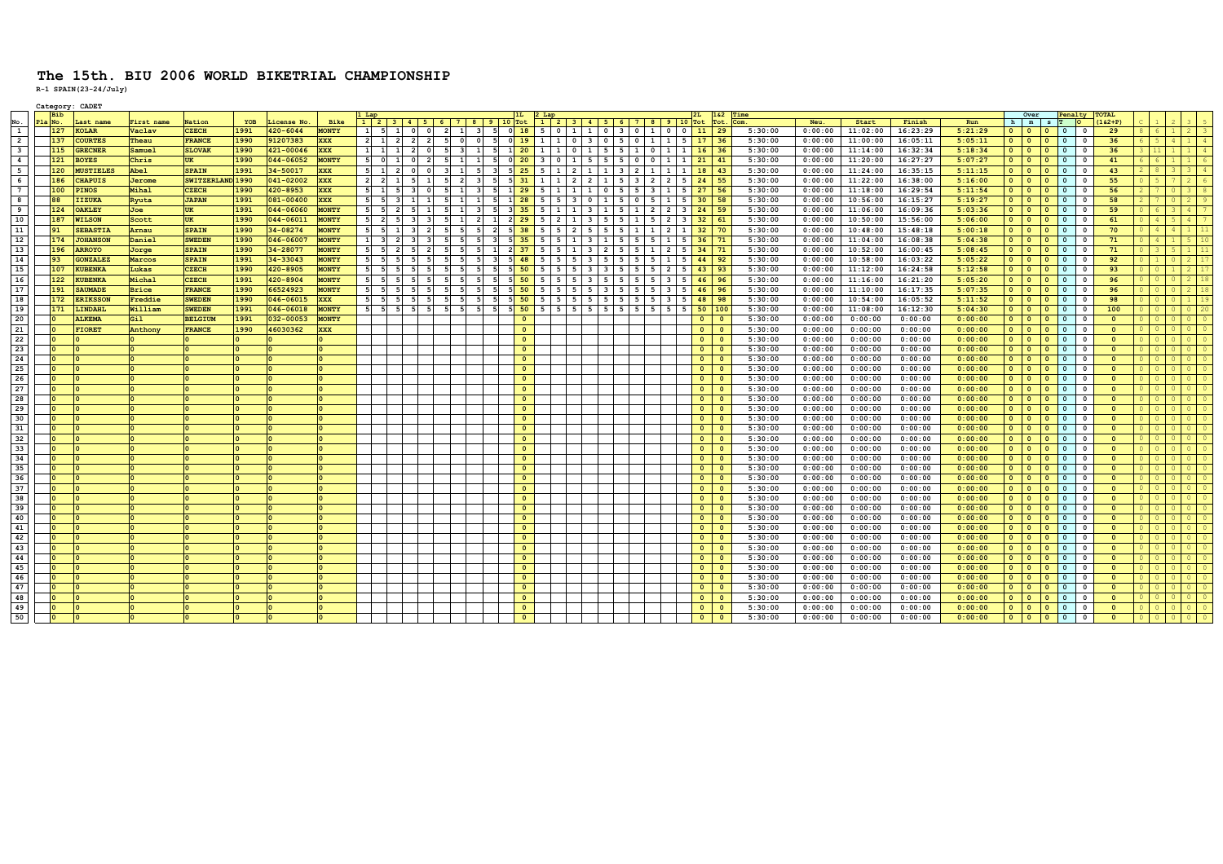|                         |           | Category: CADET  |              |                  |      |              |              |                                                                |                         |                |                              |                                |                |                            |                                                 |                                          |                                 |                                           |                                         |            |                |                         |         |         |          |          |         |                             |                          |                                                   |                         |               |                |                |                         |
|-------------------------|-----------|------------------|--------------|------------------|------|--------------|--------------|----------------------------------------------------------------|-------------------------|----------------|------------------------------|--------------------------------|----------------|----------------------------|-------------------------------------------------|------------------------------------------|---------------------------------|-------------------------------------------|-----------------------------------------|------------|----------------|-------------------------|---------|---------|----------|----------|---------|-----------------------------|--------------------------|---------------------------------------------------|-------------------------|---------------|----------------|----------------|-------------------------|
|                         |           |                  |              |                  |      |              |              |                                                                |                         |                |                              |                                |                |                            |                                                 |                                          |                                 |                                           |                                         |            |                | 1&2 Time                |         |         |          |          |         | Over                        |                          |                                                   |                         | Penalty TOTAL |                |                |                         |
| No.                     | Pla No.   | Last name        | First name   | Nation           | YOB  | License No.  | Bike         | $1\mid 2\mid 3\mid 4\mid 5\mid 6\mid 7\mid 8\mid 9\mid 10$ Tot |                         |                |                              |                                |                |                            | $1$ $2$ $3$ $4$ $5$ $6$ $7$ $8$ $9$ $10$ Tot    |                                          |                                 |                                           |                                         |            |                | Tot.                    | Com     | Neu.    | Start    | Finish   | Run     | h   m   s   T               |                          |                                                   |                         | $162+P$       |                |                |                         |
| $\mathbf{1}$            | 127       | <b>KOLAR</b>     | Vaclav       | <b>CZECH</b>     | 1991 | $420 - 6044$ | <b>MONTY</b> | 51<br>1<br>1                                                   | $\circ$                 | $\Omega$       | $\overline{2}$<br>$1 \vert$  | - 51<br>3 <sup>1</sup>         |                |                            | 0 18 5 0 1 1 0 3                                |                                          |                                 | $\overline{0}$                            | $\mathbf{1}$<br>$^{\circ}$              | $^{\circ}$ | 11             | 29                      | 5:30:00 | 0:00:00 | 11:02:00 | 16:23:29 | 5:21:29 | $\bullet$<br>$\overline{0}$ |                          | $\overline{\phantom{0}}$ $\overline{\phantom{0}}$ | $\mathbf 0$             | 29            | -6             | 2 <sub>1</sub> | $\overline{\mathbf{3}}$ |
| $\overline{2}$          | 137       | <b>COURTES</b>   | Theau        | <b>FRANCE</b>    | 1990 | 91207383     | <b>XXX</b>   | $2 \mid 1$<br>$\overline{2}$                                   | $\overline{2}$          | $\overline{2}$ | 5<br>$\circ$                 | $\circ$<br>- 5                 |                |                            | 0 19 1 1 0 3 0 5 0                              |                                          |                                 |                                           | 1  <br>$\mathbf{1}$                     | 5          | $17$ 36        |                         | 5:30:00 | 0:00:00 | 11:00:00 | 16:05:11 | 5:05:11 | $\bullet$<br>$\bullet$      |                          | $0$ 0                                             | $\mathbf 0$             | 36            |                |                | $\overline{4}$          |
| $\overline{\mathbf{3}}$ | 115       | <b>GRECNER</b>   | Samuel       | <b>SLOVAK</b>    | 1990 | 421-00046    | XXX          | $1 \quad 1$<br>1                                               | $\overline{2}$          | $\circ$        | 5<br>$\overline{\mathbf{3}}$ | $\mathbf{1}$<br>5              |                |                            | 1 20 1 1 0 1 5 5 1 0 1                          |                                          |                                 |                                           |                                         | 1          | $16$ 36        |                         | 5:30:00 | 0:00:00 | 11:14:00 | 16:32:34 | 5:18:34 | $\bullet$<br>$\circ$        |                          | 0 0                                               | $\circ$                 | 36            |                |                | $\overline{4}$          |
| $\overline{4}$          | 121       | <b>BOYES</b>     | Chris        | <b>UK</b>        | 1990 | 044-06052    | <b>MONTY</b> | $\circ$                                                        | $\Omega$                |                | 5<br>$\mathbf{1}$            | $\mathbf{1}$<br>- 5            |                |                            | $0$ 20 3 0                                      | $1 \mid 5 \mid 5$                        |                                 | 5<br>$\overline{\mathbf{0}}$              | $\mathbf{0}$<br>-1                      |            | 21             | $\vert$ 41              | 5:30:00 | 0:00:00 | 11:20:00 | 16:27:27 | 5:07:27 | $\bullet$<br>$\bullet$      |                          |                                                   | $\mathbf{0}$            | 41            |                |                |                         |
| $5\overline{5}$         | 120       | <b>MUSTIELES</b> | Abel         | <b>SPAIN</b>     | 1991 | 34-50017     | <b>XXX</b>   | 1<br>$\overline{2}$                                            | $\circ$                 |                | 1<br>$\overline{\mathbf{3}}$ | 5<br>$\overline{\mathbf{3}}$   |                | $5 \overline{25}$          | 5<br>l 1                                        | $2 \mid 1$                               | $\mathbf{1}$                    | $\overline{2}$<br>$\overline{\mathbf{3}}$ | $\mathbf{1}$<br><b>1</b>                |            | 18             | 43                      | 5:30:00 | 0:00:00 | 11:24:00 | 16:35:15 | 5:11:15 | $\bullet$<br>$\overline{0}$ |                          | $0$ 0                                             | $\circ$                 | 43            |                |                |                         |
| 6                       | 186       | <b>CHAPUIS</b>   | Jerome       | SWITZERLAND 1990 |      | 041-02002    | <b>XXX</b>   | $\vert$ 2<br>$\mathbf{1}$                                      | 5                       | $\mathbf{1}$   | $\overline{2}$<br>5          | $\overline{\mathbf{3}}$<br>- 5 |                | $5 \overline{\smash{)}31}$ | $\mathbf{1}$<br>$\overline{1}$                  | $2 \mid 2 \mid 1$                        |                                 | $5 \mid 3$                                | $\overline{2}$<br>$\overline{2}$        | 5          | 24             | 55                      | 5:30:00 | 0:00:00 | 11:22:00 | 16:38:00 | 5:16:00 | $\bullet$<br>$\overline{0}$ |                          |                                                   | $\circ$                 | 55            |                |                |                         |
| $7\overline{ }$         | 100       | <b>PINOS</b>     | Mihal        | <b>CZECH</b>     | 1990 | 420-8953     | <b>XXX</b>   | 5<br>$1\vert$                                                  |                         |                | 5<br>$\mathbf{1}$            | $\overline{\mathbf{3}}$<br>-5  |                | $1 \overline{29}$ 5        | $\overline{1}$<br><sup>1</sup>                  | $\vert$ 1                                | $\overline{\mathbf{0}}$<br>5    | 5                                         | $\overline{\mathbf{3}}$<br>$\mathbf{1}$ |            | 27             | 56                      | 5:30:00 | 0:00:00 | 11:18:00 | 16:29:54 | 5:11:54 | $\bullet$<br>$\bullet$      |                          |                                                   | $\mathbf{0}$            | 56            |                | -3-            |                         |
| 8                       | 88        | <b>IZUKA</b>     | Ryuta        | <b>JAPAN</b>     | 1991 | 081-00400    | <b>XXX</b>   | 5                                                              |                         |                | 5<br>1                       | $1\vert$<br>-5                 | $1\vert$       | 28                         | 5<br>5                                          | 300                                      | l 1                             | 5<br>$\overline{0}$                       | 5<br><sup>1</sup>                       | -5         | 30             | 58                      | 5:30:00 | 0:00:00 | 10:56:00 | 16:15:27 | 5:19:27 | $\bullet$<br>$\bullet$      | $\overline{\phantom{a}}$ | $\overline{0}$                                    | $\circ$                 | 58            |                |                |                         |
| 9                       | 124       | <b>OAKLEY</b>    | Joe          | <b>UK</b>        | 1991 | 044-06060    | <b>MONTY</b> | $5\overline{5}$<br>$\overline{2}$                              | -5                      |                | 1                            | $\overline{\mathbf{3}}$        | -31            | 35                         | $5^{\circ}$<br>$\vert$ 1                        | $\mathbf{1}$<br>$\overline{\phantom{a}}$ | $\overline{1}$                  | $5 \mid 1$                                | $\overline{2}$<br>$\overline{2}$        | 3          | 24             | 59                      | 5:30:00 | 0:00:00 | 11:06:00 | 16:09:36 | 5:03:36 | $\bullet$<br>$\bullet$      |                          |                                                   | $\mathbf 0$             | 59            |                |                |                         |
| 10                      | 187       | <b>WILSON</b>    |              | <b>UK</b>        |      |              |              |                                                                |                         |                | 1<br>5                       | $\mathbf{1}$                   |                |                            |                                                 |                                          |                                 | 5<br><sup>1</sup>                         |                                         | -3         |                |                         |         |         |          |          |         |                             |                          |                                                   |                         | 61            |                |                |                         |
|                         |           |                  | Scott        |                  | 1990 | 044-06011    | <b>MONTY</b> | $\overline{2}$<br>- 51                                         | $\overline{\mathbf{3}}$ |                |                              | $\overline{2}$                 |                | $2 \overline{29}$          | 5<br>$\vert$ 2<br>$\mathbf{1}$                  |                                          | $3 \quad 5$                     |                                           | 5<br>$\overline{2}$                     |            | 32             | 61                      | 5:30:00 | 0:00:00 | 10:50:00 | 15:56:00 | 5:06:00 | $\bullet$<br>$\overline{0}$ |                          |                                                   | $\mathbf{0}$            |               |                |                |                         |
| 11                      | 91        | <b>SEBASTI</b>   | Arnau        | <b>SPAIN</b>     | 1990 | 34-08274     | <b>MONTY</b> | 5<br>$\mathbf{1}$                                              |                         |                | 5                            | 5<br>$\overline{2}$            | 5              | 38                         | 5<br>5<br>$\overline{2}$                        | 5                                        | 5<br>5                          | $\mathbf{1}$                              | $\mathbf{1}$<br>$\overline{2}$          |            | 32             | 70                      | 5:30:00 | 0:00:00 | 10:48:00 | 15:48:18 | 5:00:18 | $\bullet$<br>$\circ$        | $\bullet$                | $\circ$                                           | $\circ$                 | 70            | $\overline{4}$ |                |                         |
| 12                      | 174       | <b>JOHANSON</b>  | Daniel       | <b>SWEDEN</b>    | 1990 | 046-06007    | <b>MONTY</b> | $\overline{\mathbf{3}}$<br>$\overline{2}$                      | $\overline{\mathbf{3}}$ |                | 5<br>5                       | 5<br>-3                        | -5             | 35                         | 5<br>5<br>$\mathbf{1}$                          | $\overline{\mathbf{3}}$                  | $\mathbf{1}$                    | 5<br>5                                    | 5<br><sup>1</sup>                       |            | 36             | 71                      | 5:30:00 | 0:00:00 | 11:04:00 | 16:08:38 | 5:04:38 | $\bullet$<br>$\overline{0}$ |                          | $\overline{\phantom{0}}$ $\overline{\phantom{0}}$ | $\mathbf 0$             | 71            | $\overline{4}$ |                |                         |
| 13                      | 196       | <b>ARROYO</b>    | Jorge        | <b>SPAIN</b>     | 1990 | 34-28077     | <b>MONTY</b> | 51<br>$\overline{2}$<br>51                                     | 5                       | $\overline{2}$ | 5<br>-5                      | 5<br>$\mathbf{1}$              | $\overline{2}$ | 37                         | $\vert$ 5<br>$\vert 5 \vert$                    | $1 \mid 3 \mid 2$                        |                                 | $5 \mid 5$                                | $\overline{2}$<br>$\mathbf{1}$          | 5.         | $34$ 71        |                         | 5:30:00 | 0:00:00 | 10:52:00 | 16:00:45 | 5:08:45 | $\bullet$<br>$\bullet$      |                          |                                                   | $\mathbf 0$             | 71            | $\mathbf{3}$   |                |                         |
| 14                      | 93        | <b>GONZALE2</b>  | Marcos       | <b>SPAIN</b>     | 1991 | 34-33043     | <b>MONTY</b> | 5<br>- 51                                                      |                         |                | 5                            | - 5                            | - 5            | 48                         | 5<br>5                                          | 5 3                                      | 5<br>5                          | 5                                         | 5<br>-1                                 |            | 44             | l 92                    | 5:30:00 | 0:00:00 | 10:58:00 | 16:03:22 | 5:05:22 | $\bullet$<br>$\overline{0}$ |                          | $\overline{\bullet}$ $\overline{\bullet}$         | $\mathbf{0}$            | 92            |                | -2             |                         |
| 15                      | 107       | <b>KUBENKA</b>   | Lukas        | <b>CZECH</b>     | 1990 | 420-8905     | <b>MONTY</b> | $5 \vert$<br>5<br>5                                            | 5                       | -5             | 5<br>5 <sub>5</sub>          | 5<br>-5                        | -5             | 50                         | $5^{\circ}$<br>$\begin{array}{c} 5 \end{array}$ |                                          | $5 \mid 3 \mid 3 \mid 5 \mid 5$ |                                           | $5^{\circ}$<br>$\overline{2}$           | 5          | 43             | 93                      | 5:30:00 | 0:00:00 | 11:12:00 | 16:24:58 | 5:12:58 | $\bullet$<br>$\bullet$      |                          |                                                   | $\mathbf 0$             | 93            |                |                |                         |
| 16                      | 122       | <b>KUBENKA</b>   | Michal       | <b>CZECH</b>     | 1991 | 420-8904     | <b>MONTY</b> | 5<br>5 <sub>l</sub>                                            | 5                       |                | - 5<br>5                     | 5<br>- 5                       | - 5            | 50                         | 5<br>5<br>5                                     | $\overline{\mathbf{3}}$                  | $\vert 5$<br>5                  | 5                                         | 5<br>$\overline{\mathbf{3}}$            | 5          | 46             | 96                      | 5:30:00 | 0:00:00 | 11:16:00 | 16:21:20 | 5:05:20 | $\bullet$<br>$\bullet$      |                          |                                                   | $\mathbf{0}$            | 96            |                |                |                         |
| 17                      | 191       | <b>SAUMADE</b>   | <b>Brice</b> | <b>FRANCE</b>    | 1990 | 66524923     | <b>MONTY</b> | 5<br>5                                                         | 5                       |                | 5 <sub>5</sub><br>5          | 5<br>-5                        | 5              | 50                         | 5<br>5<br>5                                     | 5                                        | $\overline{\mathbf{3}}$<br>5    | 5                                         | 5<br>3                                  |            | 46             | 96                      | 5:30:00 | 0:00:00 | 11:10:00 | 16:17:35 | 5:07:35 | $\bullet$<br>$\bullet$      | $\overline{\phantom{a}}$ | $\overline{\phantom{a}}$                          | $\mathbf{0}$            | 96            |                |                |                         |
| 18                      | 172       | <b>ERIKSSOI</b>  | Freddie      | <b>SWEDEN</b>    | 1990 | 046-06015    | <b>XXX</b>   | - 51<br>5                                                      | - 5                     | -5             | 5<br>5 <sub>5</sub>          | 5                              | 5              | 50                         | 5<br>5<br>5                                     | 5                                        | 5                               | 5<br>5                                    | 5<br>$\overline{\mathbf{3}}$            | 5          | 48             | 98                      | 5:30:00 | 0:00:00 | 10:54:00 | 16:05:52 | 5:11:52 | $\bullet$<br>$\bullet$      |                          | $\overline{\bullet}$ $\overline{\bullet}$         | $\mathbf 0$             | 98            |                |                |                         |
| 19                      | 171       | LINDAHL          | William      | <b>SWEDEN</b>    | 1991 | 046-06018    | <b>MONTY</b> | 51<br>5<br>- 5                                                 | 5                       | -51            | 5<br>5                       | 5 <sub>5</sub><br>5            | -5             | 50                         | 5<br>5                                          | 5<br>5                                   | $\vert 5 \vert$                 | 5<br>5                                    | 5<br>5                                  | -5         | 50             | 100                     | 5:30:00 | 0:00:00 | 11:08:00 | 16:12:30 | 5:04:30 | $\bullet$<br>$\bullet$      |                          |                                                   | $\circ$                 | 100           |                | $\Omega$       |                         |
| 20                      |           | <b>ALKEMA</b>    | Gil          | <b>BELGIUM</b>   | 1991 | 032-00053    | <b>MONTY</b> |                                                                |                         |                |                              |                                |                | $\mathbf{0}$               |                                                 |                                          |                                 |                                           |                                         |            | $\bullet$      | $\bullet$               | 5:30:00 | 0:00:00 | 0:00:00  | 0:00:00  | 0:00:00 | $\bullet$<br>$\bullet$      | $\overline{\phantom{a}}$ | $\overline{\phantom{a}}$                          | $\mathbf 0$             |               |                | $\circ$        |                         |
| 21                      | <u>lo</u> | <b>FIORET</b>    | Anthony      | <b>FRANCE</b>    | 1990 | 46030362     | <b>XXX</b>   |                                                                |                         |                |                              |                                |                | $\mathbf{0}$               |                                                 |                                          |                                 |                                           |                                         |            | $\bullet$      | $\overline{\mathbf{0}}$ | 5:30:00 | 0:00:00 | 0:00:00  | 0:00:00  | 0:00:00 | $\bullet$<br>$\bullet$      |                          |                                                   | $\mathbf{0}$            | $\Omega$      |                |                |                         |
| 22                      |           |                  |              |                  |      |              |              |                                                                |                         |                |                              |                                |                | $\circ$                    |                                                 |                                          |                                 |                                           |                                         |            | $\bullet$      | $\bullet$               | 5:30:00 | 0:00:00 | 0:00:00  | 0:00:00  | 0:00:00 | $\bullet$<br>$\bullet$      |                          |                                                   | $\circ$                 |               |                |                |                         |
| 23                      |           |                  |              |                  |      | ۱o           |              |                                                                |                         |                |                              |                                |                | $\Omega$                   |                                                 |                                          |                                 |                                           |                                         |            | $\bullet$      | $\overline{\mathbf{0}}$ | 5:30:00 | 0:00:00 | 0:00:00  | 0:00:00  | 0:00:00 | $\bullet$<br>$\overline{0}$ | $\bullet$                | $\circ$                                           | $\mathbf{0}$            |               |                |                |                         |
| 24                      |           |                  |              |                  |      | ۱o           |              |                                                                |                         |                |                              |                                |                | $\bullet$                  |                                                 |                                          |                                 |                                           |                                         |            | $\bullet$      | $\overline{0}$          | 5:30:00 | 0:00:00 | 0:00:00  | 0:00:00  | 0:00:00 | $\bullet$<br>$\bullet$      |                          | $0$ 0                                             | $\mathbf 0$             |               |                |                |                         |
| 25                      |           |                  |              |                  |      | -lo          |              |                                                                |                         |                |                              |                                |                | $\overline{0}$             |                                                 |                                          |                                 |                                           |                                         |            | $\bullet$      | $\overline{\mathbf{0}}$ | 5:30:00 | 0:00:00 | 0:00:00  | 0:00:00  | 0:00:00 | $\circ$<br>$\bullet$        |                          | $\overline{\phantom{0}}$ $\overline{\phantom{0}}$ | $\mathbf{0}$            |               | $\Omega$       | $\Omega$       |                         |
| 26                      |           |                  |              |                  |      | <b>lo</b>    |              |                                                                |                         |                |                              |                                |                | $\mathbf{0}$               |                                                 |                                          |                                 |                                           |                                         |            | $\bullet$      | $\overline{0}$          | 5:30:00 | 0:00:00 | 0:00:00  | 0:00:00  | 0:00:00 | $\bullet$<br>$\bullet$      |                          |                                                   | $\circ$                 |               |                | $\circ$        |                         |
| 27                      |           |                  |              |                  |      | <b>lo</b>    |              |                                                                |                         |                |                              |                                |                | $\bullet$                  |                                                 |                                          |                                 |                                           |                                         |            | $\bullet$      | $\overline{0}$          | 5:30:00 | 0:00:00 | 0:00:00  | 0:00:00  | 0:00:00 | $\bullet$<br>$\bullet$      |                          |                                                   | $\mathbf 0$             |               |                | $\circ$        |                         |
| 28                      |           |                  |              |                  |      | ۱o           |              |                                                                |                         |                |                              |                                |                | $\Omega$                   |                                                 |                                          |                                 |                                           |                                         |            | $\bullet$      | $\overline{0}$          | 5:30:00 | 0:00:00 | 0:00:00  | 0:00:00  | 0:00:00 | $\bullet$<br>$\bullet$      |                          |                                                   | $\circ$                 |               |                |                |                         |
| 29                      |           |                  |              |                  |      | 10           |              |                                                                |                         |                |                              |                                |                | $\circ$                    |                                                 |                                          |                                 |                                           |                                         |            | $\overline{0}$ | $\overline{\mathbf{0}}$ | 5:30:00 | 0:00:00 | 0:00:00  | 0:00:00  | 0:00:00 | $\bullet$<br>$\circ$        |                          | $\overline{\phantom{0}}$ $\overline{\phantom{0}}$ | $\mathbf{0}$            |               |                |                |                         |
| 30                      |           |                  |              |                  |      | <b>lo</b>    |              |                                                                |                         |                |                              |                                |                |                            |                                                 |                                          |                                 |                                           |                                         |            |                |                         |         |         |          |          |         |                             |                          |                                                   |                         |               |                |                |                         |
|                         |           |                  |              |                  |      |              |              |                                                                |                         |                |                              |                                |                | $\circ$                    |                                                 |                                          |                                 |                                           |                                         |            | $\bullet$      | $\overline{0}$          | 5:30:00 | 0:00:00 | 0:00:00  | 0:00:00  | 0:00:00 | $\bullet$<br>$\bullet$      | $\bullet$                | $\overline{\phantom{a}}$                          | $\circ$                 |               |                |                |                         |
| 31                      |           |                  |              |                  |      | ۱o           |              |                                                                |                         |                |                              |                                |                | $\overline{0}$             |                                                 |                                          |                                 |                                           |                                         |            | $\bullet$      | $\overline{\mathbf{0}}$ | 5:30:00 | 0:00:00 | 0:00:00  | 0:00:00  | 0:00:00 | $\bullet$<br>$\overline{0}$ |                          | $\overline{\bullet}$ $\overline{\bullet}$         | $\mathbf 0$             |               |                |                |                         |
| 32                      |           |                  |              |                  |      | <b>lo</b>    |              |                                                                |                         |                |                              |                                |                | $\overline{0}$             |                                                 |                                          |                                 |                                           |                                         |            | $\bullet$      | $\overline{\mathbf{0}}$ | 5:30:00 | 0:00:00 | 0:00:00  | 0:00:00  | 0:00:00 | $\bullet$<br>$\bullet$      | $\overline{\phantom{a}}$ | $\overline{\phantom{a}}$                          | $\mathbf{0}$            |               |                |                |                         |
| 33                      |           |                  |              |                  |      | <b>lo</b>    |              |                                                                |                         |                |                              |                                |                | $\bullet$                  |                                                 |                                          |                                 |                                           |                                         |            | $\bullet$      | $\bullet$               | 5:30:00 | 0:00:00 | 0:00:00  | 0:00:00  | 0:00:00 | $\bullet$<br>$\bullet$      |                          |                                                   | $\mathbf 0$             | $\Omega$      |                |                |                         |
| 34                      |           |                  |              |                  |      | ۱o           |              |                                                                |                         |                |                              |                                |                | $\circ$                    |                                                 |                                          |                                 |                                           |                                         |            | $\bullet$      | $\bullet$               | 5:30:00 | 0:00:00 | 0:00:00  | 0:00:00  | 0:00:00 | $\bullet$<br>$\bullet$      |                          |                                                   | $\circ$                 | $\Omega$      |                |                |                         |
| 35                      |           |                  |              |                  |      | ۱o           |              |                                                                |                         |                |                              |                                |                | $\circ$                    |                                                 |                                          |                                 |                                           |                                         |            | $\bullet$      | $\bullet$               | 5:30:00 | 0:00:00 | 0:00:00  | 0:00:00  | 0:00:00 | $\bullet$<br>$\bullet$      | $\bullet$                | $\overline{\mathbf{0}}$                           | $\mathbf{o}$            |               |                |                |                         |
| 36                      |           |                  |              |                  |      | ۱o           |              |                                                                |                         |                |                              |                                |                | $\bullet$                  |                                                 |                                          |                                 |                                           |                                         |            | $\bullet$      | $\overline{0}$          | 5:30:00 | 0:00:00 | 0:00:00  | 0:00:00  | 0:00:00 | $\circ$<br>$\overline{0}$   | $\overline{0}$           | $\overline{\phantom{a}}$                          | $\mathbf{0}$            |               |                |                |                         |
| 37                      |           |                  |              |                  |      | <b>lo</b>    |              |                                                                |                         |                |                              |                                |                | $\overline{0}$             |                                                 |                                          |                                 |                                           |                                         |            | $\bullet$      | $\bullet$               | 5:30:00 | 0:00:00 | 0:00:00  | 0:00:00  | 0:00:00 | $\bullet$<br>$\bullet$      |                          |                                                   | $\mathbf 0$             | $\Omega$      | $\Omega$       |                |                         |
| 38                      |           |                  |              |                  |      | ١o           |              |                                                                |                         |                |                              |                                |                | $\Omega$                   |                                                 |                                          |                                 |                                           |                                         |            | $\bullet$      | $\overline{\mathbf{0}}$ | 5:30:00 | 0:00:00 | 0:00:00  | 0:00:00  | 0:00:00 | $\bullet$<br>$\overline{0}$ | $\overline{0}$           | $\overline{\phantom{0}}$                          | $\mathbf{0}$            |               |                | $\Omega$       |                         |
| 39                      |           |                  |              |                  |      | <b>lo</b>    |              |                                                                |                         |                |                              |                                |                | $\bullet$                  |                                                 |                                          |                                 |                                           |                                         |            | $\bullet$      | $\bullet$               | 5:30:00 | 0:00:00 | 0:00:00  | 0:00:00  | 0:00:00 | $\bullet$<br>$\bullet$      |                          |                                                   | $\mathbf{0}$            |               |                | $\circ$        |                         |
| 40                      |           |                  |              |                  |      | ۱o           |              |                                                                |                         |                |                              |                                |                | $\mathbf{0}$               |                                                 |                                          |                                 |                                           |                                         |            | $\bullet$      | $\overline{\mathbf{0}}$ | 5:30:00 | 0:00:00 | 0:00:00  | 0:00:00  | 0:00:00 | $\bullet$<br>$\bullet$      |                          |                                                   | $\mathbf{0}$            |               |                |                |                         |
| 41                      |           |                  |              |                  |      | 10           |              |                                                                |                         |                |                              |                                |                | $\circ$                    |                                                 |                                          |                                 |                                           |                                         |            | $\bullet$      | $\overline{\mathbf{0}}$ | 5:30:00 | 0:00:00 | 0:00:00  | 0:00:00  | 0:00:00 | $\bullet$<br>$\bullet$      |                          |                                                   | $\mathbf{0}$            |               |                |                |                         |
| 42                      |           |                  |              |                  |      | <b>l</b> o   |              |                                                                |                         |                |                              |                                |                | $\Omega$                   |                                                 |                                          |                                 |                                           |                                         |            | $\bullet$      | $\overline{0}$          | 5:30:00 | 0:00:00 | 0:00:00  | 0:00:00  | 0:00:00 | $\circ$<br>$\overline{0}$   | $\overline{0}$           | $\circ$                                           | $\mathbf{0}$            |               |                |                |                         |
| 43                      |           |                  |              |                  |      | <b>lo</b>    |              |                                                                |                         |                |                              |                                |                | $\bullet$                  |                                                 |                                          |                                 |                                           |                                         |            | $\bullet$      | $\overline{0}$          | 5:30:00 | 0:00:00 | 0:00:00  | 0:00:00  | 0:00:00 | $\bullet$<br>$\bullet$      |                          |                                                   | $\circ$                 |               |                |                |                         |
| 44                      |           |                  |              |                  |      | <b>lo</b>    |              |                                                                |                         |                |                              |                                |                | $\circ$                    |                                                 |                                          |                                 |                                           |                                         |            | $\bullet$      | $\overline{\mathbf{0}}$ | 5:30:00 | 0:00:00 | 0:00:00  | 0:00:00  | 0:00:00 | $\circ$<br>$\overline{0}$   | l o                      | $\overline{\phantom{0}}$                          | $\mathbf{0}$            |               |                |                |                         |
| 45                      |           |                  |              |                  |      | ۱o           |              |                                                                |                         |                |                              |                                |                | $\circ$                    |                                                 |                                          |                                 |                                           |                                         |            | $\bullet$      | $\bullet$               | 5:30:00 | 0:00:00 | 0:00:00  | 0:00:00  | 0:00:00 | $\bullet$<br>$\bullet$      | $\overline{\phantom{a}}$ | $\overline{\phantom{a}}$                          | $\circ$                 |               |                |                |                         |
| 46                      |           |                  |              |                  |      | <b>lo</b>    |              |                                                                |                         |                |                              |                                |                | $\circ$                    |                                                 |                                          |                                 |                                           |                                         |            | $\bullet$      | $\overline{0}$          | 5:30:00 | 0:00:00 | 0:00:00  | 0:00:00  | 0:00:00 | $\bullet$<br>$\bullet$      |                          |                                                   | $\circ$                 |               |                |                |                         |
| 47                      |           |                  |              |                  |      |              |              |                                                                |                         |                |                              |                                |                | $\Omega$                   |                                                 |                                          |                                 |                                           |                                         |            | $\bullet$      | $\overline{0}$          | 5:30:00 | 0:00:00 | 0:00:00  | 0:00:00  | 0:00:00 | $\bullet$<br>$\bullet$      |                          | $\circ$<br>$\circ$                                | $\overline{\mathbf{0}}$ |               |                |                |                         |
| 48                      |           |                  |              |                  |      |              |              |                                                                |                         |                |                              |                                |                | $\mathbf{0}$               |                                                 |                                          |                                 |                                           |                                         |            | $\bullet$      | $\overline{\mathbf{0}}$ | 5:30:00 | 0:00:00 | 0:00:00  | 0:00:00  | 0:00:00 | $\bullet$<br>$\bullet$      | $\mathbf{o}$             | $\circ$                                           | $\circ$                 |               |                |                |                         |
| 49                      |           |                  |              |                  |      | <b>lo</b>    |              |                                                                |                         |                |                              |                                |                | $\overline{0}$             |                                                 |                                          |                                 |                                           |                                         |            | $\overline{0}$ | $\Omega$                | 5:30:00 | 0:00:00 | 0:00:00  | 0:00:00  | 0:00:00 | $\bullet$<br>$\overline{0}$ |                          |                                                   | $\mathbf 0$             | $\Omega$      | $\Omega$       |                |                         |
| 50                      | <b>lo</b> |                  |              |                  |      |              |              |                                                                |                         |                |                              |                                |                | $\circ$                    |                                                 |                                          |                                 |                                           |                                         |            | $\bullet$      | $\overline{\mathbf{0}}$ | 5:30:00 | 0:00:00 | 0:00:00  | 0:00:00  | 0:00:00 | $\circ$<br>$\bullet$        |                          | 0 0                                               | $\circ$                 |               | $\Omega$       |                |                         |
|                         |           |                  |              |                  |      |              |              |                                                                |                         |                |                              |                                |                |                            |                                                 |                                          |                                 |                                           |                                         |            |                |                         |         |         |          |          |         |                             |                          |                                                   |                         |               |                |                |                         |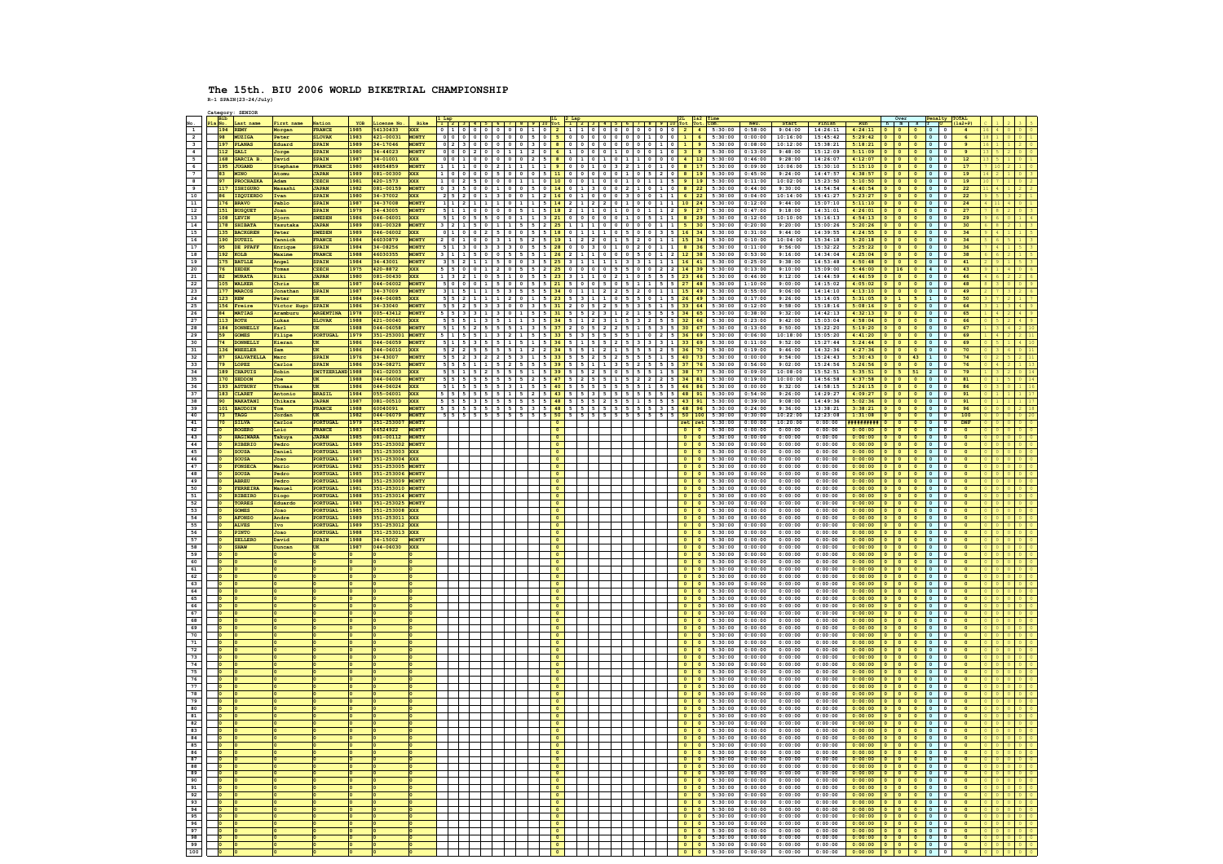**R-1 SPAIN(23-24/July) Category: SENIOR**

|                                            |                      | <b>Bib</b><br>Last name         | First name         | Nation                              | YOB                 | License No.               | Bike                         |                   |                                                                    |                                 |         |                           |              | $3   4   5   6   7   8   9   10$ Tot                             |                     |                              |                                       | Tot                                                                                                    | Neu.               | Start                                   | Finish             |                                                                                                        |                                 | Penalty<br>h m s T                                                                                                  | $152 + P$                   |  |
|--------------------------------------------|----------------------|---------------------------------|--------------------|-------------------------------------|---------------------|---------------------------|------------------------------|-------------------|--------------------------------------------------------------------|---------------------------------|---------|---------------------------|--------------|------------------------------------------------------------------|---------------------|------------------------------|---------------------------------------|--------------------------------------------------------------------------------------------------------|--------------------|-----------------------------------------|--------------------|--------------------------------------------------------------------------------------------------------|---------------------------------|---------------------------------------------------------------------------------------------------------------------|-----------------------------|--|
| $\overline{1}$                             |                      | 194 REMY                        | Morgan             | <b>FRANCE</b>                       | 1985                | 54130433                  |                              |                   | 0 1 0 0 0 0                                                        |                                 |         | 0 0 1 0 2 1               |              |                                                                  |                     |                              |                                       |                                                                                                        |                    |                                         |                    | 100000000024 5:30:00 0:58:00 9:04:00 14:26:11 4:24:11 0 0 0                                            |                                 | $\overline{\phantom{a}}$<br>$\overline{\ }$                                                                         |                             |  |
| $\overline{2}$                             |                      | MUZIGA                          | Peter              | <b>SLOVAK</b>                       | 1983                | 121-00031                 | <b>MONTY</b>                 |                   |                                                                    | $0$ 0                           |         | $5$ 0                     | 500          | 0 0 0 0 0 1 1 0 1 1                                              |                     |                              |                                       | 6 <sup>1</sup><br>5:30:00                                                                              | 0:00:00            | 10:16:00                                |                    | $15:45:42$ $5:29:42$ 0 0                                                                               |                                 | $\overline{\phantom{a}}$<br>$\overline{\phantom{a}}$<br>$\overline{\phantom{a}}$                                    |                             |  |
| $\overline{\mathbf{3}}$                    |                      | 197 PLANAS<br>112 GALI          | Eduard             | <b>SPAIN</b><br>SPAIN               | 1989<br>1980        | 34-17046<br>34-44023      | MONTY<br>MONTY               | $0 \t2 \t3$       | l o<br>20                                                          | $\Omega$<br> 0 0<br>$1 \vert 1$ |         | 300<br>20                 |              | 80000000001019<br>6 1 0 0 0 1 0 0 0 1 0 3 9                      |                     |                              |                                       | 5:30:00<br>5:30:00                                                                                     | 0:13:00            | $0:08:00$ 10:12:00<br>9:48:00           |                    | $15:38:21$ $5:18:21$ 0 0 0<br>$15:12:09$ $5:11:09$ 0 0                                                 |                                 | To<br>$\overline{\phantom{a}}$<br>$\overline{\ }$<br>$\overline{\phantom{a}}$<br>$\overline{\phantom{a}}$           | $\bullet$<br>$\overline{9}$ |  |
| $\overline{4}$<br>$\overline{\phantom{a}}$ |                      | 168 GARCIA B.                   | Jorge<br>David     | <b>SPAIN</b>                        | 1987                | 34-01001                  | <b>XXX</b>                   |                   |                                                                    |                                 |         |                           |              |                                                                  |                     |                              |                                       | $ 0 0 2 5 8 0 1 0 1 0 1 1 0 0 0 4 12 5:30:00$                                                          |                    | $0:46:00$ 9:28:00                       |                    | $14:26:07$ $4:12:07$ 0 0 0                                                                             |                                 | To<br>$\overline{\phantom{a}}$                                                                                      | 12                          |  |
| $6\overline{6}$                            |                      | 195 JUGAND                      | Stephan            | FRANCE                              | 1980                | 48054859                  | MONT?                        |                   | 111100                                                             | $\overline{2}$                  |         | $1 \mid 1 \mid$           | 900          |                                                                  |                     |                              |                                       | $0$ 1 0 3 2 1 0 1 0 8 17 5:30:00                                                                       | 0:09:00            | 10:06:00                                |                    | $15:30:10$ $5:15:10$ 0 0                                                                               |                                 | $\overline{\phantom{a}}$<br><b>To</b><br>$\circ$                                                                    | 17                          |  |
| $\overline{7}$                             | <b>RR</b>            | MINO                            | Atomu              | <b>TAPAN</b>                        | 1989                | 081-00300                 | <b>xxx</b>                   |                   | 1000005                                                            |                                 |         |                           |              | 0 5 11 0 0 0 0 0 0 1 0 5 2 0 8 19                                |                     |                              |                                       | 5:30:00                                                                                                | 0:45:00            | 9:24:00                                 |                    | $14:47:57$ $4:38:57$ 0 0                                                                               |                                 | $\overline{\phantom{a}}$<br>l o<br>$\overline{\phantom{0}}$                                                         | 19                          |  |
| $\overline{\phantom{a}}$                   |                      | 97<br>PROCHAZKA<br>117 TSHTGURO | Adam               | <b>CZECH</b><br><b>TAPAN</b>        | 1981<br><b>1982</b> | $420 - 1573$<br>081-00159 | <b>XXX</b><br><b>MONTY</b>   |                   | 102500                                                             | 0 <sup>1</sup>                  |         |                           |              |                                                                  |                     |                              |                                       | 1 0 10 0 0 1 0 0 1 0 0 1 0 1 1 5 9 19 5:30:00                                                          |                    | $0:11:00$ 10:02:00<br>$0.44:00$ 9:30:00 |                    | $15:23:50$ 5:10:50 0 0                                                                                 |                                 | $\overline{\phantom{a}}$<br>$\overline{\phantom{a}}$<br>$\overline{\phantom{a}}$<br>$\overline{0}$                  | 19<br>22                    |  |
| $\overline{9}$<br>10                       |                      | 86 IZOUIERDO                    | Masashi<br>Ivan    | <b>SPAIN</b>                        | 1980                | 34-37002                  | <b>XXX</b>                   |                   | 2520113                                                            | 0 0                             |         |                           |              |                                                                  |                     |                              |                                       | 0 3 5 0 0 1 0 0 5 0 14 0 1 3 0 0 2 1 0 1 0 8 22 5:30:00<br>1 2 16 0 1 0 0 0 0 3 0 0 1 1 1 6 22 5:30:00 | 0:04:00            | 10:14:00                                |                    | $14:54:54$ $4:40:54$ 0 0 0<br>$15:41:27$ $5:23:27$ 0 0 0                                               |                                 | $\overline{\phantom{a}}$<br>$\overline{\phantom{a}}$<br>$\circ$                                                     | 22                          |  |
| 11                                         |                      | 176 BRAVO                       | Pablo              | <b>SPAIN</b>                        | 1987                | 34-37008                  | <b>MONTY</b>                 |                   |                                                                    |                                 |         |                           |              |                                                                  |                     |                              |                                       | 1 1 2 1 1 1 1 1 1 0 1 1 1 1 5 1 4 2 1 1 2 2 0 1 1 0 1 0 1 1 1 10 24 5:30:00                            | 0:12:00            | 9:44:00                                 |                    | $15:07:10$ $5:11:10$ 0 0 0                                                                             |                                 | $\overline{\phantom{a}}$<br>$\circ$                                                                                 | 24                          |  |
| 12                                         |                      | 151 BUSOUET                     | Joan               | <b>SPAIN</b>                        | 1979                | 34-43005                  | <b>MONTY</b>                 |                   | sititio loiolois                                                   |                                 |         |                           |              |                                                                  |                     |                              |                                       | 1 5 18 2 1 1 1 0 1 0 0 1 0 1 1 2 9 27 5:30:00                                                          | 0:47:00            | 9:18:00                                 |                    | $14:31:01$ $4:26:01$ 0 0                                                                               |                                 | $\blacksquare$<br>$\overline{\phantom{a}}$<br>$\circ$                                                               | 27                          |  |
| 13                                         |                      | 108 LEVIN                       | Bjorn              | <b>SWEDEN</b>                       | 1986                | 046-06001                 | <b>XXX</b>                   |                   |                                                                    |                                 |         |                           |              |                                                                  |                     |                              |                                       |                                                                                                        | 0:12:00            | 10:10:00                                |                    | 15:16:13 4:54:13 0 0 0                                                                                 |                                 | $\overline{\phantom{a}}$<br>$\circ$                                                                                 | 29                          |  |
| 14                                         |                      | 178 SHIBATA                     | Yasutak            | <b>JAPAN</b>                        | 1989                | 081-00328                 | <b>MONTY</b>                 |                   |                                                                    |                                 |         |                           |              |                                                                  |                     |                              |                                       |                                                                                                        | 0:20:00            | 9:20:00                                 |                    | $15:00:26$ 5:20:26 0 0 0                                                                               |                                 | $\circ$ $\circ$                                                                                                     | 30                          |  |
| 15<br>16                                   |                      | 135 BACKGREN<br>190 DUTEIL      | Peter              | <b>SWEDEN</b><br>FRANCE             | 1989<br>1984        | 046-06002<br>46030879     | <b>XXX</b><br><b>MONT?</b>   |                   | 0 1 0 0 2 5                                                        |                                 | 0 0 5 5 |                           |              | 18 0 1 1 1 0 5 0 0 3 5 16                                        |                     |                              |                                       | 34<br>5:30:00<br>19 1 2 2 0 1 5 2 0 1 1 15 34 5:30:00                                                  | 0:31:00<br>0:10:00 | 9:44:00                                 |                    | 14:39:55 4:24:55 0 0 0                                                                                 |                                 | $\overline{\phantom{a}}$<br>$\circ$<br>$\overline{0}$<br>$\circ$                                                    | 34<br>34                    |  |
| 17                                         | 95                   | DE PFAFF                        | Yannick<br>Enrique | <b>SPAIN</b>                        | 1984                | 34-08256                  | <b>MONTY</b>                 |                   | 2 0 1 0<br>5 1 3 0 3 3                                             |                                 |         | $2 \mid 5 \mid$           |              | 3 0 5 5  <mark>28</mark>  0 0 3 0 1 0 2 0 1 1 <mark> 8 36</mark> |                     |                              |                                       | 5:30:00                                                                                                | 0:11:00            | 10:04:00<br>9:56:00                     |                    | $15:34:18$ $5:20:18$ 0 0 0                                                                             |                                 | $\overline{\phantom{a}}$<br>$\overline{\phantom{a}}$                                                                | 36                          |  |
| 18                                         |                      | 192 KOLB                        | Maxime             | <b>FRANCE</b>                       | 1988                | 46030355                  | <b>MONTY</b>                 |                   | 3111500                                                            | 55                              |         | 511                       |              |                                                                  |                     |                              |                                       | 1 1 0 0 0 0 5 0 1 2 12 38 5:30:00                                                                      | 0:53:00            | 9:16:00                                 |                    | $\begin{array}{c cccccc} 15:32:22 & 5:25:22 & 0 & 0 & 0 \\ 14:34:04 & 4:25:04 & 0 & 0 & 0 \end{array}$ |                                 | $\circ$ $\circ$                                                                                                     | 38                          |  |
| 19                                         |                      | BATLLE<br>175                   | Angel              | SPAIN                               | 1984                | 34-43001                  | MONT?                        |                   | 35121115                                                           |                                 |         |                           |              | $1 \mid 1 \mid 1 \mid 3 \mid 3 \mid 1 \mid 1 \mid 1 \mid 16$     |                     |                              |                                       | $41$ 5:30:00                                                                                           | 0:25:00            | 9:38:00                                 |                    | $14:53:48$ $4:50:48$ 0                                                                                 | $\overline{\phantom{a}}$        | $\overline{\bullet}$<br>$\overline{\phantom{a}}$<br>$\overline{0}$                                                  | 41                          |  |
| 20                                         |                      | 76 ZEDEK                        | Tomas              | <b>CZECH</b>                        | 1975                | 420-8872                  | <b>XXX</b>                   |                   | 5 5 0 0 0 1 2 0 5 5 5 2                                            |                                 |         |                           |              |                                                                  |                     |                              |                                       | 25 0 0 0 0 5 5 0 0 2 2 14 39 5:30:00 0:13:00 9:10:00                                                   |                    |                                         |                    | $15:09:00$ $5:46:00$ 0 16 0                                                                            |                                 | $\vert$ 4 0                                                                                                         | 43                          |  |
| 21                                         | 82                   | <b>MURATA</b>                   | Riki               | <b>JAPAN</b>                        | 1980                | 081-00430                 | <b>XXX</b>                   |                   | $1 \mid 3 \mid 2 \mid 1 \mid 0 \mid 5 \mid 1 \mid 0 \mid 5 \mid 5$ |                                 |         |                           | $23 \quad 3$ |                                                                  |                     |                              |                                       | 1   1   0   2   1   0   5   5   5   23   46   5:30:00                                                  | 0:46:00            | 9:12:00                                 |                    | $14:44:59$ $4:46:59$ 0 0                                                                               |                                 | $\overline{\phantom{a}}$<br> 0 0                                                                                    | 46                          |  |
| 22                                         |                      | 105 WALKER<br><b>MARCOS</b>     | Chris<br>Jonathan  | $\overline{ux}$                     | 1987<br>1987        | 044-06002<br>$14 - 37009$ | MONT?<br>MONTY               |                   | 5000115                                                            |                                 |         | $5 \mid 5 \mid 21 \mid 5$ |              |                                                                  |                     |                              |                                       | 0 5 0 5 1 1 1 5 5 27 48 5:30:00                                                                        | 0:55:00            | $1:10:00$ 9:00:00<br>9:06:00            |                    | $14:15:02$ $4:05:02$ 0 0 0                                                                             |                                 | $\overline{\phantom{a}}$<br>$\overline{\phantom{a}}$<br>$\overline{\phantom{a}}$<br>$\mathbf 0$                     | 48<br>49                    |  |
| 23<br>24                                   |                      | 123 REW                         | Peter              | SPAIN<br>$\overline{\text{UK}}$     | 1984                | 044-06085                 | <b>XXX</b>                   |                   |                                                                    |                                 |         |                           |              |                                                                  |                     |                              |                                       | $1$   2   2   5   2   0   1   1   15   49   5:30:00<br>$3$ 1 1 0 5 5 0 1 5 26 49 5:30:00               | 0:17:00            | 9:26:00                                 |                    | $14:14:10$ $4:13:10$ 0 0<br>15:14:05   5:31:05   0   1   5                                             |                                 | $\overline{\phantom{a}}$<br>$\overline{\phantom{a}}$                                                                | 50                          |  |
| 25                                         |                      | 156 Freire                      | Victor Hugo        | SPAIN                               | 1986                | $14 - 33040$              |                              |                   |                                                                    |                                 |         |                           |              |                                                                  |                     |                              |                                       | $5$   2   5   5   3   5   1   5   33   64   5:30:00                                                    | 0:12:00            | 9:58:00                                 |                    | $15:18:16$ $5:08:16$ 0 0                                                                               |                                 | $\overline{\phantom{a}}$<br>$\overline{\phantom{a}}$<br>$\overline{\bullet}$                                        | 64                          |  |
| 26                                         |                      | 84 MATIAS                       | Aramburu           | <b>ARGENTINI</b>                    | 1978                | 005-43412                 | MONT?                        |                   |                                                                    |                                 |         |                           |              |                                                                  |                     |                              |                                       | 3 1 2 1 5 5 5 34 65 5:30:00                                                                            | 0:38:00            | 9:32:00                                 |                    | $14:42:13$ $4:32:13$ 0 0 0                                                                             |                                 | $\overline{\phantom{a}}$<br>$\overline{\phantom{a}}$                                                                | 65                          |  |
| 27                                         |                      | 113 ROTH                        | Lukas              | <b>SLOVAK</b>                       | 1988                | 121-00040                 | <b>XXX</b>                   |                   |                                                                    |                                 |         |                           |              |                                                                  | 2 5 5 32            |                              |                                       | 5:30:00                                                                                                | 0:23:00            | 9:42:00                                 |                    | $15:03:04$ $4:58:04$ 0 0                                                                               |                                 | $\overline{\bullet}$                                                                                                | 66                          |  |
| 28                                         | 184                  | <b>DONNELLY</b>                 | Karl               | UK                                  | L988                | 044-06058                 | MONT?                        |                   |                                                                    |                                 |         |                           |              |                                                                  |                     | $5 \mid 3 \mid 5 \mid 30$    |                                       | 67<br>5:30:00                                                                                          | 0:13:00            | 9:50:00                                 |                    | $15:22:20$ $5:19:20$ 0 0 0 0                                                                           |                                 |                                                                                                                     | $\bullet$<br>67             |  |
| 29<br>30                                   |                      | 59<br>GOMES<br>74<br>DONNET.T.Y | Filipe<br>Kieran   | PORTUGAL<br><b>UK</b>               | 1979<br>1986        | 351-253001<br>044-06059   | MONTY<br><b>MONTY</b>        |                   | $5$ 1 5 3                                                          |                                 |         |                           |              |                                                                  | $3$ 3 $3$ 1 $3$ 33  |                              |                                       | 69<br>5:30:00<br>5:30:00<br>69                                                                         | 0:06:00<br>0:11:00 | 10:18:00<br>9:52:00                     |                    | $15:05:20$ 4:41:20 0 0<br>$15:27:44$ 5:24:44 0 0 0                                                     |                                 | $\overline{\ }$<br>$\overline{\phantom{a}}$<br>$\circ$<br>l o<br>$\overline{\phantom{a}}$                           | 69<br>69                    |  |
| 31                                         |                      | WHEELER<br>136                  | Sam                | UK                                  | 1986                | 044-06010                 | <b>XXX</b>                   |                   |                                                                    |                                 |         |                           |              |                                                                  |                     | $5 \quad 2 \quad 5 \quad 36$ |                                       | 70<br>5:30:00                                                                                          | 0:19:00            | 9:46:00                                 |                    | $14:32:36$ $4:27:36$ 0 0                                                                               |                                 | $\overline{\phantom{a}}$<br>$\overline{\phantom{a}}$<br>$\bullet$                                                   | 70                          |  |
| 32                                         | <b>87</b>            | <b>SALVATELLA</b>               | Marc               | <b>SPATN</b>                        | 1976                | 34-43007                  | <b>MONTY</b>                 |                   | $5$ $5$ $2$ $3$ $2$ $2$                                            | 5 <sup>1</sup>                  |         |                           |              |                                                                  |                     |                              |                                       | 2   5   2   5   5   5   1   5   40   73   5:30:00                                                      | 0:00:00            | 9:54:00                                 |                    | $15:24:43$ $5:30:43$ 0 0 43                                                                            |                                 | $\mathbf{I}$<br>$\overline{\phantom{a}}$                                                                            | 74                          |  |
| 33                                         |                      | 79 LOPEZ                        | Carlos             | <b>SPAIN</b>                        | 1986                | 034-08271                 | <b>MONTY</b>                 |                   | 555111                                                             |                                 |         |                           |              |                                                                  |                     |                              |                                       | $3$   5   2   5   5   5   37   76   5:30:00                                                            | 0:56:00            | 9:02:00                                 |                    | $15:24:56$ $5:26:56$ 0 0                                                                               |                                 | $\overline{\phantom{a}}$<br>T o<br>Tо                                                                               | 76                          |  |
| 34<br>35                                   |                      | 189 CHAPITS                     | Robin              | SWITZERLAND 1988                    |                     | 041-02003                 | <b>XXX</b>                   |                   | 551152                                                             | I 5.                            |         |                           |              | 2 5 0 5 5 5 5 1 5 38                                             |                     |                              |                                       | 77<br>5:30:00                                                                                          | 0:09:00            | 10:08:00                                |                    | 15:52:51   5:35:51   0   5                                                                             |                                 | 51<br>$\overline{2}$<br>$\overline{0}$                                                                              | 79                          |  |
| 36                                         |                      | 170 SEDDON<br>193 ASTBURY       | Joe<br>Thomas      | $\overline{\text{UK}}$<br><b>UK</b> | 1988<br>1986        | 044-06006<br>044-06024    | <b>MONTY</b><br><b>xxx</b>   |                   | 5 5 5 5 5<br>51155555311                                           | 55                              |         | 55                        |              |                                                                  | 1 1 5 2 2 2 5 34 81 |                              |                                       | 5:30:00<br>$5$   $5$   $5$   $5$   $5$   $1$   $5$   $5$   $46$   $86$   $5:30:00$                     | 0:00:00            | $0:19:00$ 10:00:00<br>9:32:00           |                    | $14:56:58$ $4:37:58$ 0 0 0                                                                             |                                 | $\overline{\phantom{a}}$<br>$\overline{\phantom{a}}$<br>$\circ$                                                     | 81<br>86                    |  |
| 37                                         |                      | 183 CLARET                      | Antonio            | <b>BRASII</b>                       | 1984                | 055-06001                 | <b>XXX</b>                   | $5 \mid 5 \mid 5$ |                                                                    |                                 |         | 2 <sub>15</sub>           |              |                                                                  |                     |                              |                                       | $5$   $5$   $5$   $48$   $91$   $5:30:00$                                                              | 0:54:00            | 9:26:00                                 |                    | 14:58:15   5:26:15   0   0   0   0<br>$14:29:27$ $4:09:27$ 0 0                                         |                                 | $\overline{\phantom{a}}$<br>$\overline{\phantom{a}}$<br>$\circ$                                                     | 91                          |  |
| 38                                         |                      | 90 NAKATANI                     | Chikara            | <b>JAPAN</b>                        | 1987                | 081-00510                 | <b>XXX</b>                   |                   | 5 5 5 5 3 5 5                                                      | 55                              |         | 55                        |              |                                                                  |                     |                              |                                       | 5 2 5 5 1 5 5 5 5 6 43 91 5:30:00                                                                      | 0:39:00            | 9:08:00                                 |                    | $14:49:36$ 5:02:36 0 0 0                                                                               |                                 | $\overline{\phantom{a}}$<br>$\circ$                                                                                 | 91                          |  |
| 39                                         |                      | 101 BAUDOIN                     | Tom                | FRANCE                              | 1988                | 60040091                  | <b>MONTY</b>                 | 555               |                                                                    |                                 |         |                           |              |                                                                  |                     | 5 3 5 48                     |                                       | 5:30:00                                                                                                | 0:24:00            | 9:36:00                                 |                    | $13:38:21$ $3:38:21$ 0 0                                                                               |                                 | $\overline{\phantom{a}}$<br>$\circ$                                                                                 | 96                          |  |
| 40                                         | 73                   | TAGG                            | Jordan             | UK                                  | 1982                | 044-06079                 | <b>MONTY</b>                 | 5515              |                                                                    |                                 |         |                           |              |                                                                  |                     |                              |                                       | $5$   $5$   $5$   $50$   $100$   $5:30:00$                                                             | 0:30:00            | 10:22:00                                |                    | $12:23:08$ $1:31:08$ 0 0                                                                               |                                 | $\frac{\sqrt{2}}{2}$<br>$\overline{\phantom{a}}$<br>$\circ$                                                         | 100                         |  |
| 41<br>42                                   |                      | 70<br><b>SILVA</b><br>ROGERO    | Carlos<br>Loic     | <b>PORTUGAL</b><br><b>FRANCE</b>    | 1979<br>1983        | 351-253007<br>66524922    | <b>MONTY</b><br><b>MONTY</b> |                   |                                                                    |                                 |         |                           |              |                                                                  |                     |                              | $\bullet$                             | $rel$ ret $5:30:00$<br>5:30:00                                                                         | 0:00:00<br>0:00:00 | 10:20:00<br>0:00:00                     | 0:00:00            | 0:00:00 <b>##########</b> 0 0 0<br>$0:00:00$ 0 0                                                       |                                 | $\overline{\phantom{a}}$<br>$\circ$<br>$\overline{\bullet}$<br>$\overline{\phantom{a}}$                             | DNF<br>$\circ$              |  |
| 43                                         |                      | HAGIWARA                        | Takuya             | <b>JAPAN</b>                        | 1985                | 081-00112                 | <b>MONTY</b>                 |                   |                                                                    |                                 |         |                           |              |                                                                  |                     |                              | $\bullet$                             | 5:30:00                                                                                                | 0:00:00            | 0:00:00                                 | 0:00:00            | $0:00:00$ 0 0                                                                                          |                                 | $\frac{1}{2}$<br>$\overline{\phantom{a}}$<br>$\circ$ $\circ$                                                        | $\circ$                     |  |
| 44                                         |                      | RIBERIO                         | Pedro              | PORTUGAL                            | 1989                | 351-253002                | MONTY                        |                   |                                                                    |                                 |         |                           |              |                                                                  |                     |                              |                                       | 5:30:00                                                                                                | 0:00:00            | 0:00:00                                 | 0:00:00            | 0:00:00                                                                                                | ⊺∘                              | ⊺∘<br>$\overline{\phantom{a}}$<br>$\overline{\phantom{a}}$                                                          |                             |  |
| 45                                         |                      | <b>SOUSA</b>                    | Daniel             | <b>PORTUGAL</b>                     | 1985                | 351-253003 XXX            |                              |                   |                                                                    |                                 |         |                           |              |                                                                  |                     |                              | $\bullet$                             | $0 \t 5:30:00$                                                                                         | 0:00:00            | 0:00:00                                 |                    | $0:00:00$ 0:00:00 0 0 0                                                                                |                                 | $\overline{\bullet}$ $\circ$                                                                                        |                             |  |
| 46                                         |                      | <b>SOUSA</b>                    | Joao               | PORTUGAL                            | 1987                | 351-253004                | <b>XXX</b>                   |                   |                                                                    |                                 |         |                           |              |                                                                  |                     |                              | $\bullet$                             | 5:30:00<br>$\circ$                                                                                     | 0:00:00            | 0:00:00                                 | 0:00:00            | $0:00:00$ 0                                                                                            | $\overline{\phantom{a}}$        | $\sqrt{2}$<br>$\bullet$<br>$\mathbf 0$                                                                              |                             |  |
| 47<br>48                                   |                      | FONSECA<br><b>SOUSA</b>         | Mario<br>Pedro     | <b>PORTUGAL</b><br>PORTUGAL         | 1982<br>1985        | 351-253005<br>351-253006  | MONT?<br><b>MONTY</b>        |                   |                                                                    |                                 |         |                           |              |                                                                  |                     |                              | $\bullet$                             | $\circ$<br>5:30:00<br>5:30:00<br>$\bullet$                                                             | 0:00:00<br>0:00:00 | 0:00:00<br>0:00:00                      | 0:00:00            | $0:00:00$ $0:000:00$ 0 0 0<br>0:00:00                                                                  |                                 | $\overline{\phantom{a}}$<br>$\circ$                                                                                 |                             |  |
| 49                                         | $\overline{\bullet}$ | ABREU                           | Pedro              | <b>PORTUGAL</b>                     | 1988                | 351-253009                | <b>MONTY</b>                 |                   |                                                                    |                                 |         |                           |              |                                                                  |                     |                              |                                       | $0 \t 0 \t 5:30:00$                                                                                    | 0:00:00            | 0:00:00                                 |                    | $0:00:00$ 0:00:00 0 0 0                                                                                |                                 | ⊺∘<br>$\overline{\phantom{a}}$<br>$\overline{\phantom{a}}$                                                          |                             |  |
| 50                                         |                      | FERREIRA                        | Manuel             | PORTUGAL                            | 1981                | 351-253010                | <b>IONTY</b>                 |                   |                                                                    |                                 |         |                           |              |                                                                  |                     |                              |                                       | 5:30:00                                                                                                | 0:00:00            | 0:00:00                                 | 0:00:00            | 0:00:00                                                                                                |                                 | $\mathbf 0$                                                                                                         |                             |  |
| 51                                         |                      | RIBEIRO                         | Diogo              | PORTUGAL                            | <b>1988</b>         | 351-253014                |                              |                   |                                                                    |                                 |         |                           |              |                                                                  |                     |                              | $\overline{\phantom{a}}$              | $\overline{\phantom{a}}$<br>5:30:00                                                                    | 0:00:00            | 0:00:00                                 |                    | $0:00:00$ 0:000:00 0 0 0                                                                               |                                 | $\overline{\phantom{a}}$<br>$\overline{\phantom{a}}$                                                                |                             |  |
| 52                                         |                      | TORRES                          | Eduardo            | PORTUGAL                            | 1983                | 351-253025                | MONTY                        |                   |                                                                    |                                 |         |                           |              |                                                                  |                     |                              |                                       | $\overline{\phantom{a}}$<br>5:30:00                                                                    | 0:00:00            | 0:00:00                                 | 0:00:00            | $0:00:00$ 0 0                                                                                          |                                 | $\overline{\bullet}$                                                                                                |                             |  |
| 53                                         |                      | <b>GOMES</b>                    | Joao               | PORTUGAL                            | 1985                | 351-253008                | <b>XXX</b>                   |                   |                                                                    |                                 |         |                           |              |                                                                  |                     |                              |                                       | $0 \quad 5:30:00$                                                                                      | 0:00:00            | 0:00:00                                 |                    | $0:00:00$ 0:00:00 0 0 0                                                                                |                                 | $\overline{\phantom{a}}$<br>$\overline{\phantom{a}}$                                                                |                             |  |
| 54<br>55                                   |                      | AFONSO<br><b>ALVES</b>          | Andre              | PORTUGAL<br>PORTUGAL                | L989<br>1989        | 51-253011<br>351-253012   | xxx<br>xxx                   |                   |                                                                    |                                 |         |                           |              |                                                                  |                     |                              |                                       | 5:30:00<br>5:30:00                                                                                     | 0:00:00<br>0:00:00 | 0:00:00<br>0:00:00                      | 0:00:00<br>0:00:00 | $0:00:00$ 0<br>$0:00:00$ 0 0                                                                           |                                 | $\overline{\phantom{a}}$<br>$\overline{\mathbf{0}}$<br>$\overline{\phantom{a}}$<br>$\overline{\phantom{a}}$         | $\bullet$                   |  |
| 56                                         |                      | PINTO                           | Joao               | PORTUGAL                            | 1988                | 351-253013                | xxx                          |                   |                                                                    |                                 |         |                           |              |                                                                  |                     |                              |                                       | 5:30:00                                                                                                | 0:00:00            | 0:00:00                                 | 0:00:00            | 0:00:00                                                                                                | $\overline{\phantom{a}}$        | $\circ$<br>$\mathbf 0$                                                                                              |                             |  |
| 57                                         |                      | <b>SELLERO</b>                  | David              | <b>SPAIN</b>                        | 1988                | 34-15002                  | MONTY                        |                   |                                                                    |                                 |         |                           |              |                                                                  |                     |                              | $\bullet$                             | 5:30:00<br>$\circ$                                                                                     | 0:00:00            | 0:00:00                                 | 0:00:00            | 0:00:00<br>$\overline{\phantom{a}}$                                                                    | $\overline{\phantom{a}}$        | $\overline{\phantom{a}}$<br>$\overline{\phantom{a}}$<br>l o                                                         | $\Omega$                    |  |
| 58                                         |                      | <b>SHAW</b>                     | <b>Juncar</b>      |                                     | 1987                | 044-06030                 | xxx                          |                   |                                                                    |                                 |         |                           |              |                                                                  |                     |                              | $\bullet$                             | $\circ$<br>5:30:00                                                                                     | 0:00:00            | 0:00:00                                 | 0:00:00            | $0:00:00$ 0 0                                                                                          |                                 | <b>To</b><br>$\overline{\phantom{a}}$<br>$\circ$                                                                    |                             |  |
| 59<br>- 60                                 | I٥                   |                                 |                    |                                     |                     |                           |                              |                   |                                                                    |                                 |         | $\Omega$                  |              |                                                                  |                     |                              | $\bullet$<br>$\overline{\phantom{a}}$ | 5:30:00<br>$\Omega$<br>$0 \quad 5:30:00$                                                               | 0:00:00<br>0:00:00 | 0:00:00<br>0:00:00                      | 0:00:00<br>0:00:00 | $0:00:00$ 0 0 0<br>$0:00:00$ 0 0                                                                       |                                 | $\overline{\phantom{a}}$<br>$\overline{\phantom{a}}$<br>$\overline{\phantom{a}}$<br>$\overline{\phantom{a}}$<br>Tо  | $\Omega$<br>$\Omega$        |  |
| 61                                         |                      |                                 |                    |                                     |                     |                           |                              |                   |                                                                    |                                 |         |                           |              |                                                                  |                     |                              | $\circ$                               | $\bullet$<br>5:30:00                                                                                   | 0:00:00            | 0:00:00                                 | 0:00:00            | 0:00:00                                                                                                | 0 0                             | $\overline{\phantom{a}}$<br>l o<br>$\circ$                                                                          | $\circ$                     |  |
| 62                                         |                      |                                 |                    |                                     |                     |                           |                              |                   |                                                                    |                                 |         |                           |              |                                                                  |                     |                              | $\bullet$                             | 5:30:00<br>$\Omega$                                                                                    | 0:00:00            | 0:00:00                                 | 0:00:00            | $0:00:00$ 0                                                                                            | $\overline{\phantom{a}}$        | T O<br>To the set<br>$\overline{\phantom{a}}$                                                                       | $\Omega$                    |  |
| 63                                         |                      |                                 |                    |                                     |                     |                           |                              |                   |                                                                    |                                 |         |                           |              |                                                                  |                     |                              | $^{\circ}$                            | $0 \quad 5:30:00$                                                                                      | 0:00:00            | 0:00:00                                 | 0:00:00            | $0:00:00$ 0 0 0                                                                                        |                                 | $\overline{\phantom{a}}$<br>$\circ$                                                                                 |                             |  |
| 64                                         |                      |                                 |                    |                                     |                     |                           |                              |                   |                                                                    |                                 |         |                           |              |                                                                  |                     |                              | $\Omega$                              | $\Omega$<br>5:30:00                                                                                    | 0:00:00            | 0:00:00                                 | 0:00:00            | 0:00:00                                                                                                | l o                             | T o<br>l o<br>$\circ$                                                                                               |                             |  |
| 65<br>66                                   |                      |                                 |                    |                                     |                     |                           |                              |                   |                                                                    |                                 |         |                           |              |                                                                  |                     |                              | $\Omega$<br>$^{\circ}$                | 5:30:00<br>- 0<br>5:30:00                                                                              | 0:00:00<br>0:00:00 | 0:00:00<br>0:00:00                      | 0:00:00<br>0:00:00 | 0:00:00<br>$0:00:00$ 0                                                                                 | 0 0<br>$\overline{\phantom{a}}$ | $\circ$<br>$\overline{\phantom{0}}$<br>$\overline{\phantom{a}}$<br>$\circ$<br>$\overline{\phantom{a}}$              |                             |  |
| 67                                         |                      |                                 |                    |                                     |                     |                           |                              |                   |                                                                    |                                 |         |                           |              |                                                                  |                     |                              |                                       | 5:30:00                                                                                                | 0:00:00            | 0:00:00                                 | 0:00:00            | 0:00:00                                                                                                | Τo                              | $\overline{\bullet}$<br>l o<br>$\circ$                                                                              |                             |  |
| 68                                         |                      |                                 |                    |                                     |                     |                           |                              |                   |                                                                    |                                 |         |                           |              |                                                                  |                     |                              | $\bullet$                             | $\circ$<br>5:30:00                                                                                     | 0:00:00            | 0:00:00                                 | 0:00:00            | $0:00:00$ 0                                                                                            | $\overline{\phantom{a}}$        | $\overline{\phantom{a}}$<br>l o<br>$\circ$                                                                          |                             |  |
| 69                                         |                      |                                 |                    |                                     |                     |                           |                              |                   |                                                                    |                                 |         |                           |              |                                                                  |                     |                              |                                       | 5:30:00                                                                                                | 0:00:00            | 0:00:00                                 | 0:00:00            | 0:00:00                                                                                                | ⊺∘                              | $\overline{\phantom{a}}$<br>$\overline{\phantom{0}}$<br>$^{\circ}$                                                  |                             |  |
| 70                                         |                      |                                 |                    |                                     |                     |                           |                              |                   |                                                                    |                                 |         |                           |              |                                                                  |                     |                              | $\circ$                               | 5:30:00                                                                                                | 0:00:00            | 0:00:00                                 | 0:00:00            | $0:00:00$ 0                                                                                            | $\overline{\phantom{a}}$        | $\overline{\phantom{a}}$<br>$\overline{\phantom{a}}$ $\overline{\phantom{a}}$                                       |                             |  |
| 71<br>72                                   |                      |                                 |                    |                                     |                     |                           |                              |                   |                                                                    |                                 |         |                           |              |                                                                  |                     |                              | $\bullet$                             | 5:30:00<br>$0$ 5:30:00 0:00:00                                                                         | 0:00:00            | 0:00:00<br>0:00:00                      | 0:00:00            | 0:00:00<br>$0:00:00$ $0:000:00$ 0 0                                                                    | $\overline{\phantom{a}}$        | $\overline{\phantom{a}}$<br>$\overline{\phantom{a}}$<br>$\,$ 0<br>$\overline{\bullet}$<br>$\overline{\phantom{a}}$  |                             |  |
| 73                                         |                      |                                 |                    |                                     |                     |                           |                              |                   |                                                                    |                                 |         |                           |              |                                                                  |                     |                              | $\bullet$                             | 5:30:00<br>$\bullet$                                                                                   | 0:00:00            | 0:00:00                                 | 0:00:00            | $0:00:00$ 0 0                                                                                          |                                 | $\overline{\phantom{a}}$<br>$\overline{\phantom{a}}$<br>$\circ$                                                     |                             |  |
| 74                                         |                      |                                 |                    |                                     |                     |                           |                              |                   |                                                                    |                                 |         |                           |              |                                                                  |                     |                              | $\overline{\bullet}$                  | $\overline{\phantom{a}}$<br>5:30:00                                                                    | 0:00:00            | 0:00:00                                 |                    | $0:00:00$ 0:00:00 0 0 0                                                                                |                                 | $\overline{\phantom{a}}$<br>$\overline{\phantom{a}}$                                                                |                             |  |
| 75                                         |                      |                                 |                    |                                     |                     |                           |                              |                   |                                                                    |                                 |         |                           |              |                                                                  |                     |                              |                                       | 5:30:00                                                                                                | 0:00:00            | 0:00:00                                 | 0:00:00            | $0:00:00$ 0 0                                                                                          |                                 | ⊺∘<br>$\overline{\phantom{a}}$<br>$\overline{\bullet}$                                                              |                             |  |
| 76                                         |                      |                                 |                    |                                     |                     |                           |                              |                   |                                                                    |                                 |         |                           |              |                                                                  |                     |                              | $\bullet$                             | $0 \t 5:30:00$                                                                                         | 0:00:00            | 0:00:00                                 |                    | $0:00:00$ 0:00:00 0 0 0                                                                                |                                 | $\overline{\phantom{a}}$<br>$\overline{\phantom{a}}$                                                                |                             |  |
| 77<br>78                                   |                      |                                 |                    |                                     |                     |                           |                              |                   |                                                                    |                                 |         |                           |              |                                                                  |                     |                              | $\overline{\phantom{a}}$              | 5:30:00<br>$\overline{\phantom{a}}$<br>5:30:00                                                         | 0:00:00<br>0:00:00 | 0:00:00<br>0:00:00                      | 0:00:00<br>0:00:00 | 0:00:00 0 0 0                                                                                          |                                 | $\overline{\mathbf{0}}$<br>$\overline{\phantom{a}}$<br>$\overline{\phantom{a}}$                                     |                             |  |
| 79                                         |                      |                                 |                    |                                     |                     |                           |                              |                   |                                                                    |                                 |         |                           |              |                                                                  |                     |                              | $\overline{\phantom{a}}$              | $\overline{\phantom{a}}$<br>5:30:00                                                                    | 0:00:00            | 0:00:00                                 | 0:00:00            | $0:00:00$ 0 0                                                                                          |                                 | $\overline{\phantom{a}}$<br>$\circ$                                                                                 |                             |  |
| 80                                         |                      |                                 |                    |                                     |                     |                           |                              |                   |                                                                    |                                 |         |                           |              |                                                                  |                     |                              | $\bullet$                             | 5:30:00<br>$\circ$                                                                                     | 0:00:00            | 0:00:00                                 | 0:00:00            | $0:00:00$ 0 0                                                                                          |                                 | $\overline{\phantom{a}}$<br>$\overline{\bullet}$<br>l o                                                             | $\Omega$                    |  |
| 81                                         |                      |                                 |                    |                                     |                     |                           |                              |                   |                                                                    |                                 |         |                           |              |                                                                  |                     |                              |                                       | 5:30:00                                                                                                | 0:00:00            | 0:00:00                                 | 0:00:00            | $0:00:00$ 0                                                                                            | $\overline{\phantom{a}}$        | $\bullet$<br>$\circ$<br>$\circ$                                                                                     |                             |  |
| 82                                         |                      |                                 |                    |                                     |                     |                           |                              |                   |                                                                    |                                 |         |                           |              |                                                                  |                     |                              | $\bullet$                             | 5:30:00<br>$\circ$                                                                                     | 0:00:00            | 0:00:00                                 | 0:00:00            | $0:00:00$ 0 0                                                                                          |                                 | $\overline{\phantom{a}}$<br>l o<br>$\overline{\mathbf{c}}$                                                          | $\Omega$                    |  |
| 83<br>84                                   |                      |                                 |                    |                                     |                     |                           |                              |                   |                                                                    |                                 |         |                           |              |                                                                  |                     |                              | $\Omega$<br>$\Omega$                  | 5:30:00<br>$\Omega$<br>$5:30:00$ $0:00:00$<br>$\Omega$                                                 | 0:00:00            | 0:00:00<br>0:00:00                      | 0:00:00<br>0:00:00 | $0:00:00$ 0 0<br>$0:00:00$ 0 0                                                                         |                                 | l o<br>l o<br>$\circ$<br>T o<br>l o<br>$\overline{\phantom{a}}$                                                     | $\Omega$                    |  |
| 85                                         |                      |                                 |                    |                                     |                     |                           |                              |                   |                                                                    |                                 |         |                           |              |                                                                  |                     |                              | $\overline{\phantom{0}}$              | 5:30:00<br>- 0                                                                                         | 0:00:00            | 0:00:00                                 | 0:00:00            | $0:00:00$ 0 0                                                                                          |                                 | T O<br>$\overline{\phantom{a}}$                                                                                     |                             |  |
| 86                                         |                      |                                 |                    |                                     |                     |                           |                              |                   |                                                                    |                                 |         |                           |              |                                                                  |                     |                              | $\Omega$                              | 5:30:00<br>$\Omega$                                                                                    | 0:00:00            | 0:00:00                                 | 0:00:00            | $0:00:00$ 0 0                                                                                          |                                 | $\overline{\phantom{a}}$<br>$\overline{\phantom{a}}$<br>$\circ$                                                     | $\Omega$                    |  |
| 87                                         |                      |                                 |                    |                                     |                     |                           |                              |                   |                                                                    |                                 |         |                           |              |                                                                  |                     |                              | $\overline{\phantom{a}}$              | 5:30:00<br>- 0                                                                                         | 0:00:00            | 0:00:00                                 | 0:00:00            | $0:00:00$ 0 0                                                                                          |                                 | $\overline{\phantom{a}}$<br>$\overline{\phantom{a}}$<br>T O                                                         |                             |  |
| 88                                         |                      |                                 |                    |                                     |                     |                           |                              |                   |                                                                    |                                 |         |                           |              |                                                                  |                     |                              | $\circ$                               | 5:30:00 0:00:00                                                                                        |                    | 0:00:00                                 |                    | $0:00:00$ 0:00:00<br>$\overline{\phantom{a}}$                                                          | $\overline{\phantom{a}}$        | $\overline{\phantom{a}}$<br>$\overline{\phantom{a}}$<br>$\circ$                                                     |                             |  |
| 89<br>90                                   |                      |                                 |                    |                                     |                     |                           |                              |                   |                                                                    |                                 |         |                           |              |                                                                  |                     |                              | $\bullet$                             | 5:30:00 0:00:00<br>$\bullet$<br>5:30:00<br>$\bullet$                                                   | 0:00:00            | 0:00:00<br>0:00:00                      | 0:00:00<br>0:00:00 | $0:00:00$ 0 0<br>$0:00:00$ 0 0                                                                         |                                 | $\overline{\bullet}$<br>$\overline{\phantom{a}}$<br>$\overline{\phantom{a}}$<br>$\overline{\phantom{a}}$<br>$\circ$ |                             |  |
| 91                                         |                      |                                 |                    |                                     |                     |                           |                              |                   |                                                                    |                                 |         |                           |              |                                                                  |                     |                              | $\bullet$                             | $0 \t 5:30:00$                                                                                         | 0:00:00            | 0:00:00                                 |                    | $0:00:00$ 0:00:00 0 0 0                                                                                |                                 | $\overline{\phantom{a}}$<br>$\overline{\phantom{a}}$                                                                |                             |  |
| 92                                         |                      |                                 |                    |                                     |                     |                           |                              |                   |                                                                    |                                 |         |                           |              |                                                                  |                     |                              |                                       | 5:30:00                                                                                                | 0:00:00            | 0:00:00                                 | 0:00:00            | $0:00:00$ 0 0                                                                                          |                                 | ⊺∘<br>$\overline{\mathbf{0}}$                                                                                       |                             |  |
| 93                                         |                      |                                 |                    |                                     |                     |                           |                              |                   |                                                                    |                                 |         |                           |              |                                                                  |                     |                              |                                       | 5:30:00                                                                                                | 0:00:00            | 0:00:00                                 | 0:00:00            | $0:00:00$ 0 0                                                                                          |                                 | $\overline{\phantom{a}}$<br>$\mathfrak o$<br>Tо                                                                     |                             |  |
| 94                                         |                      |                                 |                    |                                     |                     |                           |                              |                   |                                                                    |                                 |         |                           |              |                                                                  |                     |                              | $\Omega$                              | $\Omega$<br>5:30:00                                                                                    | 0:00:00            | 0:00:00                                 | 0:00:00            | $0:00:00$ 0                                                                                            | l o                             | l o<br>$\overline{\phantom{a}}$<br>$\mathbf 0$                                                                      |                             |  |
| 95<br>96                                   |                      |                                 |                    |                                     |                     |                           |                              |                   |                                                                    |                                 |         |                           |              |                                                                  |                     |                              | $\overline{\phantom{a}}$<br>$\Omega$  | 0.5:30:00 0:00:00<br>5:30:00                                                                           | 0:00:00            | 0:00:00<br>0:00:00                      | 0:00:00<br>0:00:00 | $0:00:00$ 0 0 0<br>$0:00:00$ 0                                                                         | l o                             | $\circ$<br>l o<br>$\overline{\phantom{a}}$<br>l o<br>$\circ$                                                        |                             |  |
| 97                                         |                      |                                 |                    |                                     |                     |                           |                              |                   |                                                                    |                                 |         |                           |              |                                                                  |                     |                              | $^{\circ}$                            | $\bullet$<br>$5:30:00$ $0:00:00$                                                                       |                    | 0:00:00                                 | 0:00:00            | $0:00:00$ 0 0                                                                                          |                                 | $\overline{\phantom{a}}$<br>$\circ$                                                                                 |                             |  |
| 98                                         |                      |                                 |                    |                                     |                     |                           |                              |                   |                                                                    |                                 |         |                           |              |                                                                  |                     |                              |                                       |                                                                                                        |                    |                                         |                    | 0 0 5:30:00 0:00:00 0:00:00 0:00:00 0:00:00 0 0 0                                                      |                                 | $\overline{\phantom{a}}$<br>$\overline{\phantom{a}}$                                                                |                             |  |
| 99                                         |                      |                                 |                    |                                     |                     |                           |                              |                   |                                                                    |                                 |         |                           |              |                                                                  |                     |                              | $\bullet$                             | 0 5:30:00                                                                                              | 0:00:00            |                                         |                    | $0:00:00$ 0:00:00 0:00:00 0 0 0                                                                        |                                 | $\overline{\phantom{a}}$<br>$\mathbf 0$                                                                             |                             |  |
| 100                                        |                      |                                 |                    |                                     |                     |                           |                              |                   |                                                                    |                                 |         |                           |              |                                                                  |                     |                              |                                       | 5:30:00                                                                                                | 0:00:00            | 0:00:00                                 | 0:00:00            | $0:00:00$ 0 0                                                                                          |                                 | $\overline{\bullet}$                                                                                                |                             |  |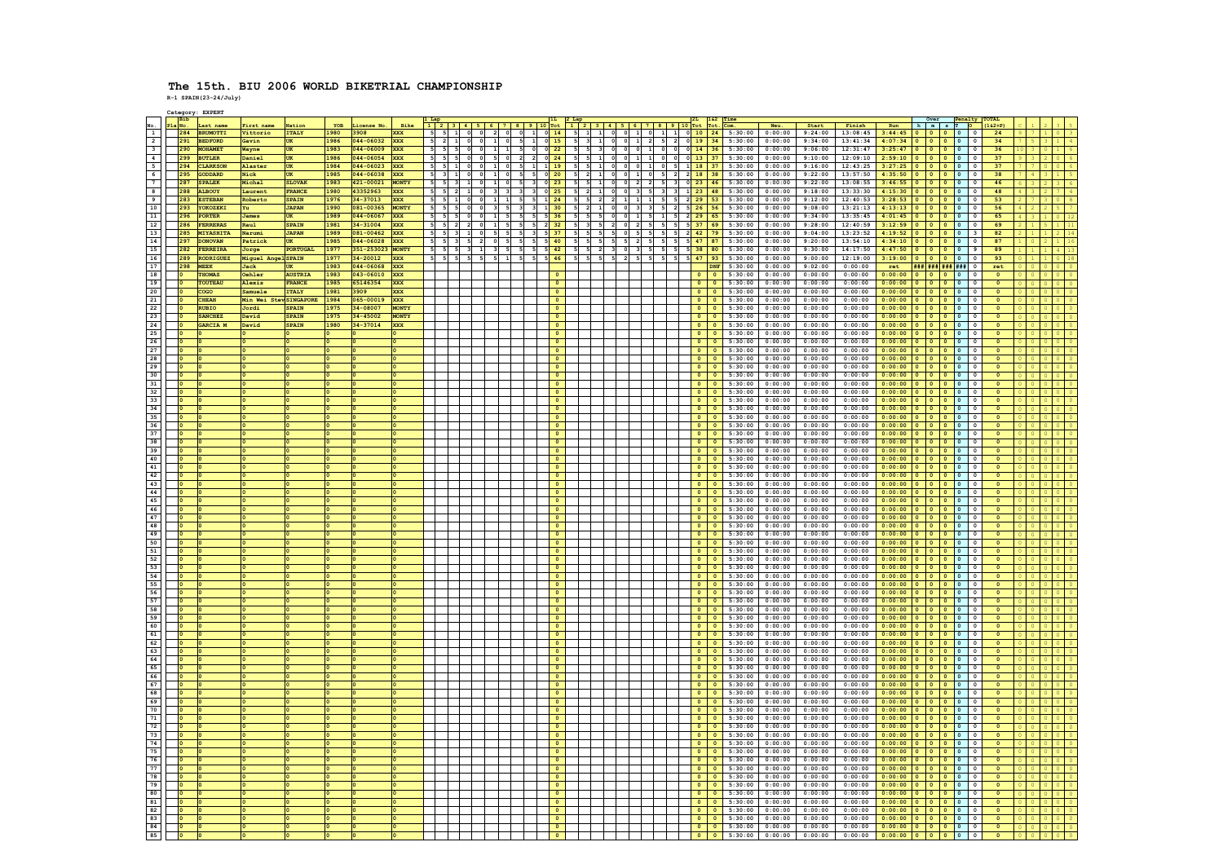|                          |                |     | Category: EXPERT             |                        |                        |             |                       |                    |                |                |             |                                                   |                                                |                   |                                                                    |                                                                    |           |                |                      |                      |                          |                                           |                     |                    |                                       |                                                                                                                                           |           |                          |                             |  |  |
|--------------------------|----------------|-----|------------------------------|------------------------|------------------------|-------------|-----------------------|--------------------|----------------|----------------|-------------|---------------------------------------------------|------------------------------------------------|-------------------|--------------------------------------------------------------------|--------------------------------------------------------------------|-----------|----------------|----------------------|----------------------|--------------------------|-------------------------------------------|---------------------|--------------------|---------------------------------------|-------------------------------------------------------------------------------------------------------------------------------------------|-----------|--------------------------|-----------------------------|--|--|
|                          | Bib            |     |                              |                        |                        |             |                       |                    |                |                |             |                                                   |                                                |                   |                                                                    |                                                                    |           |                |                      |                      |                          |                                           |                     |                    |                                       |                                                                                                                                           |           |                          |                             |  |  |
| No.                      | Pla No.        | 284 | Last name<br><b>BRUMOTTI</b> | First name<br>Vittorio | Nation<br><b>ITALY</b> | YOB<br>1980 | License No.<br>3908   | Bike<br><b>XXX</b> |                |                |             | $3   4   5   6   7   8$<br>2 0                    | $1 \n 0$                                       | 14                |                                                                    | $1   2   3   4   5   6   7   8   9   10   7$ ot<br>$5$ 1 1 0 0 1 0 |           |                | $1 \quad 1 \quad 0$  | 10                   |                          | Com.<br>$24$ 5:30:00 0:00:00              | Neu.                | Start              | Finish<br>$9:24:00$ 13:08:45          | Run<br>3:44:45                                                                                                                            | h n s T O |                          | $(162+P)$<br>24             |  |  |
| $\overline{1}$           |                |     |                              |                        | <b>ITIK</b>            | 1986        |                       |                    | 55             |                |             |                                                   |                                                |                   |                                                                    |                                                                    |           |                |                      |                      |                          |                                           |                     | 9:34:00            | 13:41:34                              |                                                                                                                                           |           |                          |                             |  |  |
| $\overline{2}$           |                |     | 291 BEDFORD                  | Gavin                  |                        |             | 044-06032 XXX         |                    | $5 \vert 2$    |                | $1$ 0 0     | $1$ 0<br>- 5                                      | $1 \quad 0 \quad 15$                           |                   |                                                                    |                                                                    |           |                |                      |                      |                          | 5 3 1 0 0 1 2 5 2 0 19 34 5:30:00 0:00:00 |                     |                    |                                       | 4:07:34 0 0 0 0 0 0                                                                                                                       |           |                          | 34                          |  |  |
| $\overline{\mathbf{3}}$  |                | 290 | <b>MOHAMET</b>               | Wayne                  | UK                     | 1983        | 044-06009 XXX         |                    | 5 <sub>1</sub> |                |             | 5<br>1<br>$\mathbf{1}$                            | $\circ$                                        | $0$ 22            | $\begin{array}{c cc}\n5 & 5 & 3 \\ \hline\n5 & 5 & 1\n\end{array}$ | $\frac{1}{\sqrt{2}}$                                               |           | $\circ$        | $\frac{1}{\sqrt{2}}$ | $0$ 0                | $14 \mid 36$             | 5:30:00                                   | 0:00:00             | 9:06:00            | 12:31:47                              | $\begin{array}{c cccccc}3:25:47&0&0&0&0&0\\ \hline 2:59:10&0&0&0&0&0 \end{array}$                                                         |           |                          | 36                          |  |  |
| $\overline{4}$           |                |     | 299 BUTLER                   | Daniel                 | <b>ITIK</b>            | 1986        | 044-06054 XXX         |                    | $5 - 5$        | 5 <sub>0</sub> |             | 5 <sub>0</sub><br>$\overline{2}$                  | $2 \t 0 \t 24$                                 |                   |                                                                    |                                                                    | $\bullet$ | $1 \mid 1$     |                      | $0 \t 0 \t 13 \t 37$ |                          | 5:30:00 0:00:00                           |                     | 9:10:00            | 12:09:10                              |                                                                                                                                           |           |                          | 37                          |  |  |
| $\overline{\phantom{a}}$ |                |     | 294 CLARKSON                 | Alaster                | UK                     | 1984        | 044-06023 XXX         |                    | $5$ 5          |                |             | $1 \quad 0$<br>- 51                               | 1<br>$1 \overline{1}$ 19                       |                   |                                                                    | 5 5 1 0 0 0 1                                                      |           |                |                      |                      |                          | $0$ 5 1 18 37 5:30:00 0:00:00             |                     |                    | $9:16:00$ 12:43:25                    | $3:27:25$ 0 0 0 0 0 0                                                                                                                     |           |                          | 37                          |  |  |
| 6                        |                | 295 | <b>GODDARD</b>               | Nick                   | UK                     | 1985        | 044-06038 XXX         |                    | $5 \vert$      |                | $\circ$     | - 5<br>$1 \quad 0$                                | 5 0 20                                         |                   | 5<br>$\mathbf{2}$                                                  | $\mathbf{1}$<br>$\circ$                                            | $\circ$   | $\vert$ 1      |                      | 5 2 2 18 38          |                          | 5:30:00                                   | 0:00:00             | 9:22:00            | 13:57:50                              | 4:35:50 0 0 0 0 0                                                                                                                         |           |                          | 38                          |  |  |
| 7                        |                | 287 | <b>SPALEK</b>                | Michal                 | <b>SLOVAR</b>          | 1983        | 421-00021 MONTY       |                    |                |                |             |                                                   | $3$ 0 23                                       |                   |                                                                    |                                                                    |           |                |                      |                      | $23 \mid 46$             | 5:30:00                                   | 0:00:00             | 9:22:00            | 13:08:55                              | $3:46:55$ 0 0 0 0 0                                                                                                                       |           |                          | 46                          |  |  |
| $\overline{\mathbf{8}}$  |                |     | 288 ALBOUY                   | Laurent                | <b>FRANCE</b>          | 1980        | 43352963 XXX          |                    | 5              |                |             |                                                   | $3$ 0 25                                       |                   |                                                                    |                                                                    |           |                | $3 \overline{3}$ $1$ |                      |                          | $23$ 48 5:30:00                           | 0:00:00             | 9:18:00            | 13:33:30                              | $4:15:30$ 0 0 0 0 0                                                                                                                       |           |                          | 48                          |  |  |
| $\overline{\phantom{a}}$ |                |     | 283 ESTEBAN                  | Roberto                | <b>SPAIN</b>           | 1976        | 34-37013              | XXX                | 5              | $1$ 0          |             | $1 \quad 1$<br>- 5                                | $5$ 1 24                                       |                   | $5\quad 5$                                                         | $\overline{2}$                                                     |           |                |                      |                      |                          | 5 5 2 29 53 5:30:00                       | 0:00:00             | 9:12:00            | 12:40:53                              | $3:28:53$ 0 0 0 0 0                                                                                                                       |           |                          | 53                          |  |  |
| 10                       |                | 293 | YOKOZEKI                     | Yu.                    | <b>JAPAN</b>           | 1990        | 081-00365             | MONTY              | 5              |                |             | $\overline{\mathbf{3}}$                           | $\overline{\mathbf{3}}$<br>1                   | 30                |                                                                    |                                                                    |           |                |                      | 26                   | 56                       | 5:30:00                                   | 0:00:00             | 9:08:00            | 13:21:13                              | $4:13:13$ 0 0 0 0 0                                                                                                                       |           |                          | 56                          |  |  |
| 11                       |                | 296 | PORTER                       | <b>James</b>           | <b>UK</b>              | 1989        | 044-06067 XXX         |                    | 5              |                |             | $\overline{1}$<br>$\overline{\phantom{a}}$<br>- 5 | $\overline{\phantom{a}}$                       | $5 \overline{36}$ |                                                                    |                                                                    |           |                |                      |                      |                          | $5$ 2 29 65 5:30:00                       | 0:00:00             | 9:34:00            | 13:35:45                              | $4:01:45$ 0 0 0 0 0                                                                                                                       |           |                          | 65                          |  |  |
| 12                       |                |     | 286 FERRERAS                 | Raul                   | <b>SPAIN</b>           | 1981        | 34-31004 XXX          |                    |                |                |             | $1 \quad 5$                                       | - 5<br>$2 \overline{32}$                       |                   |                                                                    |                                                                    |           |                |                      | $5 \t 5 \t 37 \t 69$ |                          | 5:30:00                                   | 0:00:00             | 9:28:00            | 12:40:59                              | $3:12:59$ 0 0 0 0 0                                                                                                                       |           |                          | 69                          |  |  |
| 13                       |                | 285 | MIYASHITA                    | Narumi                 | <b>JAPAN</b>           | 1989        | 081-00462 XXX         |                    | -5             |                |             | - 51<br>- 5                                       | 3 <sup>1</sup><br>$5 \overline{\phantom{0}37}$ |                   |                                                                    |                                                                    |           |                |                      | 52                   | $42$ 79                  | 5:30:00                                   | 0:00:00             | 9:04:00            | 13:23:52                              |                                                                                                                                           |           |                          | 82                          |  |  |
| 14                       |                | 297 | <b>DONOVAN</b>               | Patrick                | <b>ITIK</b>            | 1985        | 044-06028 XXX         |                    |                |                |             | - 5                                               | 5 <sup>1</sup><br>5                            | 40                |                                                                    |                                                                    |           | $\overline{2}$ | 5                    |                      | 47 87                    | 5:30:00                                   | 0:00:00             | 9:20:00            | 13:54:10                              |                                                                                                                                           |           |                          | 87                          |  |  |
| 15                       |                | 282 | FERREIRA                     | Jorge                  | PORTUGAL               | 1977        | 351-253023 MONTY      |                    |                |                |             |                                                   | $5\quad 5\quad 42$                             |                   |                                                                    | $\overline{2}$                                                     |           |                |                      |                      | 38 80                    | 5:30:00                                   | 0:00:00             | 9:30:00            | 14:17:50                              | $4:47:50$ 0 0 0 0 9                                                                                                                       |           |                          | 89                          |  |  |
| 16                       |                |     | 289 RODRIGUEZ                | Miguel AngelSPAIN      |                        | 1977        | 34-20012 XXX          |                    | 5              |                | $5$ $5$ $5$ | $5 \mid 1$                                        | $5 \quad 5 \quad 46$                           |                   | 555                                                                |                                                                    |           |                | - 5                  | 5 5<br>47            | 93                       | 5:30:00                                   | 0:00:00             | 9:00:00            | 12:19:00                              | $3:19:00$ 0 0 0 0 0 0                                                                                                                     |           |                          | 93                          |  |  |
| 17                       |                | 298 | <b>MEEK</b>                  | Jack                   | <b>UK</b>              | 1983        | 044-06068             | <b>XXX</b>         |                |                |             |                                                   |                                                |                   |                                                                    |                                                                    |           |                |                      |                      | DNF                      | 5:30:00                                   | 0:00:00             | 9:02:00            | 0:00:00                               | ret                                                                                                                                       |           | <b>### ### ### ###</b> 0 | ret                         |  |  |
| 18                       | $\overline{a}$ |     | <b>THOMAS</b>                | Oehler                 | <b>AUSTRIA</b>         | 1983        | 043-06010 XXX         |                    |                |                |             |                                                   |                                                |                   |                                                                    |                                                                    |           |                |                      |                      | $\overline{0}$           | 5:30:00                                   | 0:00:00             | 0:00:00            | 0:00:00                               | $0:00:00$ 0 0 0 0 0                                                                                                                       |           |                          | $\circ$                     |  |  |
|                          | lo.            |     | TOUTEAU                      | Alexis                 | FRANCE                 | 1985        | 65146354              | <b>XXX</b>         |                |                |             |                                                   |                                                | $\circ$           |                                                                    |                                                                    |           |                |                      |                      | $0$ 0                    | $5:30:00$ 0:00:00                         |                     | 0:00:00            | 0:00:00                               | $0:00:00$ 0 0 0 0 0                                                                                                                       |           |                          | $\Omega$                    |  |  |
| 19<br>20                 |                |     | cogo                         | Samuele                | <b>ITALY</b>           | 1981        | 3909                  | XXX                |                |                |             |                                                   |                                                | $\circ$           |                                                                    |                                                                    |           |                |                      | $\circ$              | $\bullet$                | 5:30:00                                   | 0:00:00             | 0:00:00            | 0:00:00                               |                                                                                                                                           |           |                          | $\bullet$                   |  |  |
|                          |                |     | <b>CHEAH</b>                 | Min Wei StevSINGAPORE  |                        | 1984        |                       |                    |                |                |             |                                                   |                                                | $\circ$           |                                                                    |                                                                    |           |                |                      | $\bullet$            | $\overline{0}$           |                                           |                     | 0:00:00            |                                       | $0:00:00$ 0 0 0 0 0                                                                                                                       |           |                          |                             |  |  |
| 21                       |                |     | <b>RUBIO</b>                 |                        | <b>SPAIN</b>           | 1975        | 065-00019<br>34-08007 | XXX<br>MONTY       |                |                |             |                                                   |                                                |                   |                                                                    |                                                                    |           |                |                      | $\bullet$            | $\overline{\phantom{a}}$ | 5:30:00<br>5:30:00                        | 0:00:00<br>0:00:00  | 0:00:00            | 0:00:00<br>0:00:00                    | $0:00:00$ 0 0 0 0 0 0<br>0:00:00 0 0 0 0 0 0                                                                                              |           |                          | $\bullet$<br>$\overline{0}$ |  |  |
| 22                       |                |     |                              | Jordi                  |                        |             |                       |                    |                |                |             |                                                   |                                                |                   |                                                                    |                                                                    |           |                |                      |                      |                          |                                           |                     |                    |                                       |                                                                                                                                           |           |                          |                             |  |  |
| 23                       |                |     | <b>SANCHEZ</b>               | David                  | <b>SPAIN</b>           | 1975        | $34 - 45002$          | MONTY              |                |                |             |                                                   |                                                | $\circ$           |                                                                    |                                                                    |           |                |                      | $\bullet$            | $\bullet$                | 5:30:00                                   | 0:00:00             | 0:00:00            | 0:00:00                               | $0:00:00$ 0 0 0 0 0                                                                                                                       |           |                          | $\circ$                     |  |  |
| 24                       |                |     | GARCIA M                     | David                  | <b>SPAIN</b>           | 1980        | 34-37014              | XXX                |                |                |             |                                                   |                                                |                   |                                                                    |                                                                    |           |                |                      |                      |                          | 5:30:00                                   | 0:00:00             | 0:00:00            | 0:00:00                               | 0:00:00 0 0 0 0 0                                                                                                                         |           |                          |                             |  |  |
| 25                       |                |     |                              |                        |                        |             |                       |                    |                |                |             |                                                   |                                                |                   |                                                                    |                                                                    |           |                |                      | $\Omega$             | $\Omega$                 | 5:30:00                                   | 0:00:00             | 0:00:00            | 0:00:00                               | $0:00:00$ 0 0 0 0 0                                                                                                                       |           |                          | $\overline{0}$              |  |  |
| 26                       |                |     |                              |                        |                        |             |                       |                    |                |                |             |                                                   |                                                | $\Omega$          |                                                                    |                                                                    |           |                |                      |                      |                          | $0 \t 0 \t 5:30:00$                       | 0:00:00             | 0:00:00            | 0:00:00                               | $0:00:00$ 0 0 0 0 0 0                                                                                                                     |           |                          | $\overline{0}$              |  |  |
| 27                       |                |     |                              |                        |                        |             |                       |                    |                |                |             |                                                   |                                                | $\circ$           |                                                                    |                                                                    |           |                |                      | $\bullet$            | $\bullet$                | 5:30:00                                   | 0:00:00             | 0:00:00            | 0:00:00                               | $0:00:00$ 0 0 0 0 0 0                                                                                                                     |           |                          | $\bullet$                   |  |  |
| 28                       |                |     |                              |                        |                        |             |                       |                    |                |                |             |                                                   |                                                |                   |                                                                    |                                                                    |           |                |                      | $\Omega$             | - 0                      | 5:30:00                                   | 0:00:00             | 0:00:00            | 0:00:00                               | $0:00:00$ 0 0 0 0 0                                                                                                                       |           |                          | $\Omega$                    |  |  |
| 29                       | <b>lo</b>      |     |                              |                        |                        |             |                       |                    |                |                |             |                                                   |                                                |                   |                                                                    |                                                                    |           |                |                      | $\bullet$            | $\circ$                  | 5:30:00                                   | 0:00:00             | 0:00:00            | 0:00:00                               | $0:00:00$ 0 0 0 0 0                                                                                                                       |           |                          | $\overline{0}$              |  |  |
| 30                       |                |     |                              |                        |                        |             |                       |                    |                |                |             |                                                   |                                                | $\circ$           |                                                                    |                                                                    |           |                |                      | $\circ$              | $\bullet$                | $5:30:00$ 0:00:00                         |                     | 0:00:00            | 0:00:00                               | $0:00:00$ 0 0 0 0 0                                                                                                                       |           |                          | $\circ$                     |  |  |
| 31                       |                |     |                              |                        |                        |             |                       |                    |                |                |             |                                                   |                                                |                   |                                                                    |                                                                    |           |                |                      | $\Omega$             | $\overline{0}$           | 5:30:00                                   | 0:00:00             | 0:00:00            | 0:00:00                               | $0:00:00$ 0 0 0 0 0                                                                                                                       |           |                          | $\circ$                     |  |  |
| 32                       |                |     |                              |                        |                        |             |                       |                    |                |                |             |                                                   |                                                |                   |                                                                    |                                                                    |           |                |                      | $\Omega$             | $\Omega$                 |                                           | $5:30:00$ 0:00:00   | 0:00:00            | 0:00:00                               | $0:00:00$ 0 0 0 0 0                                                                                                                       |           |                          | $\overline{0}$              |  |  |
| 33                       |                |     |                              |                        |                        |             |                       |                    |                |                |             |                                                   |                                                | $\circ$           |                                                                    |                                                                    |           |                |                      |                      |                          | $0 \t 0 \t 5:30:00 \t 0:00:00$            |                     | 0:00:00            | 0:00:00                               | $0:00:00$ 0 0 0 0 0 0                                                                                                                     |           |                          | $\bullet$                   |  |  |
| 34                       |                |     |                              |                        |                        |             |                       |                    |                |                |             |                                                   |                                                |                   |                                                                    |                                                                    |           |                |                      | $\bullet$            | $\bullet$                | 5:30:00                                   | 0:00:00             | 0:00:00            | 0:00:00                               | 0:00:00 0 0 0 0 0                                                                                                                         |           |                          | $\mathbf{o}$                |  |  |
| 35                       |                |     |                              |                        |                        |             |                       |                    |                |                |             |                                                   |                                                |                   |                                                                    |                                                                    |           |                |                      | $\Omega$             | $\Omega$                 |                                           | $5:30:00$ $0:00:00$ | 0:00:00            | 0:00:00                               |                                                                                                                                           |           |                          | $\Omega$                    |  |  |
| 36                       | <b>lo</b>      |     |                              |                        |                        |             |                       |                    |                |                |             |                                                   |                                                |                   |                                                                    |                                                                    |           |                |                      |                      | $\circ$                  | 5:30:00                                   | 0:00:00             | 0:00:00            | 0:00:00                               |                                                                                                                                           |           |                          | $\bullet$                   |  |  |
| 37                       |                |     |                              |                        |                        |             |                       |                    |                |                |             |                                                   |                                                |                   |                                                                    |                                                                    |           |                |                      | $\bullet$            | $\bullet$                | 5:30:00                                   | 0:00:00             | 0:00:00            | 0:00:00                               |                                                                                                                                           |           |                          | $\overline{0}$              |  |  |
| 38                       |                |     |                              |                        |                        |             |                       |                    |                |                |             |                                                   |                                                |                   |                                                                    |                                                                    |           |                |                      |                      |                          | 5:30:00                                   | 0:00:00             | 0:00:00            | 0:00:00                               |                                                                                                                                           |           |                          | $\circ$                     |  |  |
|                          |                |     |                              |                        |                        |             |                       |                    |                |                |             |                                                   |                                                |                   |                                                                    |                                                                    |           |                |                      |                      |                          |                                           |                     |                    |                                       | $0:00:00$ 0 0 0 0 0                                                                                                                       |           |                          | $\overline{0}$              |  |  |
| 39                       |                |     |                              |                        |                        |             |                       |                    |                |                |             |                                                   |                                                |                   |                                                                    |                                                                    |           |                |                      |                      | $\circ$                  | 5:30:00                                   | 0:00:00             | 0:00:00            | 0:00:00                               |                                                                                                                                           |           |                          |                             |  |  |
| 40                       | lo.            |     |                              |                        |                        |             |                       |                    |                |                |             |                                                   |                                                |                   |                                                                    |                                                                    |           |                |                      |                      | $0$ 0                    | 5:30:00                                   | 0:00:00             | 0:00:00            | 0:00:00                               | $0:00:00$ 0 0 0 0 0                                                                                                                       |           |                          | $\circ$                     |  |  |
| 41                       |                |     |                              |                        |                        |             |                       |                    |                |                |             |                                                   |                                                |                   |                                                                    |                                                                    |           |                |                      |                      | $\circ$                  | 5:30:00                                   | 0:00:00             | 0:00:00            | 0:00:00                               |                                                                                                                                           |           |                          | $\mathbf{0}$                |  |  |
| 42                       |                |     |                              |                        |                        |             |                       |                    |                |                |             |                                                   |                                                |                   |                                                                    |                                                                    |           |                |                      |                      | $\sqrt{2}$               | 5:30:00                                   | 0:00:00             | 0:00:00            | 0:00:00                               |                                                                                                                                           |           |                          | $\circ$                     |  |  |
| 43                       |                |     |                              |                        |                        |             |                       |                    |                |                |             |                                                   |                                                |                   |                                                                    |                                                                    |           |                |                      |                      |                          | 5:30:00                                   | 0:00:00             | 0:00:00            | 0:00:00                               | 0:00:00 0 0 0 0 0                                                                                                                         |           |                          | $\overline{0}$              |  |  |
| 44                       |                |     |                              |                        |                        |             |                       |                    |                |                |             |                                                   |                                                | $\Omega$          |                                                                    |                                                                    |           |                |                      | $\circ$              | $\bullet$                | 5:30:00                                   | 0:00:00             | 0:00:00            | 0:00:00                               |                                                                                                                                           |           |                          | $\circ$                     |  |  |
| 45                       |                |     |                              |                        |                        |             |                       |                    |                |                |             |                                                   |                                                |                   |                                                                    |                                                                    |           |                |                      |                      |                          | 5:30:00                                   | 0:00:00             | 0:00:00            | 0:00:00                               |                                                                                                                                           |           |                          | $\circ$                     |  |  |
| 46                       |                |     |                              |                        |                        |             |                       |                    |                |                |             |                                                   |                                                |                   |                                                                    |                                                                    |           |                |                      | $\Omega$             | $\Omega$                 |                                           | $5:30:00$ 0:00:00   | 0:00:00            | 0:00:00                               | $0:00:00$ 0 0 0 0 0                                                                                                                       |           |                          | $\overline{0}$              |  |  |
| 47                       |                |     |                              |                        |                        |             |                       |                    |                |                |             |                                                   |                                                | $\Omega$          |                                                                    |                                                                    |           |                |                      | $\bullet$            | $\overline{\phantom{a}}$ | 5:30:00                                   | 0:00:00             | 0:00:00            | 0:00:00                               | 0:00:00 0 0 0 0 0                                                                                                                         |           |                          | $\Omega$                    |  |  |
| 48                       |                |     |                              |                        |                        |             |                       |                    |                |                |             |                                                   |                                                |                   |                                                                    |                                                                    |           |                |                      |                      | $\bullet$                | 5:30:00                                   | 0:00:00             | 0:00:00            | 0:00:00                               |                                                                                                                                           |           |                          |                             |  |  |
| 49                       |                |     |                              |                        |                        |             |                       |                    |                |                |             |                                                   |                                                |                   |                                                                    |                                                                    |           |                |                      |                      | $\Omega$                 |                                           | $5:30:00$ 0:00:00   | 0:00:00            | 0:00:00                               |                                                                                                                                           |           |                          | $\overline{0}$              |  |  |
| 50                       |                |     |                              |                        |                        |             |                       |                    |                |                |             |                                                   |                                                |                   |                                                                    |                                                                    |           |                |                      |                      | $\circ$                  | 5:30:00                                   | 0:00:00             | 0:00:00            | 0:00:00                               | 0:00:00 0 0 0 0 0                                                                                                                         |           |                          | $\bullet$                   |  |  |
| 51                       |                |     |                              |                        |                        |             |                       |                    |                |                |             |                                                   |                                                | $\circ$           |                                                                    |                                                                    |           |                |                      | $\circ$              | $\bullet$                | $5:30:00$ 0:00:00                         |                     | 0:00:00            | 0:00:00                               | $0:00:00$ 0 0 0 0 0                                                                                                                       |           |                          | $\bullet$                   |  |  |
| 52                       |                |     |                              |                        |                        |             |                       |                    |                |                |             |                                                   |                                                |                   |                                                                    |                                                                    |           |                |                      |                      |                          | 5:30:00                                   | 0:00:00             | 0:00:00            | 0:00:00                               |                                                                                                                                           |           |                          | $\overline{0}$              |  |  |
| 53                       |                |     |                              |                        |                        |             |                       |                    |                |                |             |                                                   |                                                |                   |                                                                    |                                                                    |           |                |                      | $\bullet$            | $\circ$                  | 5:30:00                                   | 0:00:00             | 0:00:00            | 0:00:00                               |                                                                                                                                           |           |                          | $\overline{0}$              |  |  |
|                          | <b>lo</b>      |     |                              |                        |                        |             |                       |                    |                |                |             |                                                   |                                                | $\circ$           |                                                                    |                                                                    |           |                |                      |                      |                          |                                           | 0:00:00             | 0:00:00            | 0:00:00                               |                                                                                                                                           |           |                          | $\bullet$                   |  |  |
| 54<br>55                 |                |     |                              |                        |                        |             |                       |                    |                |                |             |                                                   |                                                |                   |                                                                    |                                                                    |           |                |                      |                      | $\circ$                  | $0 \t 0 \t 5:30:00$<br>5:30:00            | 0:00:00             | 0:00:00            | 0:00:00                               | $0:00:00$ 0 0 0 0 0 0<br>$0:00:00$ 0 0 0 0 0                                                                                              |           |                          |                             |  |  |
| 56                       |                |     |                              |                        |                        |             |                       |                    |                |                |             |                                                   |                                                |                   |                                                                    |                                                                    |           |                |                      |                      | $\Omega$                 | 5:30:00                                   | 0:00:00             | 0:00:00            | 0:00:00                               | $0:00:00$ 0 0 0 0 0                                                                                                                       |           |                          | $\overline{0}$              |  |  |
|                          |                |     |                              |                        |                        |             |                       |                    |                |                |             |                                                   |                                                |                   |                                                                    |                                                                    |           |                |                      |                      | $\bullet$                |                                           |                     |                    |                                       |                                                                                                                                           |           |                          |                             |  |  |
| 57<br>58                 |                |     |                              |                        |                        |             |                       |                    |                |                |             |                                                   |                                                |                   |                                                                    |                                                                    |           |                |                      |                      |                          | 5:30:00<br>5:30:00                        | 0:00:00<br>0:00:00  | 0:00:00<br>0:00:00 | 0:00:00<br>0:00:00                    | $0:00:00$ 0 0 0 0 0                                                                                                                       |           |                          | $\bullet$                   |  |  |
|                          |                |     |                              |                        |                        |             |                       |                    |                |                |             |                                                   |                                                |                   |                                                                    |                                                                    |           |                |                      | $\circ$              | $\bullet$                |                                           |                     |                    |                                       |                                                                                                                                           |           |                          | $\circ$<br>$\overline{0}$   |  |  |
| 59                       |                |     |                              |                        |                        |             |                       |                    |                |                |             |                                                   |                                                |                   |                                                                    |                                                                    |           |                |                      |                      |                          | $0 \t 5:30:00$                            | 0:00:00             | 0:00:00            | 0:00:00                               | $\begin{array}{c cccccc} 0:00:00&0&0&0&0&0&0\\ \hline 0:00:00&0&0&0&0&0&0\\ \hline 0:00:00&0&0&0&0&0&0 \end{array}$                       |           |                          |                             |  |  |
| 60                       |                |     |                              |                        |                        |             |                       |                    |                |                |             |                                                   |                                                |                   |                                                                    |                                                                    |           |                |                      |                      | $\bullet$                | 5:30:00                                   | 0:00:00             | 0:00:00            | 0:00:00                               |                                                                                                                                           |           |                          | $\circ$                     |  |  |
| 61                       | <b>In</b>      |     |                              |                        |                        |             |                       |                    |                |                |             |                                                   |                                                |                   |                                                                    |                                                                    |           |                |                      |                      |                          | $0 \t 0 \t 5:30:00$                       | 0:00:00             | 0:00:00            | 0:00:00                               | $0:00:00$ 0 0 0 0 0                                                                                                                       |           |                          | $\circ$                     |  |  |
| 62                       |                |     |                              |                        |                        |             |                       |                    |                |                |             |                                                   |                                                |                   |                                                                    |                                                                    |           |                |                      |                      | $\circ$                  | 5:30:00                                   | 0:00:00             | 0:00:00            | 0:00:00                               | $0:00:00$ 0 0 0 0 0                                                                                                                       |           |                          | $\mathbf{0}$                |  |  |
| 63                       |                |     |                              |                        |                        |             |                       |                    |                |                |             |                                                   |                                                |                   |                                                                    |                                                                    |           |                |                      |                      | $\Omega$                 | 5:30:00                                   | 0:00:00             | 0:00:00            | 0:00:00                               | $0:00:00$ 0 0 0 0 0                                                                                                                       |           |                          | $\circ$                     |  |  |
| 64                       | lo.            |     |                              |                        |                        |             |                       |                    |                |                |             |                                                   |                                                |                   |                                                                    |                                                                    |           |                |                      | $\Omega$             | $\bullet$                | 5:30:00                                   | 0:00:00             | 0:00:00            | 0:00:00                               | $0:00:00$ 0 0 0 0 0                                                                                                                       |           |                          | $\overline{0}$              |  |  |
| 65                       |                |     |                              |                        |                        |             |                       |                    |                |                |             |                                                   |                                                |                   |                                                                    |                                                                    |           |                |                      | 0                    | $\bullet$                | $5:30:00$ 0:00:00                         |                     | 0:00:00            | 0:00:00                               | $\begin{array}{c cccc cccc} \hline 0:00:00&0&0&0&0&0&0 \\ \hline 0:00:00&0&0&0&0&0&0 \\ \hline 0:00:00&0&0&0&0&0&0 \\ \hline \end{array}$ |           |                          | $\circ$                     |  |  |
| 66                       |                |     |                              |                        |                        |             |                       |                    |                |                |             |                                                   |                                                |                   |                                                                    |                                                                    |           |                |                      |                      |                          | 5:30:00                                   | 0:00:00             | 0:00:00            | 0:00:00                               |                                                                                                                                           |           |                          | $\circ$                     |  |  |
| 67                       |                |     |                              |                        |                        |             |                       |                    |                |                |             |                                                   |                                                |                   |                                                                    |                                                                    |           |                |                      | $\bullet$            | $\circ$                  | 5:30:00                                   | 0:00:00             | 0:00:00            | 0:00:00                               |                                                                                                                                           |           |                          | $\overline{0}$              |  |  |
| 68                       |                |     |                              |                        |                        |             |                       |                    |                |                |             |                                                   |                                                |                   |                                                                    |                                                                    |           |                |                      | $\bullet$            | $\bullet$                | 5:30:00                                   | 0:00:00             | 0:00:00            | 0:00:00                               | $0:00:00$ 0 0 0 0 0 0                                                                                                                     |           |                          | $\circ$                     |  |  |
| 69                       |                |     |                              |                        |                        |             |                       |                    |                |                |             |                                                   |                                                |                   |                                                                    |                                                                    |           |                |                      |                      |                          | 5:30:00                                   | 0:00:00             | 0:00:00            | 0:00:00                               | $0:00:00$ 0 0 0 0 0                                                                                                                       |           | $\circ$                  |                             |  |  |
| 70                       |                |     |                              |                        |                        |             |                       |                    |                |                |             |                                                   |                                                |                   |                                                                    |                                                                    |           |                |                      |                      | $\Omega$                 | 5:30:00                                   | 0:00:00             | 0:00:00            | 0:00:00                               | $0:00:00$ 0 0 0 0 0                                                                                                                       |           |                          | $\overline{0}$              |  |  |
| 71                       |                |     |                              |                        |                        |             |                       |                    |                |                |             |                                                   |                                                |                   |                                                                    |                                                                    |           |                |                      |                      | $\circ$                  | 5:30:00                                   | 0:00:00             | 0:00:00            | 0:00:00                               | $0:00:00$ 0 0 0 0 0 0                                                                                                                     |           |                          | $\overline{0}$              |  |  |
| 72                       |                |     |                              |                        |                        |             |                       |                    |                |                |             |                                                   |                                                |                   |                                                                    |                                                                    |           |                |                      | $\bullet$            | $\bullet$                | 5:30:00                                   | 0:00:00             | 0:00:00            | 0:00:00                               | $\begin{array}{c cccccc} 0:00:00&0&0&0&0&0 \\ \hline 0:00:00&0&0&0&0&0 \\ \hline 0:00:00&0&0&0&0&0 \\ \end{array}$                        |           |                          | $\mathbf{0}$                |  |  |
| 73                       |                |     |                              |                        |                        |             |                       |                    |                |                |             |                                                   |                                                |                   |                                                                    |                                                                    |           |                |                      |                      | $\bullet$                | 5:30:00                                   | 0:00:00             | 0:00:00            | 0:00:00                               |                                                                                                                                           |           |                          | $\overline{0}$              |  |  |
| 74                       |                |     |                              |                        |                        |             |                       |                    |                |                |             |                                                   |                                                |                   |                                                                    |                                                                    |           |                |                      |                      |                          | 5:30:00                                   | 0:00:00             | 0:00:00            | 0:00:00                               |                                                                                                                                           |           |                          | $\bullet$                   |  |  |
| 75                       |                |     |                              |                        |                        |             |                       |                    |                |                |             |                                                   |                                                |                   |                                                                    |                                                                    |           |                |                      | $\circ$              | $\bullet$                | 5:30:00                                   | 0:00:00             | 0:00:00            | 0:00:00                               | $0:00:00$ 0 0 0 0 0 0                                                                                                                     |           |                          | $\bullet$                   |  |  |
| 76                       |                |     |                              |                        |                        |             |                       |                    |                |                |             |                                                   |                                                |                   |                                                                    |                                                                    |           |                |                      |                      | $\circ$                  | 5:30:00                                   | 0:00:00             | 0:00:00            | 0:00:00                               | $0:00:00$ 0 0 0 0 0                                                                                                                       |           |                          | $\circ$                     |  |  |
| 77                       |                |     |                              |                        |                        |             |                       |                    |                |                |             |                                                   |                                                |                   |                                                                    |                                                                    |           |                |                      |                      | $\Omega$                 | 5:30:00                                   | 0:00:00             | 0:00:00            | 0:00:00                               | $0:00:00$ 0 0 0 0 0                                                                                                                       |           |                          | $\overline{0}$              |  |  |
|                          | $\mathsf{In}$  |     |                              |                        |                        |             |                       |                    |                |                |             |                                                   |                                                | $\circ$           |                                                                    |                                                                    |           |                |                      |                      | $0$ 0                    | 5:30:00                                   | 0:00:00             | 0:00:00            | 0:00:00                               |                                                                                                                                           |           |                          | $\circ$                     |  |  |
| 78<br>79                 |                |     |                              |                        |                        |             |                       |                    |                |                |             |                                                   |                                                |                   |                                                                    |                                                                    |           |                |                      |                      |                          | 5:30:00                                   | 0:00:00             | 0:00:00            | 0:00:00                               | $0:00:00$ 0 0 0 0 0 0                                                                                                                     |           |                          |                             |  |  |
|                          |                |     |                              |                        |                        |             |                       |                    |                |                |             |                                                   |                                                |                   |                                                                    |                                                                    |           |                |                      | $\circ$              | $\bullet$                |                                           |                     |                    |                                       |                                                                                                                                           |           |                          | $\circ$<br>$\Omega$         |  |  |
| 80                       |                |     |                              |                        |                        |             |                       |                    |                |                |             |                                                   |                                                |                   |                                                                    |                                                                    |           |                |                      |                      | $\Omega$                 | 5:30:00                                   | 0:00:00             | 0:00:00            | 0:00:00                               |                                                                                                                                           |           |                          |                             |  |  |
| 81                       |                |     |                              |                        |                        |             |                       |                    |                |                |             |                                                   |                                                |                   |                                                                    |                                                                    |           |                |                      |                      |                          | 5:30:00                                   | 0:00:00             | 0:00:00            | 0:00:00                               | 0:00:00 0 0 0 0 0                                                                                                                         |           |                          |                             |  |  |
| 82                       |                |     |                              |                        |                        |             |                       |                    |                |                |             |                                                   |                                                | $\Omega$          |                                                                    |                                                                    |           |                |                      |                      |                          | $0 \t 0 \t 5:30:00 \t 0:00:00$            |                     | 0:00:00            | 0:00:00                               | $0:00:00$ 0 0 0 0 0 0                                                                                                                     |           |                          | $\circ$                     |  |  |
| 83                       |                |     |                              |                        |                        |             |                       |                    |                |                |             |                                                   |                                                |                   |                                                                    |                                                                    |           |                |                      |                      |                          | 5:30:00                                   | 0:00:00             | 0:00:00            | 0:00:00                               | $0:00:00$ 0 0 0 0 0                                                                                                                       |           |                          |                             |  |  |
| 84                       |                |     |                              |                        |                        |             |                       |                    |                |                |             |                                                   |                                                |                   |                                                                    |                                                                    |           |                |                      | $\circ$              |                          | $0$ 5:30:00 0:00:00                       |                     | 0:00:00            | 0:00:00                               | 0:00:00 0 0 0 0 0 0                                                                                                                       |           |                          | $\overline{0}$              |  |  |
| 85                       |                |     |                              |                        |                        |             |                       |                    |                |                |             |                                                   |                                                |                   |                                                                    |                                                                    |           |                |                      |                      |                          | $0$ 0 5:30:00 0:00:00                     |                     |                    | 0:00:00 0:00:00 0:00:00 0 0 0 0 0 0 0 |                                                                                                                                           |           |                          | $\circ$                     |  |  |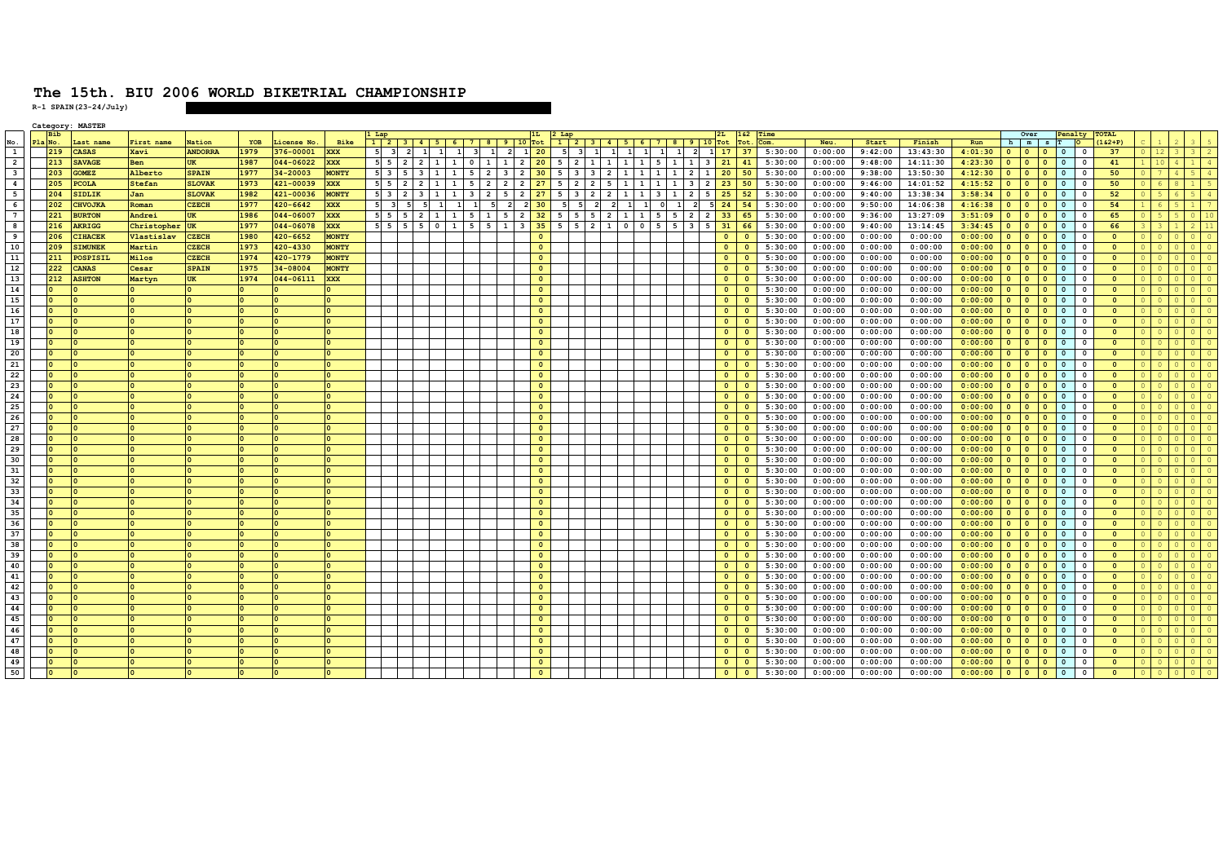|                          |    | Category: MASTER      |             |                |      |           |              |                 |                |                 |                            |                                                       |                                   |      |                |                 |                   |                                |                |                         |                         |          |         |         |         |          |         |              |                                       |                |                         |                          |  |  |
|--------------------------|----|-----------------------|-------------|----------------|------|-----------|--------------|-----------------|----------------|-----------------|----------------------------|-------------------------------------------------------|-----------------------------------|------|----------------|-----------------|-------------------|--------------------------------|----------------|-------------------------|-------------------------|----------|---------|---------|---------|----------|---------|--------------|---------------------------------------|----------------|-------------------------|--------------------------|--|--|
|                          |    | Bih                   |             |                |      |           |              |                 |                |                 |                            |                                                       |                                   |      |                |                 |                   |                                |                |                         |                         |          | Time    |         |         |          |         |              | Over                                  |                | enalty                  | TOTAL                    |  |  |
| $\frac{\text{No}}{1}$    | P1 | Last name<br>No.      | First name  | Nation         | YOB  | icense No | Bike         |                 |                |                 |                            | $1 \ 2 \ 3 \ 4 \ 5 \ 6 \ 7 \ 8 \ 9 \ 10 \ \text{Tot}$ |                                   |      |                |                 | 1 2 3 4 5 6 7 8 9 |                                |                | $10$ Tot                |                         |          | Com.    | Neu.    | Start   | Finish   | Run     | h            | $m$ s                                 |                |                         | $162 + P$                |  |  |
|                          |    | 219<br><b>CASAS</b>   | Xavi        | <b>ANDORRA</b> | 1979 | 376-00001 | <b>XXX</b>   |                 |                |                 |                            | $\mathbf{1}$<br>$\overline{\mathbf{2}}$               | $1 \overline{20}$                 |      | - 51           | 1               |                   | $\mathbf{1}$<br>$\overline{1}$ | $\overline{2}$ | $\mathbf{1}$            | 17                      | 37       | 5:30:00 | 0:00:00 | 9:42:00 | 13:43:30 | 4:01:30 | $\Omega$     | $\overline{0}$<br>$\Omega$            | $\mathbf{0}$   | $\overline{\mathbf{0}}$ | 37                       |  |  |
| $\sqrt{2}$               |    | 213<br><b>SAVAGE</b>  | <b>Ben</b>  |                | 1987 | 044-06022 | <b>XXX</b>   | 55              | $\overline{2}$ | $1 \mid 1 \mid$ | $\mathbf{1}$<br>$^{\circ}$ | $\mathbf{1}$                                          | $\overline{2}$                    | 20 5 | $\overline{2}$ | $1 \mid 1 \mid$ |                   | 1 5 1                          | $\mathbf{1}$   | $\overline{\mathbf{3}}$ | 21                      | 41       | 5:30:00 | 0:00:00 | 9:48:00 | 14:11:30 | 4:23:30 | $\Omega$     | $\Omega$                              | $\mathbf{0}$   | $^{\circ}$              | 41                       |  |  |
| $\overline{\phantom{a}}$ |    | 203<br><b>GOMEZ</b>   | Alberto     | <b>SPAIN</b>   | 1977 | 34-20003  | <b>MONTY</b> | 5 3             |                |                 | $\overline{2}$<br>5        | $\overline{\mathbf{3}}$                               | $\overline{2}$<br>30 <sup>°</sup> | 5    |                | 3 2             | -1-1              | 1 <sup>1</sup><br>$\mathbf{1}$ | $\overline{2}$ | $\mathbf{1}$            | 20                      | 50       | 5:30:00 | 0:00:00 | 9:38:00 | 13:50:30 | 4:12:30 |              | $\Omega$                              | $\mathbf{0}$   | $^{\circ}$              | 50                       |  |  |
| $\overline{4}$           |    | 205<br><b>PCOLA</b>   | Stefan      | <b>SLOVAK</b>  | 1973 | 421-00039 | <b>XXX</b>   | 55 <sub>5</sub> |                |                 | $\overline{2}$             | $\overline{2}$                                        | 27<br>$\overline{2}$              |      |                | $\overline{2}$  |                   |                                | 3              | $\overline{2}$          | 23                      | 50       | 5:30:00 | 0:00:00 | 9:46:00 | 14:01:52 | 4:15:52 | $\Omega$     | $\Omega$                              | $\mathbf{0}$   | $\Omega$                | 50                       |  |  |
| $-5$                     |    | SIDLIK<br>204         | Jan         | <b>SLOVAK</b>  | 1982 | 421-00036 | <b>MONTY</b> | $5 \quad 3$     |                |                 | $\overline{2}$             | -5                                                    | $\overline{2}$<br>27              |      |                | 22              |                   |                                | $\overline{2}$ | 5                       | 25                      | 52       | 5:30:00 | 0:00:00 | 9:40:00 | 13:38:34 | 3:58:34 | $\Omega$     | $\overline{0}$                        | $\mathbf{0}$   | $\Omega$                | 52                       |  |  |
| 6                        |    | 202<br><b>CHVOJKA</b> | Roman       | <b>CZECH</b>   | 1977 | 420-6642  | <b>XXX</b>   |                 |                |                 | 5                          |                                                       | 30                                |      |                | $\overline{2}$  |                   | $\Omega$                       | $\overline{2}$ | 5                       | 24                      | 54       | 5:30:00 | 0:00:00 | 9:50:00 | 14:06:38 | 4:16:38 | $\Omega$     | $\overline{0}$<br>$\Omega$            | $\mathbf{0}$   | $\overline{\mathbf{0}}$ | 54                       |  |  |
| $\overline{7}$           |    | <b>BURTON</b><br>221  | Andrei      | UK             | 1986 | 044-06007 | <b>XXX</b>   | 5 5             |                |                 | $\mathbf{1}$<br>-5         | - 5                                                   | 32<br>$\overline{2}$              | 5    | 5              | 5 2             | <b>1</b> I        | 5<br>5                         | $\mathbf{2}$   | $\overline{2}$          | 33                      | 65       | 5:30:00 | 0:00:00 | 9:36:00 | 13:27:09 | 3:51:09 | $\Omega$     | $\Omega$<br>$\Omega$                  | $\mathbf{0}$   | $\Omega$                | 65                       |  |  |
| $\overline{\mathbf{8}}$  |    | 216<br><b>AKRIGG</b>  | Christopher | <b>UK</b>      | 1977 | 044-06078 | <b>XXX</b>   | 55              |                |                 | 5                          |                                                       | 35                                |      |                | $2 \mid 1$      |                   | 5                              | $\overline{3}$ | 5                       | 31                      | 66       | 5:30:00 | 0:00:00 | 9:40:00 | 13:14:45 | 3:34:45 |              |                                       | $\Omega$       |                         | 66                       |  |  |
| $\overline{9}$           |    | <b>IHACEF</b><br>206  | Vlastislav  | <b>CZECH</b>   | 1980 | 420-6652  | <b>MONTY</b> |                 |                |                 |                            |                                                       | $\mathbf{0}$                      |      |                |                 |                   |                                |                |                         | $\circ$                 |          | 5:30:00 | 0:00:00 | 0:00:00 | 0:00:00  | 0:00:00 |              | $\Omega$                              | $\mathbf{0}$   |                         | $\Omega$                 |  |  |
| 10                       |    | 209<br><b>IMUNEK</b>  | Martin      | <b>CZECH</b>   | 1973 | 420-4330  | <b>MONTY</b> |                 |                |                 |                            |                                                       | $\bullet$                         |      |                |                 |                   |                                |                |                         | $\circ$                 |          | 5:30:00 | 0:00:00 | 0:00:00 | 0:00:00  | 0:00:00 |              | $\Omega$                              | $\mathbf{0}$   | $\Omega$                | $\Omega$                 |  |  |
| 11                       |    | 211<br>POSPISIL       | Milos       | <b>CZECH</b>   | 1974 | 420-1779  | <b>MONTY</b> |                 |                |                 |                            |                                                       | $\bullet$                         |      |                |                 |                   |                                |                |                         | $\Omega$                |          | 5:30:00 | 0:00:00 | 0:00:00 | 0:00:00  | 0:00:00 | $\Omega$     | $\Omega$                              | $\Omega$       | $\Omega$                | $\Omega$                 |  |  |
| 12                       |    | 222<br><b>CANAS</b>   | Cesar       | <b>SPAIN</b>   | 1975 | 34-08004  | <b>MONTY</b> |                 |                |                 |                            |                                                       | $\bullet$                         |      |                |                 |                   |                                |                |                         | $\circ$                 | $\Omega$ | 5:30:00 | 0:00:00 | 0:00:00 | 0:00:00  | 0:00:00 |              | $\overline{0}$                        | $\mathbf{0}$   | $\overline{\mathbf{0}}$ | $\mathbf{0}$             |  |  |
| 13                       |    | 212<br><b>ASHTON</b>  | Martyn      | <b>UK</b>      | 1974 | 044-06111 | <b>XXX</b>   |                 |                |                 |                            |                                                       | $\overline{0}$                    |      |                |                 |                   |                                |                |                         | $\Omega$                | $\Omega$ | 5:30:00 | 0:00:00 | 0:00:00 | 0:00:00  | 0:00:00 | $\Omega$     | $\overline{0}$<br>$\Omega$            | $\mathbf{0}$   | $\Omega$                | $\circ$                  |  |  |
| 14                       |    |                       |             |                |      |           |              |                 |                |                 |                            |                                                       | $\Omega$                          |      |                |                 |                   |                                |                |                         | $\Omega$                |          | 5:30:00 | 0:00:00 | 0:00:00 | 0:00:00  | 0:00:00 |              | $\Omega$                              | $\Omega$       |                         | $\Omega$                 |  |  |
| 15                       |    |                       |             |                |      |           |              |                 |                |                 |                            |                                                       | $\bullet$                         |      |                |                 |                   |                                |                |                         | $\Omega$                |          | 5:30:00 | 0:00:00 | 0:00:00 | 0:00:00  | 0:00:00 |              |                                       | $\Omega$       |                         | $\Omega$                 |  |  |
| 16                       |    |                       |             |                |      |           |              |                 |                |                 |                            |                                                       | $\bullet$                         |      |                |                 |                   |                                |                |                         | $\circ$                 |          | 5:30:00 | 0:00:00 | 0:00:00 | 0:00:00  | 0:00:00 | $\Omega$     | $\Omega$                              | $\mathbf{0}$   | $\Omega$                | $\Omega$                 |  |  |
| 17                       |    |                       |             |                |      |           |              |                 |                |                 |                            |                                                       | $\circ$                           |      |                |                 |                   |                                |                |                         | $\circ$                 |          | 5:30:00 | 0:00:00 | 0:00:00 | 0:00:00  | 0:00:00 | $\Omega$     | $\Omega$                              | $\Omega$       | $\Omega$                | $\Omega$                 |  |  |
| 18                       |    |                       |             |                |      |           |              |                 |                |                 |                            |                                                       | $\overline{0}$                    |      |                |                 |                   |                                |                |                         | $\circ$                 | $\Omega$ | 5:30:00 | 0:00:00 | 0:00:00 | 0:00:00  | 0:00:00 |              | $\Omega$                              |                |                         |                          |  |  |
| 19                       |    |                       |             |                |      |           |              |                 |                |                 |                            |                                                       |                                   |      |                |                 |                   |                                |                |                         |                         |          |         |         |         |          |         | $\mathbf{0}$ | $\overline{0}$                        | $\mathbf{0}$   | $\overline{\mathbf{0}}$ | $\mathbf{0}$             |  |  |
|                          |    |                       |             |                |      |           |              |                 |                |                 |                            |                                                       | $\bullet$                         |      |                |                 |                   |                                |                |                         | $\circ$                 | $\Omega$ | 5:30:00 | 0:00:00 | 0:00:00 | 0:00:00  | 0:00:00 | $\Omega$     | $\overline{0}$                        | $\mathbf{0}$   | $\overline{\mathbf{0}}$ | $\Omega$                 |  |  |
| 20                       |    |                       |             |                |      |           |              |                 |                |                 |                            |                                                       | $\Omega$                          |      |                |                 |                   |                                |                |                         | $\Omega$                | $\Omega$ | 5:30:00 | 0:00:00 | 0:00:00 | 0:00:00  | 0:00:00 | $\Omega$     | $\Omega$                              | $\mathbf{0}$   | $\overline{\mathbf{0}}$ | $\mathbf{0}$             |  |  |
| 21                       |    |                       |             |                |      |           |              |                 |                |                 |                            |                                                       | $\mathbf{o}$                      |      |                |                 |                   |                                |                |                         | $\circ$                 |          | 5:30:00 | 0:00:00 | 0:00:00 | 0:00:00  | 0:00:00 |              | $\Omega$                              | $\mathbf{0}$   |                         | $\Omega$                 |  |  |
| 22                       |    |                       |             |                |      |           |              |                 |                |                 |                            |                                                       | $\bullet$                         |      |                |                 |                   |                                |                |                         | $\circ$                 | $\Omega$ | 5:30:00 | 0:00:00 | 0:00:00 | 0:00:00  | 0:00:00 |              | $\Omega$                              | $\mathbf{0}$   | $\Omega$                | $\Omega$                 |  |  |
| 23                       |    |                       |             |                |      |           |              |                 |                |                 |                            |                                                       | $\circ$                           |      |                |                 |                   |                                |                |                         | $\circ$                 |          | 5:30:00 | 0:00:00 | 0:00:00 | 0:00:00  | 0:00:00 | $\Omega$     | $\Omega$                              | $\mathbf{0}$   | $\Omega$                | $\Omega$                 |  |  |
| 24                       |    |                       |             |                |      |           |              |                 |                |                 |                            |                                                       | $\bullet$                         |      |                |                 |                   |                                |                |                         | $\overline{0}$          | $\Omega$ | 5:30:00 | 0:00:00 | 0:00:00 | 0:00:00  | 0:00:00 | $\mathbf{o}$ | $\overline{0}$<br>$\Omega$            | $\mathbf{0}$   | $\overline{\mathbf{0}}$ | $\mathbf{0}$             |  |  |
| 25                       |    |                       |             |                |      |           |              |                 |                |                 |                            |                                                       | $\bullet$                         |      |                |                 |                   |                                |                |                         | $\circ$                 | $\Omega$ | 5:30:00 | 0:00:00 | 0:00:00 | 0:00:00  | 0:00:00 |              | $\Omega$                              | $\mathbf{0}$   | $\overline{\mathbf{0}}$ | $\Omega$                 |  |  |
| 26                       |    |                       |             |                |      |           |              |                 |                |                 |                            |                                                       | $\Omega$                          |      |                |                 |                   |                                |                |                         | $\circ$                 | $\Omega$ | 5:30:00 | 0:00:00 | 0:00:00 | 0:00:00  | 0:00:00 | $\Omega$     | $\Omega$                              | $\mathbf{0}$   | $\overline{\mathbf{0}}$ | $\circ$                  |  |  |
| 27                       |    |                       |             |                |      |           |              |                 |                |                 |                            |                                                       | $\bullet$                         |      |                |                 |                   |                                |                |                         | $\circ$                 | $\Omega$ | 5:30:00 | 0:00:00 | 0:00:00 | 0:00:00  | 0:00:00 |              | $\Omega$                              | $\mathbf{0}$   | $\Omega$                | $\Omega$                 |  |  |
| 28                       |    |                       |             |                |      |           |              |                 |                |                 |                            |                                                       | $\bullet$                         |      |                |                 |                   |                                |                |                         | $\circ$                 |          | 5:30:00 | 0:00:00 | 0:00:00 | 0:00:00  | 0:00:00 | $\Omega$     | $\Omega$                              | $\mathbf 0$    | $\Omega$                | $\mathbf{0}$             |  |  |
| 29                       |    |                       |             |                |      |           |              |                 |                |                 |                            |                                                       | $\circ$                           |      |                |                 |                   |                                |                |                         | $\circ$                 |          | 5:30:00 | 0:00:00 | 0:00:00 | 0:00:00  | 0:00:00 |              | $\Omega$                              | $\mathbf{0}$   | $\Omega$                | $\Omega$                 |  |  |
| 30                       |    |                       |             |                |      |           |              |                 |                |                 |                            |                                                       | $\overline{0}$                    |      |                |                 |                   |                                |                |                         | $\Omega$                | $\Omega$ | 5:30:00 | 0:00:00 | 0:00:00 | 0:00:00  | 0:00:00 | $\mathbf{0}$ | $\overline{0}$<br>$\Omega$            | $\mathbf{0}$   | $\overline{\mathbf{0}}$ | $\Omega$                 |  |  |
| 31                       |    |                       |             |                |      |           |              |                 |                |                 |                            |                                                       | $\bullet$                         |      |                |                 |                   |                                |                |                         | $\circ$                 | $\Omega$ | 5:30:00 | 0:00:00 | 0:00:00 | 0:00:00  | 0:00:00 |              | $\Omega$                              | 0              | - 0                     | $\Omega$                 |  |  |
| 32                       |    |                       |             |                |      |           |              |                 |                |                 |                            |                                                       | $\bullet$                         |      |                |                 |                   |                                |                |                         | $\Omega$                | $\Omega$ | 5:30:00 | 0:00:00 | 0:00:00 | 0:00:00  | 0:00:00 | $\Omega$     | $\Omega$<br>$\Omega$                  | $\Omega$       | $\Omega$                | $\Omega$                 |  |  |
| 33                       |    |                       |             |                |      |           |              |                 |                |                 |                            |                                                       | $\mathbf{o}$                      |      |                |                 |                   |                                |                |                         | $\circ$                 |          | 5:30:00 | 0:00:00 | 0:00:00 | 0:00:00  | 0:00:00 |              | $\Omega$                              | $\mathbf{0}$   |                         | $\Omega$                 |  |  |
| 34                       |    |                       |             |                |      |           |              |                 |                |                 |                            |                                                       | $\circ$                           |      |                |                 |                   |                                |                |                         | $\circ$                 | $\Omega$ | 5:30:00 | 0:00:00 | 0:00:00 | 0:00:00  | 0:00:00 |              | $\Omega$                              | $\mathbf{0}$   |                         | $\mathbf{0}$             |  |  |
| 35                       |    |                       |             |                |      |           |              |                 |                |                 |                            |                                                       | $\overline{0}$                    |      |                |                 |                   |                                |                |                         | $\circ$                 |          | 5:30:00 | 0:00:00 | 0:00:00 | 0:00:00  | 0:00:00 | $\Omega$     | $\Omega$                              | $\mathbf{0}$   | - 0                     | $\Omega$                 |  |  |
| 36                       |    |                       |             |                |      |           |              |                 |                |                 |                            |                                                       | $\overline{0}$                    |      |                |                 |                   |                                |                |                         | $\Omega$                | $\Omega$ | 5:30:00 | 0:00:00 | 0:00:00 | 0:00:00  | 0:00:00 |              | $\Omega$                              | $\Omega$       | $^{\circ}$              | $\Omega$                 |  |  |
| 37                       |    |                       |             |                |      |           |              |                 |                |                 |                            |                                                       | $\bullet$                         |      |                |                 |                   |                                |                |                         | $\circ$                 | $\Omega$ | 5:30:00 | 0:00:00 | 0:00:00 | 0:00:00  | 0:00:00 |              | $\Omega$                              | $\mathbf{0}$   | - 0                     | $\Omega$                 |  |  |
| 38                       |    |                       |             |                |      |           |              |                 |                |                 |                            |                                                       | $\bullet$                         |      |                |                 |                   |                                |                |                         | $\circ$                 | $\Omega$ | 5:30:00 | 0:00:00 | 0:00:00 | 0:00:00  | 0:00:00 | $\Omega$     | $\overline{0}$                        | $\mathbf{0}$   | $\Omega$                | $\Omega$                 |  |  |
| 39                       |    |                       |             |                |      |           |              |                 |                |                 |                            |                                                       | $\bullet$                         |      |                |                 |                   |                                |                |                         | $\Omega$                | n.       | 5:30:00 | 0:00:00 | 0:00:00 | 0:00:00  | 0:00:00 |              |                                       | $\mathbf{0}$   |                         | $\Omega$                 |  |  |
| 40                       |    |                       |             |                |      |           |              |                 |                |                 |                            |                                                       | $\circ$                           |      |                |                 |                   |                                |                |                         | $\circ$                 |          | 5:30:00 | 0:00:00 | 0:00:00 | 0:00:00  | 0:00:00 |              | $\Omega$                              | $\mathbf{0}$   |                         | $\mathbf{0}$             |  |  |
| 41                       |    |                       |             |                |      |           |              |                 |                |                 |                            |                                                       | $\bullet$                         |      |                |                 |                   |                                |                |                         | $\Omega$                |          | 5:30:00 | 0:00:00 | 0:00:00 | 0:00:00  | 0:00:00 | $\Omega$     | $\Omega$                              | $\Omega$       | - 0                     | $\Omega$                 |  |  |
| 42                       |    |                       |             |                |      |           |              |                 |                |                 |                            |                                                       | $\overline{0}$                    |      |                |                 |                   |                                |                |                         | $\Omega$                |          | 5:30:00 | 0:00:00 | 0:00:00 | 0:00:00  | 0:00:00 |              | റ                                     | $\Omega$       | $^{\circ}$              | $\Omega$                 |  |  |
| 43                       |    |                       |             |                |      |           |              |                 |                |                 |                            |                                                       | $\bullet$                         |      |                |                 |                   |                                |                |                         | $\overline{\mathbf{0}}$ | $\Omega$ | 5:30:00 | 0:00:00 | 0:00:00 | 0:00:00  | 0:00:00 |              | $\bullet$                             | $\mathbf{0}$   | $\overline{\mathbf{0}}$ | $\circ$                  |  |  |
| 44                       |    |                       |             |                |      |           |              |                 |                |                 |                            |                                                       | $\bullet$                         |      |                |                 |                   |                                |                |                         | $\circ$                 |          | 5:30:00 | 0:00:00 | 0:00:00 | 0:00:00  | 0:00:00 |              | $\Omega$                              | $\mathbf{0}$   | $\Omega$                | $\Omega$                 |  |  |
| 45                       |    |                       |             |                |      |           |              |                 |                |                 |                            |                                                       | $\mathbf{0}$                      |      |                |                 |                   |                                |                |                         | $\circ$                 |          | 5:30:00 | 0:00:00 | 0:00:00 | 0:00:00  | 0:00:00 |              | $\Omega$                              | $\mathbf{0}$   |                         | $\Omega$                 |  |  |
| 46                       |    |                       |             |                |      |           |              |                 |                |                 |                            |                                                       | $\circ$                           |      |                |                 |                   |                                |                |                         | $\circ$                 | $\Omega$ |         |         |         |          |         |              |                                       | $\overline{0}$ |                         |                          |  |  |
| 47                       |    |                       |             |                |      |           |              |                 |                |                 |                            |                                                       |                                   |      |                |                 |                   |                                |                |                         | $\Omega$                |          | 5:30:00 | 0:00:00 | 0:00:00 | 0:00:00  | 0:00:00 |              |                                       |                | $\Omega$                | $\mathbf{0}$<br>$\Omega$ |  |  |
| 48                       |    |                       |             |                |      |           |              |                 |                |                 |                            |                                                       | $\overline{0}$                    |      |                |                 |                   |                                |                |                         |                         |          | 5:30:00 | 0:00:00 | 0:00:00 | 0:00:00  | 0:00:00 | $\Omega$     | $\Omega$                              | $\mathbf{0}$   |                         |                          |  |  |
|                          |    |                       |             |                |      |           |              |                 |                |                 |                            |                                                       | $\overline{0}$                    |      |                |                 |                   |                                |                |                         | $\Omega$                |          | 5:30:00 | 0:00:00 | 0:00:00 | 0:00:00  | 0:00:00 | $\Omega$     | $\Omega$                              | $\Omega$       | $^{\circ}$              | $\Omega$                 |  |  |
| 49                       |    |                       |             |                |      |           |              |                 |                |                 |                            |                                                       | $\bullet$                         |      |                |                 |                   |                                |                |                         | $\circ$                 | $\Omega$ | 5:30:00 | 0:00:00 | 0:00:00 | 0:00:00  | 0:00:00 | $\Omega$     | $\bullet$<br>$\Omega$                 | $\mathbf{0}$   | $\overline{\mathbf{0}}$ | $\circ$                  |  |  |
| 50                       |    |                       |             |                |      |           |              |                 |                |                 |                            |                                                       | $\Omega$                          |      |                |                 |                   |                                |                |                         | $\circ$                 |          | 5:30:00 | 0:00:00 | 0:00:00 | 0:00:00  | 0:00:00 | $\bullet$    | $\bullet$<br>$\overline{\phantom{a}}$ | $\circ$        | $\overline{\mathbf{0}}$ | $\Omega$                 |  |  |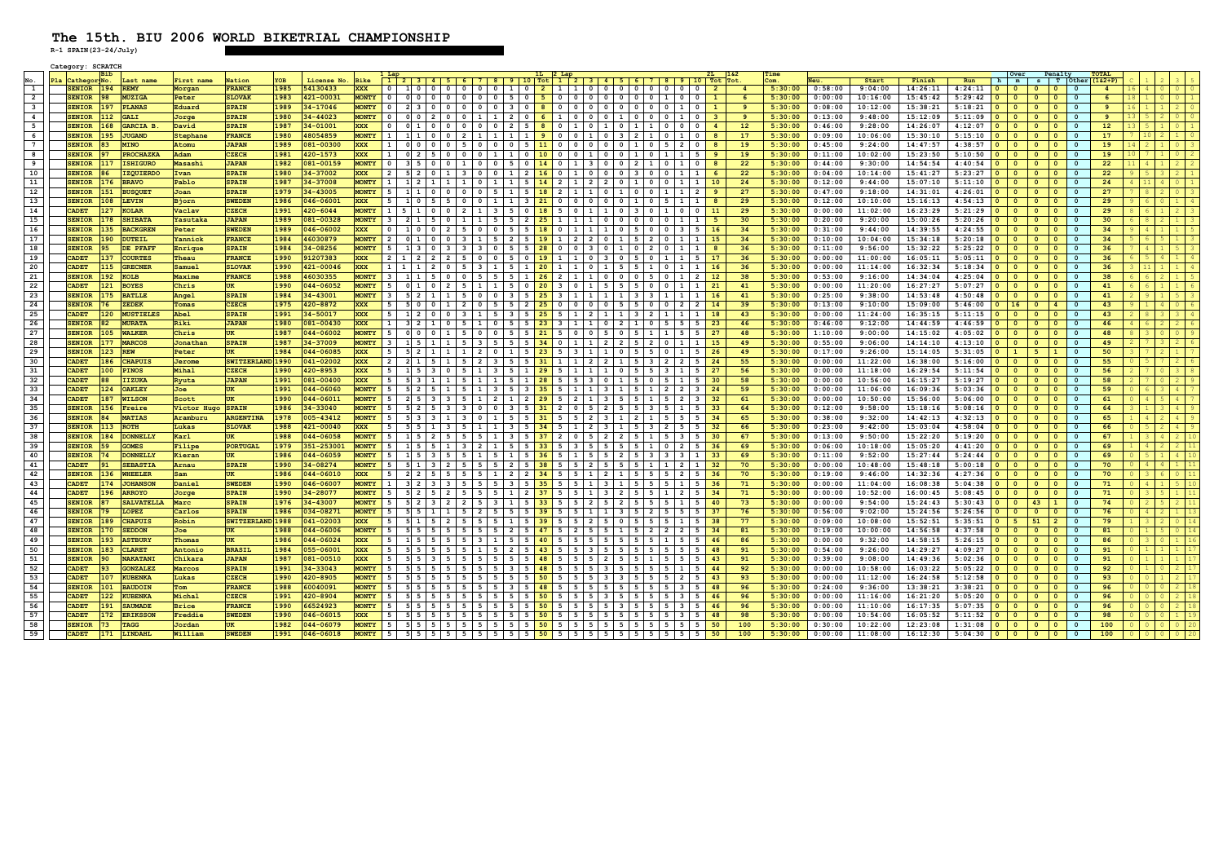|                         | Category: SCRATCE |            |                    |               |                  |      |            |              |                         |                                                                                                                                                                    |                                                                     |                      |                |                          |                          |                          |                                  |                |     |         |         |          |          |                 |                                       |                          |                                            |                 |                         |                            |
|-------------------------|-------------------|------------|--------------------|---------------|------------------|------|------------|--------------|-------------------------|--------------------------------------------------------------------------------------------------------------------------------------------------------------------|---------------------------------------------------------------------|----------------------|----------------|--------------------------|--------------------------|--------------------------|----------------------------------|----------------|-----|---------|---------|----------|----------|-----------------|---------------------------------------|--------------------------|--------------------------------------------|-----------------|-------------------------|----------------------------|
|                         |                   | <b>Bib</b> |                    |               |                  |      |            |              |                         |                                                                                                                                                                    |                                                                     |                      |                |                          |                          |                          |                                  |                |     | Time    |         |          |          |                 | Over                                  |                          | Penalty                                    | <b>TOTAL</b>    |                         |                            |
|                         | Pla Cathego       | r No.      | ast nam            | First name    | Nation           |      | License No | <b>Bike</b>  |                         | 1 2 3 4 5 6 7 8 9 10 Tot 1 2 3 4 5 6 7 8 9 10 Tot                                                                                                                  |                                                                     |                      |                |                          |                          |                          |                                  |                |     | .cm     |         | Start    | Finish   | Run             | h<br>m                                |                          | s T<br>Other                               | 1&2+P)          |                         |                            |
| $\mathbf{1}$            | SENIOR 194 REMY   |            |                    | Morgan        | <b>FRANCE</b>    | 1985 | 54130433   | <b>XXX</b>   | $\mathbf{0}$            | 10000000102110000000000                                                                                                                                            |                                                                     |                      |                |                          |                          |                          |                                  | $\frac{2}{2}$  |     | 5:30:00 | 0:58:00 | 9:04:00  | 14:26:11 | 4:24:11         | $\bullet$<br>$\bullet$                | $\bullet$                | $\circ$<br>$\Omega$                        | $\overline{4}$  | $16$   4                | $0$ 0                      |
| $\overline{2}$          | SENIOR 98         |            | MUZIG <sub>2</sub> | Peter         | <b>SLOVAK</b>    | 1983 | 421-00031  | <b>MONTY</b> |                         | 0   0   0   0   0   0   0   5   0   <mark>5  </mark> 0   0   0   0   0   0   1                                                                                     |                                                                     |                      |                |                          |                          |                          | $^{\circ}$                       |                |     | 5:30:00 | 0:00:00 | 10:16:00 | 15:45:42 | 5:29:42         | $\bullet$<br>$\circ$                  | $\circ$                  | $\circ$<br>$\circ$                         | -6              | 18 1                    | 0 0 1                      |
| $\overline{\mathbf{3}}$ | <b>SENIOR</b>     |            | 197 PLANAS         | Eduard        | <b>SPAIN</b>     | 1989 | 34-17046   |              |                         | MONTY 0 230000000000000000000000000                                                                                                                                |                                                                     |                      |                |                          |                          |                          | $\circ$                          | $\overline{1}$ |     | 5:30:00 | 0:08:00 | 10:12:00 | 15:38:21 | 5:18:21         | $\bullet$<br>$\bullet$                | $\bullet$                | $\overline{0}$<br>$\circ$                  | 9               |                         |                            |
| $\overline{4}$          | <b>SENIOR</b>     | 112        | <b>GALI</b>        | Jorge         | <b>SPAIN</b>     | 1980 | 34-44023   | <b>MONTY</b> |                         |                                                                                                                                                                    |                                                                     |                      |                |                          |                          |                          | $\circ$ 1                        | -3             |     | 5:30:00 | 0:13:00 | 9:48:00  | 15:12:09 | 5:11:09         | $\bullet$<br>$\bullet$                | $\bullet$                | $\bullet$<br>$\circ$                       | 9               |                         | $0$ 0                      |
| 5                       | <b>SENIOR</b>     | 168        | <b>GARCIA</b>      | David         | <b>SPAIN</b>     | 1987 | 34-01001   | <b>XXX</b>   | $\overline{\mathbf{0}}$ | 0 1 0 0 0 0 0 2 5 8 0 1                                                                                                                                            |                                                                     |                      |                | $0 \quad 1 \quad 0$      |                          | $1 \mid 1 \mid 0$        | $\circ$                          |                | 12  | 5:30:00 | 0:46:00 | 9:28:00  | 14:26:07 | 4:12:07         | $\bullet$<br>$\circ$                  | $\bullet$                | $\circ$<br>$\Omega$                        | 12 <sup>2</sup> |                         | $0 \mid 1$                 |
| 6                       | <b>SENIOR</b>     |            | 195 JUGAND         | Stephane      | <b>FRANCE</b>    | 1980 | 48054859   | <b>MONTY</b> |                         | 1110002111111900010103                                                                                                                                             |                                                                     |                      |                |                          |                          | $2 \mid 1 \mid 0 \mid 1$ | $\circ$                          | $\mathbf{a}$   | 17  | 5:30:00 | 0:09:00 | 10:06:00 | 15:30:10 | 5:15:10         | $\bullet$<br>$\bullet$                | $\bullet$                | $\circ$<br>$\bullet$                       | 17 <sup>7</sup> |                         | 1 0                        |
| $7^{\circ}$             | <b>SENIOR</b>     | 83         | <b>MINO</b>        | Atomu         | <b>JAPAN</b>     | 1989 | 081-00300  | <b>XXX</b>   | $1 \vert$               | 0 0 0 0 5                                                                                                                                                          | 0 0 0 0 5 11 0 0 0 0 0 0 1 0 5 2                                    |                      |                |                          |                          |                          | $\mathbf{0}$                     |                | 19  | 5:30:00 | 0:45:00 | 9:24:00  | 14:47:57 | 4:38:57         | $\bullet$<br>$\bullet$                | $\bullet$                | $\Omega$<br>$\circ$                        | 19              | $14$ 2                  | $0 \mid 3$                 |
| 8                       | <b>SENIOR</b>     | 97         | <b>PROCHAZKA</b>   | Adam          | <b>CZECH</b>     | 1981 | 420-1573   | <b>XXX</b>   | $\mathbf{1}$            | $0 \t2 \t5$                                                                                                                                                        | 0 0 0 1 1 0 10 0 0 1 0 0                                            |                      |                |                          |                          | 1 1 0 1<br>$\mathbf{1}$  | $\mathbf{1}$<br>5                | -9             | 19  | 5:30:00 | 0:11:00 | 10:02:00 | 15:23:50 | 5:10:50         | $\Omega$<br>$\bullet$                 | $\bullet$                | $\Omega$<br>$\Omega$                       | 19              |                         |                            |
| 9                       | <b>SENIOR</b>     | 117        | <b>ISHIGURO</b>    | Masashi       | <b>JAPAN</b>     | 1982 | 081-00159  | <b>MONTY</b> |                         | 0 3 5 0 0 1 0 0 5 0 14 0 1 3 0 0 2 1 0 1                                                                                                                           |                                                                     |                      |                |                          |                          |                          | $\circ$ 1                        |                | 22  | 5:30:00 | 0:44:00 | 9:30:00  | 14:54:54 | 4:40:54         | $\bullet$<br>$\bullet$                | $\bullet$                | $\Omega$<br>$\Omega$                       | 22              | $11$ $4$                | $1 \mid 2 \mid 2$          |
| 10                      | <b>SENIOR</b>     | 86         | IZQUIERDO          | <b>Ivan</b>   | <b>SPAIN</b>     | 1980 | 34-37002   | <b>XXX</b>   |                         | 2 5 2 0 1 3 0 0 1 2 16 0 1 0 0 0 3 0 0 1                                                                                                                           |                                                                     |                      |                |                          |                          |                          | $1 \vert$                        |                | 22  | 5:30:00 | 0:04:00 | 10:14:00 | 15:41:27 | 5:23:27         | $\bullet$<br>$\bullet$                | $\bullet$                | $\bullet$<br>$\circ$                       | 22              |                         | $3 \mid 2 \mid 1$          |
| 11                      | <b>SENIOR</b>     | 176        | <b>BRAVO</b>       | Pablo         | <b>SPAIN</b>     | 1987 | 34-37008   | <b>MONTY</b> |                         | $1$ 1 2 1<br>$1 \mid 1$                                                                                                                                            | $0 \mid 1$                                                          | $1 \t5 \t14$ 2 1 2 2 |                |                          | $\overline{\phantom{0}}$ | $1 \quad 0 \quad 0$      |                                  | 10             | 24  | 5:30:00 | 0:12:00 | 9:44:00  | 15:07:10 | 5:11:10         | $\bullet$<br>$\bullet$                | $\bullet$                | $\bullet$<br>$\circ$                       | 24              | 4   11                  | $0 \mid 1$                 |
| 12                      | <b>SENIOR</b>     |            | 151 BUSQUET        | Joan          | <b>SPAIN</b>     | 1979 | 34-43005   | <b>MONTY</b> |                         | 5   1   1   0   0   0   0   5   1   5 <mark>  18  </mark> 2   1   1   0   1   1   0   0   1   1                                                                    |                                                                     |                      |                |                          |                          |                          | 2 I                              |                | 27  | 5:30:00 | 0:47:00 | 9:18:00  | 14:31:01 | 4:26:01         | $\bullet$<br>$\circ$                  | $\bullet$                | $\mathbf{0}$<br>$\circ$                    | 27              |                         | $0 \mid 3$                 |
| 13                      | <b>SENIOR</b>     |            | 108 LEVIN          | Bjorn         | <b>SWEDEN</b>    | 1986 | 046-06001  | <b>XXX</b>   | 5 <sub>1</sub>          | 10550011132100000                                                                                                                                                  |                                                                     |                      |                |                          |                          | $1 \mid 0 \mid 5 \mid$   | $\mathbf{1}$<br>$\mathbf{1}$     | -8             | 29  | 5:30:00 | 0:12:00 | 10:10:00 | 15:16:13 | 4:54:13         | $\bullet$<br>$\bullet$                | $\overline{\mathbf{0}}$  | $\Omega$<br>$\mathbf{0}$                   | 29              |                         | $1 \quad 4$                |
| 14                      | <b>CADET</b>      | 127        | KOLAR              | Vaclav        | <b>CZECH</b>     | 1991 | 420-6044   | <b>MONTY</b> |                         | 1 1 5 1 0 0 0 2 1 3 5 0 18 5 0 1 1 0 3 0 1                                                                                                                         |                                                                     |                      |                |                          |                          |                          | $\mathbf{0}$                     | $0\quad 11$    | 29  | 5:30:00 | 0:00:00 | 11:02:00 | 16:23:29 | 5:21:29         | $\bullet$<br>$\bullet$                | $\bullet$                | $\overline{0}$<br>$\Omega$                 | 29              | $8 \mid 6$              | $1 \mid 2 \mid 3$          |
| 15                      | <b>SENIOR</b>     |            | 178 SHIBATA        | Yasutaka      | <b>JAPAN</b>     | 1989 | 081-00328  | <b>MONTY</b> |                         | 3   2   1   5   0   1   1   5   5   2   25   1   1   1   0   0   0   0   0   1                                                                                     |                                                                     |                      |                |                          |                          |                          | $\mathbf{1}$                     | - 5            | 30  | 5:30:00 | 0:20:00 | 9:20:00  | 15:00:26 | 5:20:26         | $\overline{\phantom{a}}$<br>$\bullet$ | $\bullet$                | $\overline{0}$<br>$\Omega$                 | 30              |                         | $1 \mid 3$                 |
| 16                      | <b>SENIOR</b>     | 135        | <b>BACKGREI</b>    | Peter         | <b>SWEDEN</b>    | 1989 | 046-06002  | <b>XXX</b>   |                         | 0   1   0   0   2   5   0   0   5   5 <mark>  18</mark>   0   1   1   1   0   5   0   0                                                                            |                                                                     |                      |                |                          |                          |                          | -51                              | 16             | 34  | 5:30:00 | 0:31:00 | 9:44:00  | 14:39:55 | 4:24:55         | $\bullet$<br>$\bullet$                | $\bullet$                | $\Omega$<br>$\Omega$                       | 34              | $9 \mid 4$              | $1 \mid 5$                 |
|                         |                   |            |                    |               |                  |      |            |              |                         |                                                                                                                                                                    |                                                                     |                      |                |                          |                          |                          |                                  |                |     |         |         |          |          |                 |                                       |                          |                                            |                 |                         |                            |
| 17                      | <b>SENIOR</b>     |            | 190 DUTEIL         | Yannick       | <b>FRANCE</b>    | 1984 | 46030879   |              |                         | <b>MONTY</b>   2   0   1   0   0   3   1   5   2   5 <mark>19  </mark> 1   2   2   0   1   5   2   0   1                                                           |                                                                     |                      |                |                          |                          |                          |                                  | $1 \mid 15$    | 34  | 5:30:00 | 0:10:00 | 10:04:00 | 15:34:18 | 5:20:18         | $\overline{\mathbf{0}}$               | $0$ 0                    | $\bullet$<br>$\circ$                       | 34              |                         | $1 \mid 3$                 |
| 18                      | <b>SENIOR</b>     | 95         | DE PFAFI           | Enrique       | <b>SPAIN</b>     | 1984 | 34-08256   | <b>MONTY</b> |                         | 5   1   3   0   3   3   3   0   5   5 <mark>  28</mark>   0   0   3   0   1   0   2   0                                                                            |                                                                     |                      |                |                          |                          |                          |                                  |                | 36  | 5:30:00 | 0:11:00 | 9:56:00  | 15:32:22 | 5:25:22         | $\bullet$<br>$\bullet$                | $\bullet$                | $\mathbf{0}$<br>$\circ$                    | 36              | $\vert$ 4               | 5 3                        |
| 19                      | <b>CADET</b>      | 137        | <b>COURTES</b>     | Theau         | <b>FRANCE</b>    | 1990 | 91207383   | <b>XXX</b>   |                         | 2 1 2 2 2 2 5 0 0 5 0 19 1 1 0 3 0 5 0 1 1                                                                                                                         |                                                                     |                      |                |                          |                          |                          |                                  | $5 \mid 17$    | 36  | 5:30:00 | 0:00:00 | 11:00:00 | 16:05:11 | 5:05:11         | $\bullet$<br>$\bullet$                | $\bullet$                | $\Omega$<br>$\circ$                        | 36              | $-5$                    | $4 \quad 1 \quad 4$        |
| 20                      | <b>CADET</b>      |            | 115 GRECNER        | Samuel        | <b>SLOVAK</b>    | 1990 | 421-00046  | <b>XXX</b>   |                         | $1   1   1   2   0   5   3   1   5   1   20   1   1   0   1   5$                                                                                                   |                                                                     |                      |                |                          |                          | $5 \mid 1 \mid 0$        | $1 \;$                           | <b>16</b>      | 36  | 5:30:00 | 0:00:00 | 11:14:00 | 16:32:34 | 5:18:34         | $\bullet$<br>$\bullet$                | $\bullet$                | $\bullet$<br>$\Omega$                      | 36              | $3 \mid 11$             | $1 \mid 4$                 |
| 21                      | <b>SENIOR</b>     |            | 192 KOLB           | Maxime        | <b>FRANCE</b>    | 1988 | 46030355   | <b>MONTY</b> |                         | 3   1   1   5   0   0   5   5   5   1   26   2   1   1   0   0   0   5   0                                                                                         |                                                                     |                      |                |                          |                          |                          | 2 I                              | 12             | 38  | 5:30:00 | 0:53:00 | 9:16:00  | 14:34:04 | 4:25:04         | $\bullet$<br>$\circ$                  | $\bullet$                | $\Omega$<br>$\Omega$                       | 38              |                         | $1 \mid 5$                 |
| 22                      | CADET             |            | 121 BOYES          | Chris         | <b>UK</b>        | 1990 | 044-06052  | <b>MONTY</b> |                         | $ 5 $ 0 1 0 2 5 1 1 5 0 20 3 0 1 5 5                                                                                                                               |                                                                     |                      |                |                          |                          | 5 0 0 1                  | $1 \;$                           | 21             | 41  | 5:30:00 | 0:00:00 | 11:20:00 | 16:27:27 | 5:07:27         | $\overline{\phantom{a}}$<br>$\bullet$ | $\bullet$                | $\bullet$<br>$\Omega$                      | 41              |                         | $1 \mid 6$                 |
| 23                      | <b>SENIOR</b>     | 175        | <b>BATLLE</b>      | Angel         | <b>SPAIN</b>     | 1984 | 34-43001   | <b>MONTY</b> |                         | 3   5   2   1   1   5   0   0   3   5 <mark>  25  </mark> 3   1   1   1   1   3   3   1                                                                            |                                                                     |                      |                |                          |                          |                          |                                  | 16             | 41  | 5:30:00 | 0:25:00 | 9:38:00  | 14:53:48 | 4:50:48         | $\overline{0}$<br>$\bullet$           | $\overline{0}$           | $\mathbf{o}$<br>$\circ$                    | 41              | $2 \mid 9$              | $1 \mid 5 \mid 3$          |
| 24                      | <b>SENIOR</b>     | 76         | <b>ZEDEK</b>       | Tomas         | <b>CZECH</b>     | 1975 | 420-8872   | <b>XXX</b>   |                         | 5   5   0   0   1   2   0   5   5   2 <mark>  25</mark>   0   0   0   0   5   5   0   0   2                                                                        |                                                                     |                      |                |                          |                          |                          |                                  | $2 \mid 14$    | 39  | 5:30:00 | 0:13:00 | 9:10:00  | 15:09:00 | 5:46:00         | $\bullet$<br>16                       | $\overline{\phantom{a}}$ | $\overline{4}$<br>$\Omega$                 | 43              |                         | 4006                       |
| 25                      | <b>CADET</b>      | 120        | <b>MUSTIELE</b>    | Abel          | <b>SPAIN</b>     | 1991 | 34-50017   | <b>XXX</b>   |                         | 5 1 2 0                                                                                                                                                            | $0$ 3 1 5 3 5 25 5 1 2 1                                            |                      |                |                          | 1                        | $3 \mid 2 \mid 1 \mid$   |                                  | <b>18</b>      | 43  | 5:30:00 | 0:00:00 | 11:24:00 | 16:35:15 | 5:11:15         | $\bullet$<br>$\bullet$                | $\Omega$                 | $\Omega$<br>$\Omega$                       | 43              | -8                      | $3 \mid 3 \mid 4$          |
| 26                      | <b>SENIOR</b>     | 82         | <b>MURATA</b>      | Riki          | <b>JAPAN</b>     | 1980 | 081-00430  | <b>XXX</b>   | $1 \vert$               |                                                                                                                                                                    |                                                                     |                      |                |                          |                          |                          | 5 <sup>1</sup>                   | 23             | 46  | 5:30:00 | 0:46:00 | 9:12:00  | 14:44:59 | 4:46:59         | $\bullet$<br>$\bullet$                | $\bullet$                | $\Omega$<br>$\circ$                        | 46              |                         | $2 \mid 6$                 |
| 27                      | <b>SENIOR</b>     | 105        | <b>WALKER</b>      | Chris         | <b>UK</b>        | 1987 | 044-06002  | <b>MONTY</b> |                         | 5000150055 <mark>21</mark> 50050                                                                                                                                   |                                                                     |                      |                |                          |                          | 5   1   1                | 5 <sup>1</sup><br>5              | 27             | 48  | 5:30:00 | 1:10:00 | 9:00:00  | 14:15:02 | 4:05:02         | $\bullet$<br>$\bullet$                | $\bullet$                | $\circ$<br>$\circ$                         | 48              | 8 3                     | $0$   9                    |
| 28                      | <b>SENIOR</b>     |            | 177 MARCOS         | Jonathan      | <b>SPAIN</b>     | 1987 | 34-37009   | <b>MONTY</b> |                         | 3   1   5   1   1   5   3   5   5   5   <mark>34  </mark> 0   1   1   2   2   5   2   0   1                                                                        |                                                                     |                      |                |                          |                          |                          |                                  | $1 \mid 15$    | 49  | 5:30:00 | 0:55:00 | 9:06:00  | 14:14:10 | 4:13:10         | $\overline{\mathbf{0}}$<br>$\bullet$  | $\bullet$                | $\Omega$<br>$\circ$                        | 49              |                         | $3 \mid 2 \mid 6$          |
| 29                      | <b>SENIOR</b>     | 123 REW    |                    | Peter         | <b>UK</b>        | 1984 | 044-06085  | <b>XXX</b>   |                         | 5 5 2 1 1 1 2 0 1 5 23 5 3 1 1 0                                                                                                                                   |                                                                     |                      |                |                          |                          | 5 5 0 1                  | <b>5</b>                         | 26             | 49  | 5:30:00 | 0:17:00 | 9:26:00  | 15:14:05 | 5:31:05         | $\bullet$<br>$\mathbf{1}$             | 5                        | $\Omega$<br>$\mathbf{1}$                   | 50              |                         | $1 \mid 7$                 |
| 30                      | <b>CADET</b>      |            | 186 CHAPUIS        | Jerome        | SWITZERLAND 1990 |      | 041-02002  | <b>XXX</b>   |                         | 2 2 1 5 1 5 2 3 5 5 3 1 1 2 2 1 5 3 2                                                                                                                              |                                                                     |                      |                |                          |                          |                          | <b>5</b><br>$\overline{2}$       | 24             | 55  | 5:30:00 | 0:00:00 | 11:22:00 | 16:38:00 | 5:16:00         | $\bullet$<br>$\bullet$                | $\bullet$                | $\bullet$<br>$\circ$                       | 55              | $-5$                    | 726                        |
| 31                      | <b>CADET</b>      |            | 100 PINOS          | Mihal         | <b>CZECH</b>     | 1990 | 420-8953   | <b>XXX</b>   |                         | 5   1   5   3   0   5   1   3   5   1   29   5   1   1   1   0   5   5   3   1                                                                                     |                                                                     |                      |                |                          |                          |                          | 5                                | 27             | 56  | 5:30:00 | 0:00:00 | 11:18:00 | 16:29:54 | $5:11:54$ 0     | $\bullet$                             | $\bullet$                | $\circ$<br>$\circ$                         | 56              |                         | $3 \mid 8$                 |
| 32                      | <b>CADET</b>      | 88         | IIZUKA             | Ryuta         | <b>JAPAN</b>     | 1991 | 081-00400  | <b>XXX</b>   |                         | 5   5   3   1   1   5   1   1   5   1   28   5   5   3   0   1   5   0   5                                                                                         |                                                                     |                      |                |                          |                          |                          | 5                                | -30            | 58  | 5:30:00 | 0:00:00 | 10:56:00 | 16:15:27 | 5:19:27         | $\bullet$<br>$\bullet$                | $\bullet$                | $\Omega$<br>$\circ$                        | 58              | $7^{\circ}$             | 0 2 9                      |
| 33                      | <b>CADET</b>      |            | 124 OAKLEY         | Joe           | UK               | 1991 | 044-06060  | <b>MONTY</b> |                         | 5   5   2   5   1   5   1   3   5   3   35   5   1   1   3   1   5   1   2   2                                                                                     |                                                                     |                      |                |                          |                          |                          |                                  | $3 \mid 24$    | 59  | 5:30:00 | 0:00:00 | 11:06:00 | 16:09:36 | 5:03:36         | $\overline{\mathbf{0}}$<br>$\bullet$  | $\bullet$                | $\circ$<br>$\circ$                         | 59              | -6                      | $3 \mid 4 \mid 7$          |
| 34                      | <b>CADET</b>      |            | 187 WILSON         | Scott         | <b>UK</b>        | 1990 | 044-06011  | <b>MONTY</b> |                         | 5 2 5 3 3 5                                                                                                                                                        | $1 \mid 2 \mid 1 \mid 2 \mid 29 \mid 5 \mid 2 \mid 1 \mid 3 \mid 5$ |                      |                |                          |                          | 5   1   5   2            | 3 I                              | 32             | 61  | 5:30:00 | 0:00:00 | 10:50:00 | 15:56:00 | 5:06:00         | $\bullet$<br>$\bullet$                | $\bullet$                | $\bullet$<br>$\circ$                       | 61              | $\sim$ 4                | $4 \mid 7$                 |
| 35                      | <b>SENIOR</b>     |            | 156 Freire         | Victor Hugo   | <b>SPAIN</b>     | 1986 | 34-33040   |              |                         | <mark>MONTY</mark>   5   5   2   5   3   3   0   0   3   5 <mark>  31  </mark> 2   0   5   2   5   5   3   5   1                                                   |                                                                     |                      |                |                          |                          |                          |                                  | $5 \mid 33$    | 64  | 5:30:00 | 0:12:00 | 9:58:00  | 15:18:16 | 5:08:16         | $\overline{\mathbf{0}}$<br>$\bullet$  | $\overline{\phantom{a}}$ | $\overline{0}$<br>$\circ$                  | 64              |                         | $3 \quad 4 \quad 9$        |
| 36                      | <b>SENIOR</b>     | 84         | <b>MATIAS</b>      | Aramburu      | <b>ARGENTINA</b> | 1978 | 005-43412  | <b>MONTY</b> | $\vert$ 5 $\vert$       | $5$ 3 3 1 3 0 1 5 5 31 5 5 2 3 1                                                                                                                                   |                                                                     |                      |                |                          |                          | $2 \mid 1 \mid 5 \mid$   | 5<br>5                           | 34             | 65  | 5:30:00 | 0:38:00 | 9:32:00  | 14:42:13 | 4:32:13         | $\overline{\bullet}$<br>$\bullet$     | $\bullet$                | $\Omega$<br>$\Omega$                       | 65              | -4                      | $4 \mid 9$                 |
| 37                      | <b>SENIOR</b>     | 113        | <b>ROTH</b>        | Lukas         | <b>SLOVAK</b>    | 1988 | 421-00040  | <b>XXX</b>   |                         | 5   5   5   1   3   5   1   1   3   5   34   5   1   2   3   1   5   3   2                                                                                         |                                                                     |                      |                |                          |                          |                          | 5<br>5 <sup>1</sup>              | 32             | 66  | 5:30:00 | 0:23:00 | 9:42:00  | 15:03:04 | 4:58:04         | $\bullet$<br>$\bullet$                | $\bullet$                | $\Omega$<br>$\Omega$                       | 66              | 5 <sup>1</sup>          | $2 \mid 4 \mid 9$          |
| 38                      | <b>SENIOR</b>     |            | 184 DONNELLY       | Karl          | <b>UK</b>        | 1988 | 044-06058  | <b>MONTY</b> |                         | $\vert 5 \vert 1 \vert 5 \vert 2 \vert 5 \vert 5 \vert 5 \vert 1 \vert 3 \vert 5 \vert 37 \vert 2 \vert 0 \vert 5 \vert 2 \vert 2 \vert 5 \vert 1 \vert 5 \vert 3$ |                                                                     |                      |                |                          |                          |                          | 5                                | 30             | 67  | 5:30:00 | 0:13:00 | 9:50:00  | 15:22:20 | 5:19:20         | $\overline{\mathbf{0}}$<br>$\bullet$  | $\bullet$                | $\bullet$<br>$\circ$                       | 67              | $\overline{\mathbf{3}}$ | $4$   2   10               |
| 39                      | <b>SENIOR</b>     | 59         | <b>GOMES</b>       | Filipe        | <b>PORTUGAL</b>  | 1979 | 351-25300  | <b>MONTY</b> |                         |                                                                                                                                                                    |                                                                     |                      |                |                          |                          |                          | $\overline{2}$<br>- 5 I          | 36             | 69  | 5:30:00 | 0:06:00 | 10:18:00 | 15:05:20 | 4:41:20         | $\bullet$<br>$\bullet$                | $\overline{\mathbf{0}}$  | $\overline{0}$<br>$\circ$                  | 69              | $1 \mid 4$              | $2 \quad 11$               |
| 40                      | <b>SENIOR</b>     | 74         | <b>DONNELLY</b>    | Kieran        | <b>UK</b>        | 1986 | 044-06059  | <b>MONTY</b> | $\vert$ 5               | 1   5   3   5   5   1   5   1   5   36   5   1   5   5   2   5   3   3   3                                                                                         |                                                                     |                      |                |                          |                          |                          | $\mathbf{1}$                     | -33            | 69  | 5:30:00 | 0:11:00 | 9:52:00  | 15:27:44 | 5:24:44         | $\bullet$<br>$\bullet$                | $\bullet$                | $\overline{0}$<br>$\Omega$                 | 69              |                         | 4   10                     |
| 41                      | <b>CADET</b>      | 91         | <b>SEBASTI</b>     | Arnau         | <b>SPAIN</b>     | 1990 | 34-08274   | <b>MONTY</b> |                         | 5   5   1   3   2   5   5   5   2   5   38   5   5   2   5   5   5   1   1                                                                                         |                                                                     |                      |                |                          |                          |                          | $\overline{2}$<br><b>1</b>       | 32             | 70  | 5:30:00 | 0:00:00 | 10:48:00 | 15:48:18 | 5:00:18         | $\bullet$<br>$\overline{\phantom{a}}$ | $\bullet$                | $\bullet$<br>$\circ$                       | 70              | $\vert 4 \vert$         | 4 1 11                     |
| 42                      | <b>SENIOR</b>     | 136        | <b>WHEELER</b>     | Sam           | <b>UK</b>        | 1986 | 044-06010  | <b>XXX</b>   | 5 <sub>1</sub>          | 2 2 3 5 5 5 5 1 2 2 34 5 5 1 2 1 5 5 5 7                                                                                                                           |                                                                     |                      |                |                          |                          |                          |                                  | $5 \mid 36$    | 70  | 5:30:00 | 0:19:00 | 9:46:00  | 14:32:36 | 4:27:36         | $\bullet$<br>$\bullet$                | $\bullet$                | $\Omega$<br>$\circ$                        | 70              |                         | $0$ 11                     |
| 43                      | <b>CADET</b>      |            | 174 JOHANSON       | Daniel        | <b>SWEDEN</b>    | 1990 | 046-06007  | <b>MONTY</b> |                         | $1 \t3 \t2 \t3 \t5$                                                                                                                                                | $5 \quad 5$                                                         | 3 5 35 5 5 1 3 1     |                |                          |                          | $5 \mid 5 \mid 5$        | $\mathbf{1}$<br>5                | 36             | 71  | 5:30:00 | 0:00:00 | 11:04:00 | 16:08:38 | 5:04:38         | $\bullet$<br>$\bullet$                | $\bullet$                | $\bullet$<br>$\circ$                       | 71              | $-4$                    | 5   10                     |
| 44                      | <b>CADET</b>      | 196        | <b>ARROYO</b>      |               | <b>SPAIN</b>     | 1990 | 34-28077   | <b>MONTY</b> |                         | <mark>  5   5   2   5   2   5   5   5   1   2   37  </mark> 5   5   1   3   2   5   5   1                                                                          |                                                                     |                      |                |                          |                          |                          | $\overline{2}$<br><b>5</b>       | 34             | 71  | 5:30:00 | 0:00:00 | 10:52:00 | 16:00:45 | 5:08:45         | $\bullet$<br>$\mathbf{0}$             | $\overline{\mathbf{0}}$  | $\Omega$<br>$\circ$                        | 71              |                         |                            |
| 45                      | <b>SENIOR</b>     | 87         | <b>SALVATELLA</b>  | Jorge<br>Marc | <b>SPAIN</b>     | 1976 | 34-43007   | <b>MONTY</b> | l 5 I                   | 5 2 3 2 2 5 3 1 5 3 5 5 2 5 2 5 5 5 1                                                                                                                              |                                                                     |                      |                |                          |                          |                          | - 5 I                            | 40             | 73  | 5:30:00 | 0:00:00 | 9:54:00  | 15:24:43 | 5:30:43         | $\bullet$<br>$\bullet$                | 43                       | $\mathbf{1}$<br>$\Omega$                   | 74              |                         |                            |
|                         |                   |            |                    |               |                  |      |            |              |                         |                                                                                                                                                                    |                                                                     |                      |                |                          |                          |                          |                                  |                |     |         |         |          |          |                 |                                       |                          | $\Omega$<br>$\Omega$                       |                 | 0   4                   | 2 11<br>$2 \mid 1 \mid 13$ |
| 46                      | <b>SENIOR</b>     | 79         | <b>LOPEZ</b>       | Carlos        | <b>SPAIN</b>     | 1986 | 034-08271  | <b>MONTY</b> |                         | 5   5   1   1   5   2   5   5   5   39   5   5   1   1   3   5   2   5                                                                                             |                                                                     |                      |                |                          |                          |                          | <b>5</b>                         | 37             | 76  | 5:30:00 | 0:56:00 | 9:02:00  | 15:24:56 | 5:26:56         | $\bullet$<br>$\bullet$                | $\overline{0}$           |                                            | 76              |                         |                            |
| 47                      | <b>SENIOR</b>     | 189        | <b>CHAPUIS</b>     | Robin         | SWITZERLAND 1988 |      | 041-02003  | <b>XXX</b>   | 5 <sub>1</sub>          | 5 1 5 2 5 5 5 1 5 39 5 5 2 5 0                                                                                                                                     |                                                                     |                      |                |                          |                          | $5 \mid 5 \mid 5 \mid 1$ | 5                                | 38             | 77  | 5:30:00 | 0:09:00 | 10:08:00 | 15:52:51 | 5:35:51         | $\bullet$<br>$-5$                     | 51                       | $\overline{2}$<br>$\circ$                  | 79              | $\overline{\mathbf{3}}$ | 2 0 14                     |
| 48                      | <b>SENIOR</b>     | 170        | <b>SEDDON</b>      | <b>Joe</b>    | <b>UK</b>        | 1988 | 044-06006  | <b>MONTY</b> |                         | 5 5 5 5 5 5 6                                                                                                                                                      | 5 5 2 5 47 5 2 5 5                                                  |                      |                |                          | $\vert 1 \vert$          | $5 \mid 2 \mid 2 \mid$   | 5 <sup>1</sup><br>$\overline{2}$ | 34             | 81  | 5:30:00 | 0:19:00 | 10:00:00 | 14:56:58 | 4:37:58         | $\bullet$<br>$\bullet$                | $\bullet$                | $\bullet$<br>$\circ$                       | 81              | $\overline{1}$          | $0$ 14                     |
| 49                      | <b>SENIOR</b>     | 193        | <b>ASTBURY</b>     | Thomas        | UK               | 1986 | 044-06024  | <b>XXX</b>   |                         |                                                                                                                                                                    |                                                                     |                      |                |                          |                          |                          | 5                                | 46             | 86  | 5:30:00 | 0:00:00 | 9:32:00  | 14:58:15 | 5:26:15         | $\overline{\phantom{0}}$              | $0$ 0                    | $\bullet$<br>$\circ$                       | 86              |                         | 1   16                     |
| 50                      | <b>SENIOR</b>     | 183        | <b>CLARET</b>      | Antonio       | <b>BRASIL</b>    | 1984 | 055-06001  | <b>XXX</b>   |                         | $5 \mid 5 \mid 5 \mid 5 \mid 5 \mid 5$                                                                                                                             | $1 \mid 5 \mid 2 \mid 5 \mid 43 \mid 5 \mid 5 \mid 3 \mid 5$        |                      |                |                          | 5 <sup>1</sup>           | 5 5 5                    | -5                               | 48             | 91  | 5:30:00 | 0:54:00 | 9:26:00  | 14:29:27 | 4:09:27         | $\bullet$<br>$\bullet$                | $\bullet$                | $\Omega$<br>$\Omega$                       | 91              |                         |                            |
| 51                      | <b>SENIOR</b>     | 90         | <b>NAKATANI</b>    | Chikara       | <b>JAPAN</b>     | 1987 | 081-00510  | <b>XXX</b>   |                         |                                                                                                                                                                    |                                                                     |                      |                |                          |                          |                          | 5<br>$5^{\circ}$                 | 43             | 91  | 5:30:00 | 0:39:00 | 9:08:00  | 14:49:36 | 5:02:36         | $\bullet$<br>$\bullet$                | $\bullet$                | $\Omega$<br>$\sqrt{2}$                     | 91              |                         | $1 \mid 17$                |
| 52                      | CADET             | 93         | <b>GONZALEZ</b>    | Marcos        | <b>SPAIN</b>     | 1991 | 34-33043   | <b>MONTY</b> |                         | 555555                                                                                                                                                             | $5 \quad 5$                                                         | 3 5 48 5 5 5 3 5     |                |                          |                          | $5 \mid 5 \mid 5$        | 5<br>$\mathbf{1}$                | 44             | 92  | 5:30:00 | 0:00:00 | 10:58:00 | 16:03:22 | 5:05:22         | $\bullet$<br>$\bullet$                | $\bullet$                | $\bullet$<br>$\Omega$                      | 92              |                         | $2   17$                   |
| 53                      | <b>CADET</b>      | 107        | <b>KUBENKA</b>     | Lukas         | CZECH            | 1990 | 420-8905   | <b>MONTY</b> |                         | 5 5 5 5 5 5                                                                                                                                                        | $5 \mid 5 \mid$                                                     | 5 5 5 5 5 5          |                | $5 \mid 5 \mid 3 \mid 3$ |                          | $5 \mid 5 \mid 5$        | 5                                | 43             | 93  | 5:30:00 | 0:00:00 | 11:12:00 | 16:24:58 | 5:12:58         | $\bullet$<br>$\circ$                  | $\bullet$                | $\Omega$<br>$\Omega$                       | 93              |                         | 2 17                       |
| 54                      | <b>SENIOR</b>     |            | 101 BAUDOIN        | Tom           | <b>FRANCE</b>    | 1988 | 60040091   | <b>MONTY</b> | $\vert 5 \vert$         |                                                                                                                                                                    |                                                                     |                      |                |                          |                          | $5 \mid 5 \mid 5 \mid 3$ | 5                                | 48             | 96  | 5:30:00 | 0:24:00 | 9:36:00  | 13:38:21 | 3:38:21         | $\bullet$<br>$\bullet$                | $\bullet$                | $\circ$<br>$\circ$                         | 96              |                         | 2   18                     |
| 55                      | <b>CADET</b>      | 122        | <b>KUBENKA</b>     | Michal        | <b>CZECH</b>     | 1991 | 420-8904   | <b>MONTY</b> |                         |                                                                                                                                                                    |                                                                     |                      |                |                          |                          | $5 \mid 5 \mid 5$        | 5                                | 46             | 96  | 5:30:00 | 0:00:00 | 11:16:00 | 16:21:20 | 5:05:20         | $\bullet$<br>$\overline{\phantom{a}}$ | $\bullet$                | $\overline{0}$<br>$\circ$                  | 96              | $\Omega$                | $0 \mid 2 \mid 18$         |
| 56                      | <b>CADET</b>      | 191        | <b>SAUMADE</b>     | <b>Brice</b>  | <b>FRANCE</b>    | 1990 | 66524923   | <b>MONTY</b> |                         |                                                                                                                                                                    |                                                                     |                      |                |                          |                          | $5 \mid 5 \mid 5$        | $\mathbf{3}$<br>-5               | 46             | 96  | 5:30:00 | 0:00:00 | 11:10:00 | 16:17:35 | 5:07:35         | $\bullet$<br>$\bullet$                | $\bullet$                | $\Omega$<br>$\circ$                        | 96              |                         | $0 \t 2 \t 18$             |
| 57                      | <b>CADET</b>      | 172        | <b>ERIKSSON</b>    | Freddie       | <b>SWEDEN</b>    | 1990 | 046-06015  | <b>XXX</b>   | 5                       | 5 5 5 5 5                                                                                                                                                          | $5 \mid 5 \mid$<br>5                                                | $5\quad 50\quad 5$   | 5 <sub>1</sub> | 5 <sub>5</sub><br>5      | 5                        | $5 \quad 5 \quad 5$      | -5<br>$\mathbf{3}$               | 48             | 98  | 5:30:00 | 0:00:00 | 10:54:00 | 16:05:52 | 5:11:52         | $\bullet$<br>$\bullet$                | $\bullet$                | $\bullet$<br>$\circ$                       | 98              |                         | $1 \quad 19$               |
| 58                      | <b>SENIOR</b>     | 73         | <b>TAGG</b>        | Jordan        | <b>UK</b>        | 1982 | 044-06079  | <b>MONTY</b> |                         |                                                                                                                                                                    |                                                                     |                      |                |                          |                          |                          | 5                                | 50             | 100 | 5:30:00 | 0:30:00 | 10:22:00 | 12:23:08 | 1:31:08         | $\bullet$                             | $0$ 0                    | $\overline{\phantom{a}}$<br>$\overline{0}$ | 100             |                         | $0$ 20                     |
| 59                      |                   |            | CADET 171 LINDAHL  | William       | <b>SWEDEN</b>    | 1991 | 046-06018  |              |                         |                                                                                                                                                                    |                                                                     |                      |                |                          |                          |                          |                                  |                | 100 | 5:30:00 | 0:00:00 | 11:08:00 | 16:12:30 | $5:04:30$ 0 0 0 |                                       |                          | $\bullet$<br>$\circ$                       | 100             |                         |                            |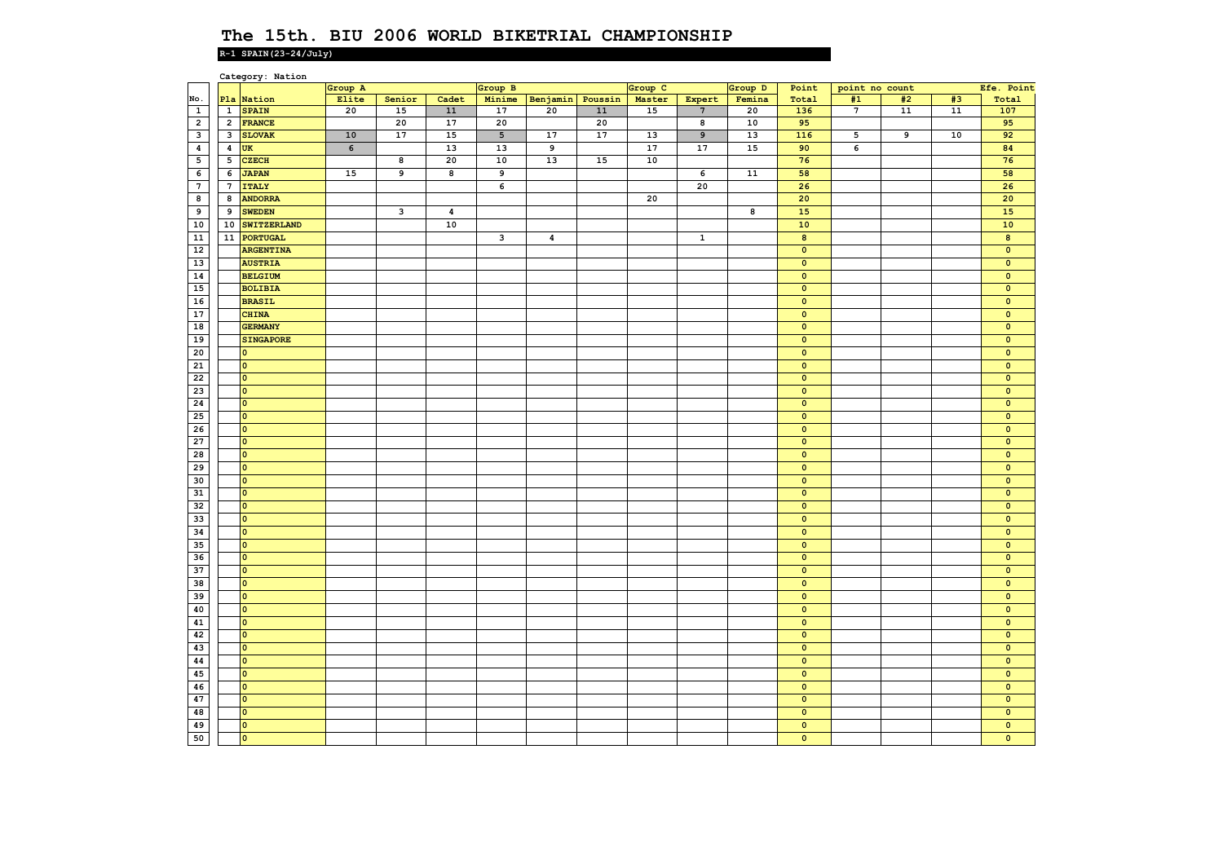|                  |                         | Category: Nation        |         |        |                  |                 |                  |            |         |                 |            |                         |                |    |            |                         |
|------------------|-------------------------|-------------------------|---------|--------|------------------|-----------------|------------------|------------|---------|-----------------|------------|-------------------------|----------------|----|------------|-------------------------|
|                  |                         |                         | Group A |        |                  | Group B         |                  |            | Group C |                 | Group D    | Point                   | point no count |    |            | Efe. Point              |
| No.              |                         | Pla Nation              | Elite   | Senior | Cadet            | Minime          | Benjamin Poussin |            | Master  | Expert          | Femina     | Total                   | #1             | #2 | #3         | Total                   |
| $\mathbf{1}$     | $\mathbf{1}$            | <b>SPAIN</b>            | 20      | 15     | ${\bf 11}$       | 17              | 20               | ${\bf 11}$ | 15      | $7\phantom{.0}$ | 20         | 136                     | $\overline{7}$ | 11 | ${\bf 11}$ | 107                     |
| $\overline{2}$   | $\overline{2}$          | <b>FRANCE</b>           |         | 20     | 17               | 20              |                  | 20         |         | 8               | 10         | 95                      |                |    |            | 95                      |
| م                | $\mathbf{3}$            | <b>SLOVAK</b>           | 10      | 17     | 15               | $5\overline{5}$ | 17               | 17         | 13      | $\overline{9}$  | 13         | $\overline{116}$        | 5              | 9  | 10         | 92                      |
| $\boldsymbol{4}$ | $\overline{\mathbf{4}}$ | <b>UK</b>               | 6       |        | 13               | 13              | 9                |            | 17      | 17              | 15         | 90                      | 6              |    |            | 84                      |
| 5                | 5                       | <b>CZECH</b>            |         | 8      | 20               | 10              | 13               | 15         | 10      |                 |            | 76                      |                |    |            | 76                      |
| $\epsilon$       | 6                       | <b>JAPAN</b>            | 15      | 9      | 8                | $\overline{9}$  |                  |            |         | 6               | ${\bf 11}$ | 58                      |                |    |            | 58                      |
| $\overline{7}$   | $7\phantom{.0}$         | <b>ITALY</b>            |         |        |                  | 6               |                  |            |         | 20              |            | 26                      |                |    |            | 26                      |
| 8                | 8                       | <b>ANDORRA</b>          |         |        |                  |                 |                  |            | 20      |                 |            | 20                      |                |    |            | 20                      |
| $\overline{9}$   | 9                       | <b>SWEDEN</b>           |         | د      | $\boldsymbol{4}$ |                 |                  |            |         |                 | 8          | 15                      |                |    |            | 15                      |
| 10               | 10                      | SWITZERLAND             |         |        | 10               |                 |                  |            |         |                 |            | $10$                    |                |    |            | $\bf{10}$               |
| ${\bf 11}$       | 11                      |                         |         |        |                  |                 |                  |            |         |                 |            | $\bf 8$                 |                |    |            | $\bf 8$                 |
|                  |                         | <b>PORTUGAL</b>         |         |        |                  | 3               | $\pmb{4}$        |            |         | $\mathbf 1$     |            |                         |                |    |            |                         |
| 12               |                         | <b>ARGENTINA</b>        |         |        |                  |                 |                  |            |         |                 |            | $\mathbf{0}$            |                |    |            | $\mathbf{0}$            |
| 13               |                         | <b>AUSTRIA</b>          |         |        |                  |                 |                  |            |         |                 |            | $\overline{\mathbf{0}}$ |                |    |            | $\overline{\mathbf{0}}$ |
| ${\bf 14}$       |                         | <b>BELGIUM</b>          |         |        |                  |                 |                  |            |         |                 |            | $\mathbf 0$             |                |    |            | $\mathbf 0$             |
| 15               |                         | <b>BOLIBIA</b>          |         |        |                  |                 |                  |            |         |                 |            | $\mathbf{0}$            |                |    |            | $\mathbf{0}$            |
| 16               |                         | <b>BRASIL</b>           |         |        |                  |                 |                  |            |         |                 |            | $\overline{\mathbf{0}}$ |                |    |            | $\overline{\mathbf{0}}$ |
| 17               |                         | <b>CHINA</b>            |         |        |                  |                 |                  |            |         |                 |            | $\mathbf 0$             |                |    |            | $\mathbf 0$             |
| 18               |                         | <b>GERMANY</b>          |         |        |                  |                 |                  |            |         |                 |            | $\mathbf{0}$            |                |    |            | $\mathbf{0}$            |
| 19               |                         | <b>SINGAPORE</b>        |         |        |                  |                 |                  |            |         |                 |            | $\mathbf{0}$            |                |    |            | $\mathbf{0}$            |
| 20               |                         | $\overline{\mathbf{0}}$ |         |        |                  |                 |                  |            |         |                 |            | $\overline{\mathbf{0}}$ |                |    |            | $\overline{\mathbf{0}}$ |
| 21               |                         | $\bullet$               |         |        |                  |                 |                  |            |         |                 |            | $\mathbf 0$             |                |    |            | $\mathbf 0$             |
| 22               |                         | $\overline{\mathbf{0}}$ |         |        |                  |                 |                  |            |         |                 |            | $\mathbf{0}$            |                |    |            | $\mathbf{0}$            |
| 23               |                         | $\overline{\mathbf{0}}$ |         |        |                  |                 |                  |            |         |                 |            | $\mathbf 0$             |                |    |            | $\mathbf{0}$            |
| 24               |                         | $\overline{\mathbf{0}}$ |         |        |                  |                 |                  |            |         |                 |            | $\mathbf 0$             |                |    |            | $\mathbf 0$             |
| 25               |                         | <b>lo</b>               |         |        |                  |                 |                  |            |         |                 |            | $\mathbf 0$             |                |    |            | $\mathbf{0}$            |
| 26               |                         | $\overline{\mathbf{0}}$ |         |        |                  |                 |                  |            |         |                 |            | $\mathbf{0}$            |                |    |            | $\mathbf{0}$            |
| 27               |                         | $\overline{\mathbf{0}}$ |         |        |                  |                 |                  |            |         |                 |            | $\mathbf{0}$            |                |    |            | $\mathbf{0}$            |
| 28               |                         | $\overline{\mathbf{0}}$ |         |        |                  |                 |                  |            |         |                 |            | $\mathbf{0}$            |                |    |            | $\mathbf{0}$            |
| 29               |                         | $\overline{\mathbf{0}}$ |         |        |                  |                 |                  |            |         |                 |            | $\overline{\mathbf{0}}$ |                |    |            | $\mathbf 0$             |
|                  |                         |                         |         |        |                  |                 |                  |            |         |                 |            |                         |                |    |            |                         |
| 30               |                         | $\circ$                 |         |        |                  |                 |                  |            |         |                 |            | $\mathbf 0$             |                |    |            | $\mathbf{0}$            |
| 31               |                         | $\overline{0}$          |         |        |                  |                 |                  |            |         |                 |            | $\mathbf{0}$            |                |    |            | $\mathbf{0}$            |
| 32               |                         | $\overline{\mathbf{0}}$ |         |        |                  |                 |                  |            |         |                 |            | $\overline{\mathbf{0}}$ |                |    |            | $\overline{\mathbf{0}}$ |
| 33               |                         | $\overline{\mathbf{0}}$ |         |        |                  |                 |                  |            |         |                 |            | $\mathbf 0$             |                |    |            | $\mathbf 0$             |
| 34               |                         | $\circ$                 |         |        |                  |                 |                  |            |         |                 |            | $\mathbf{0}$            |                |    |            | $\mathbf{0}$            |
| 35               |                         | $\overline{\mathbf{0}}$ |         |        |                  |                 |                  |            |         |                 |            | $\mathbf{0}$            |                |    |            | $\mathbf{0}$            |
| 36               |                         | $\overline{\mathbf{0}}$ |         |        |                  |                 |                  |            |         |                 |            | $\overline{\mathbf{0}}$ |                |    |            | $\overline{\mathbf{0}}$ |
| 37               |                         | $\overline{\mathbf{0}}$ |         |        |                  |                 |                  |            |         |                 |            | $\mathbf 0$             |                |    |            | $\mathbf 0$             |
| 38               |                         | $\overline{0}$          |         |        |                  |                 |                  |            |         |                 |            | $\mathbf{0}$            |                |    |            | $\mathbf{0}$            |
| 39               |                         | $\overline{\mathbf{0}}$ |         |        |                  |                 |                  |            |         |                 |            | $\mathbf{0}$            |                |    |            | $\mathbf{0}$            |
| 40               |                         | $\overline{\mathbf{0}}$ |         |        |                  |                 |                  |            |         |                 |            | $\overline{\mathbf{0}}$ |                |    |            | $\overline{\mathbf{0}}$ |
| 41               |                         | $\circ$                 |         |        |                  |                 |                  |            |         |                 |            | $\mathbf 0$             |                |    |            | $\mathbf 0$             |
| 42               |                         | $\overline{\mathbf{0}}$ |         |        |                  |                 |                  |            |         |                 |            | $\mathbf{0}$            |                |    |            | $\mathbf{0}$            |
| 43               |                         | l o                     |         |        |                  |                 |                  |            |         |                 |            | $\mathbf{0}$            |                |    |            | $\mathbf{0}$            |
| 44               |                         | $\overline{\mathbf{0}}$ |         |        |                  |                 |                  |            |         |                 |            | $\mathbf 0$             |                |    |            | $\mathbf 0$             |
|                  |                         | $\overline{0}$          |         |        |                  |                 |                  |            |         |                 |            |                         |                |    |            |                         |
| 45               |                         |                         |         |        |                  |                 |                  |            |         |                 |            | $\mathbf 0$             |                |    |            | $\mathbf 0$             |
| 46               |                         | $\overline{\mathbf{0}}$ |         |        |                  |                 |                  |            |         |                 |            | $\mathbf 0$             |                |    |            | $\mathbf{0}$            |
| 47               |                         | l o                     |         |        |                  |                 |                  |            |         |                 |            | $\mathbf{0}$            |                |    |            | $\mathbf{0}$            |
| 48               |                         | $\circ$                 |         |        |                  |                 |                  |            |         |                 |            | $\mathbf 0$             |                |    |            | $\mathbf 0$             |
| 49               |                         | <b>lo</b>               |         |        |                  |                 |                  |            |         |                 |            | $\mathbf{0}$            |                |    |            | $\mathbf{0}$            |
| 50               |                         | $\overline{\mathbf{0}}$ |         |        |                  |                 |                  |            |         |                 |            | $\mathbf{0}$            |                |    |            | $\mathbf{0}$            |